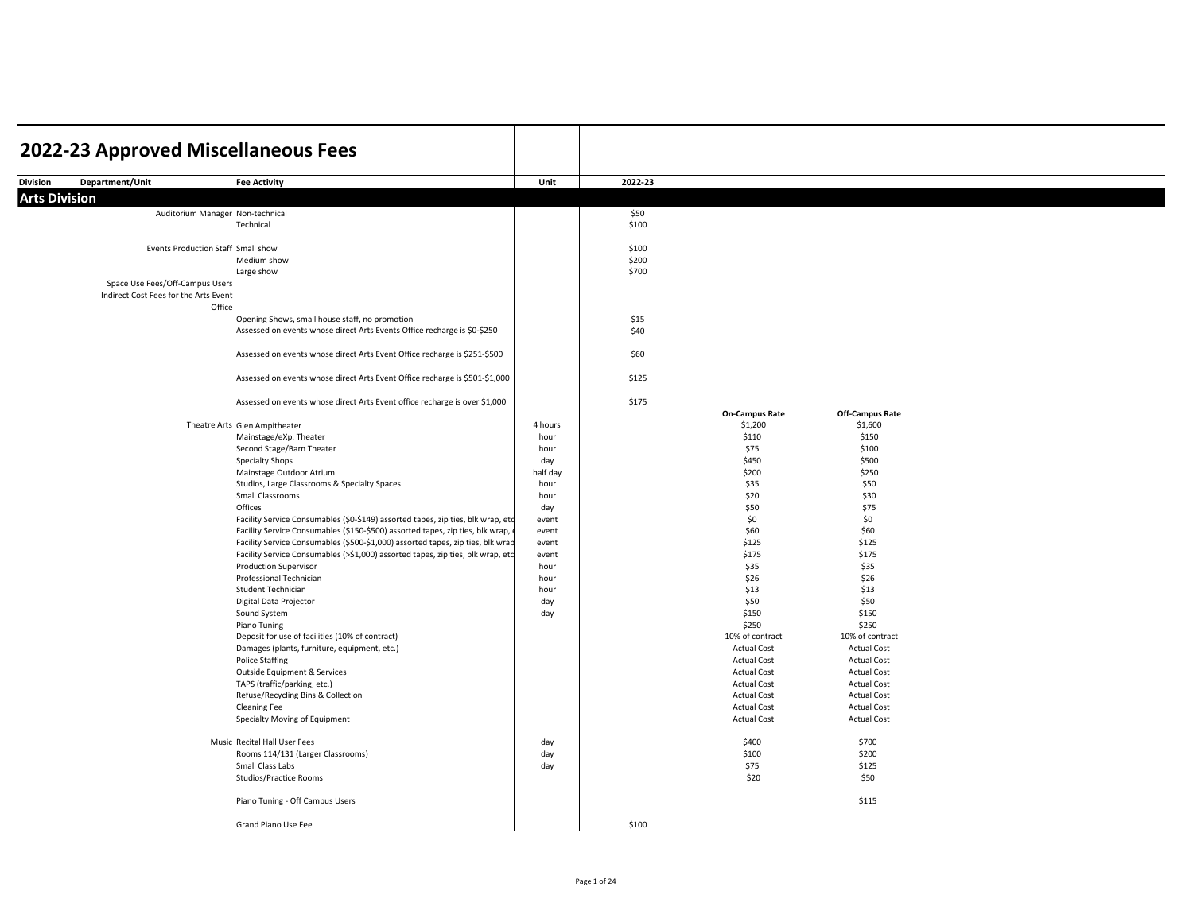| 2022-23 Approved Miscellaneous Fees   |                                                                                  |              |         |                                          |                                          |  |
|---------------------------------------|----------------------------------------------------------------------------------|--------------|---------|------------------------------------------|------------------------------------------|--|
|                                       |                                                                                  |              |         |                                          |                                          |  |
| <b>Division</b><br>Department/Unit    | <b>Fee Activity</b>                                                              | Unit         | 2022-23 |                                          |                                          |  |
| <b>Arts Division</b>                  |                                                                                  |              |         |                                          |                                          |  |
|                                       | Auditorium Manager Non-technical                                                 |              | \$50    |                                          |                                          |  |
|                                       | Technical                                                                        |              | \$100   |                                          |                                          |  |
|                                       |                                                                                  |              |         |                                          |                                          |  |
|                                       | Events Production Staff Small show                                               |              | \$100   |                                          |                                          |  |
|                                       | Medium show                                                                      |              | \$200   |                                          |                                          |  |
|                                       | Large show                                                                       |              | \$700   |                                          |                                          |  |
| Space Use Fees/Off-Campus Users       |                                                                                  |              |         |                                          |                                          |  |
| Indirect Cost Fees for the Arts Event | Office                                                                           |              |         |                                          |                                          |  |
|                                       | Opening Shows, small house staff, no promotion                                   |              | \$15    |                                          |                                          |  |
|                                       | Assessed on events whose direct Arts Events Office recharge is \$0-\$250         |              | \$40    |                                          |                                          |  |
|                                       |                                                                                  |              |         |                                          |                                          |  |
|                                       | Assessed on events whose direct Arts Event Office recharge is \$251-\$500        |              | \$60    |                                          |                                          |  |
|                                       |                                                                                  |              |         |                                          |                                          |  |
|                                       | Assessed on events whose direct Arts Event Office recharge is \$501-\$1,000      |              | \$125   |                                          |                                          |  |
|                                       |                                                                                  |              |         |                                          |                                          |  |
|                                       | Assessed on events whose direct Arts Event office recharge is over \$1,000       |              | \$175   |                                          |                                          |  |
|                                       |                                                                                  |              |         | <b>On-Campus Rate</b>                    | <b>Off-Campus Rate</b>                   |  |
|                                       | Theatre Arts Glen Ampitheater<br>Mainstage/eXp. Theater                          | 4 hours      |         | \$1,200<br>\$110                         | \$1,600                                  |  |
|                                       | Second Stage/Barn Theater                                                        | hour<br>hour |         | \$75                                     | \$150<br>\$100                           |  |
|                                       | <b>Specialty Shops</b>                                                           | day          |         | \$450                                    | \$500                                    |  |
|                                       | Mainstage Outdoor Atrium                                                         | half day     |         | \$200                                    | \$250                                    |  |
|                                       | Studios, Large Classrooms & Specialty Spaces                                     | hour         |         | \$35                                     | \$50                                     |  |
|                                       | Small Classrooms                                                                 | hour         |         | \$20                                     | \$30                                     |  |
|                                       | Offices                                                                          | day          |         | \$50                                     | \$75                                     |  |
|                                       | Facility Service Consumables (\$0-\$149) assorted tapes, zip ties, blk wrap, etc | event        |         | \$0                                      | \$0                                      |  |
|                                       | Facility Service Consumables (\$150-\$500) assorted tapes, zip ties, blk wrap,   | event        |         | \$60                                     | \$60                                     |  |
|                                       | Facility Service Consumables (\$500-\$1,000) assorted tapes, zip ties, blk wrap  | event        |         | \$125                                    | \$125                                    |  |
|                                       | Facility Service Consumables (>\$1,000) assorted tapes, zip ties, blk wrap, etc  | event        |         | \$175                                    | \$175                                    |  |
|                                       | <b>Production Supervisor</b>                                                     | hour         |         | \$35                                     | \$35                                     |  |
|                                       | Professional Technician                                                          | hour         |         | \$26                                     | \$26                                     |  |
|                                       | Student Technician                                                               | hour         |         | \$13                                     | \$13                                     |  |
|                                       | Digital Data Projector                                                           | day          |         | \$50                                     | \$50                                     |  |
|                                       | Sound System                                                                     | day          |         | \$150                                    | \$150                                    |  |
|                                       | Piano Tuning                                                                     |              |         | \$250                                    | \$250                                    |  |
|                                       | Deposit for use of facilities (10% of contract)                                  |              |         | 10% of contract                          | 10% of contract                          |  |
|                                       | Damages (plants, furniture, equipment, etc.)<br><b>Police Staffing</b>           |              |         | <b>Actual Cost</b>                       | <b>Actual Cost</b><br><b>Actual Cost</b> |  |
|                                       |                                                                                  |              |         | <b>Actual Cost</b><br><b>Actual Cost</b> | <b>Actual Cost</b>                       |  |
|                                       | Outside Equipment & Services<br>TAPS (traffic/parking, etc.)                     |              |         | <b>Actual Cost</b>                       | <b>Actual Cost</b>                       |  |
|                                       | Refuse/Recycling Bins & Collection                                               |              |         | <b>Actual Cost</b>                       | <b>Actual Cost</b>                       |  |
|                                       | <b>Cleaning Fee</b>                                                              |              |         | <b>Actual Cost</b>                       | <b>Actual Cost</b>                       |  |
|                                       | Specialty Moving of Equipment                                                    |              |         | <b>Actual Cost</b>                       | <b>Actual Cost</b>                       |  |
|                                       |                                                                                  |              |         |                                          |                                          |  |
|                                       | Music Recital Hall User Fees                                                     | day          |         | \$400                                    | \$700                                    |  |
|                                       | Rooms 114/131 (Larger Classrooms)                                                | day          |         | \$100                                    | \$200                                    |  |
|                                       | Small Class Labs                                                                 | day          |         | \$75                                     | \$125                                    |  |
|                                       | <b>Studios/Practice Rooms</b>                                                    |              |         | \$20                                     | \$50                                     |  |
|                                       |                                                                                  |              |         |                                          |                                          |  |
|                                       | Piano Tuning - Off Campus Users                                                  |              |         |                                          | \$115                                    |  |
|                                       | Grand Piano Use Fee                                                              |              | \$100   |                                          |                                          |  |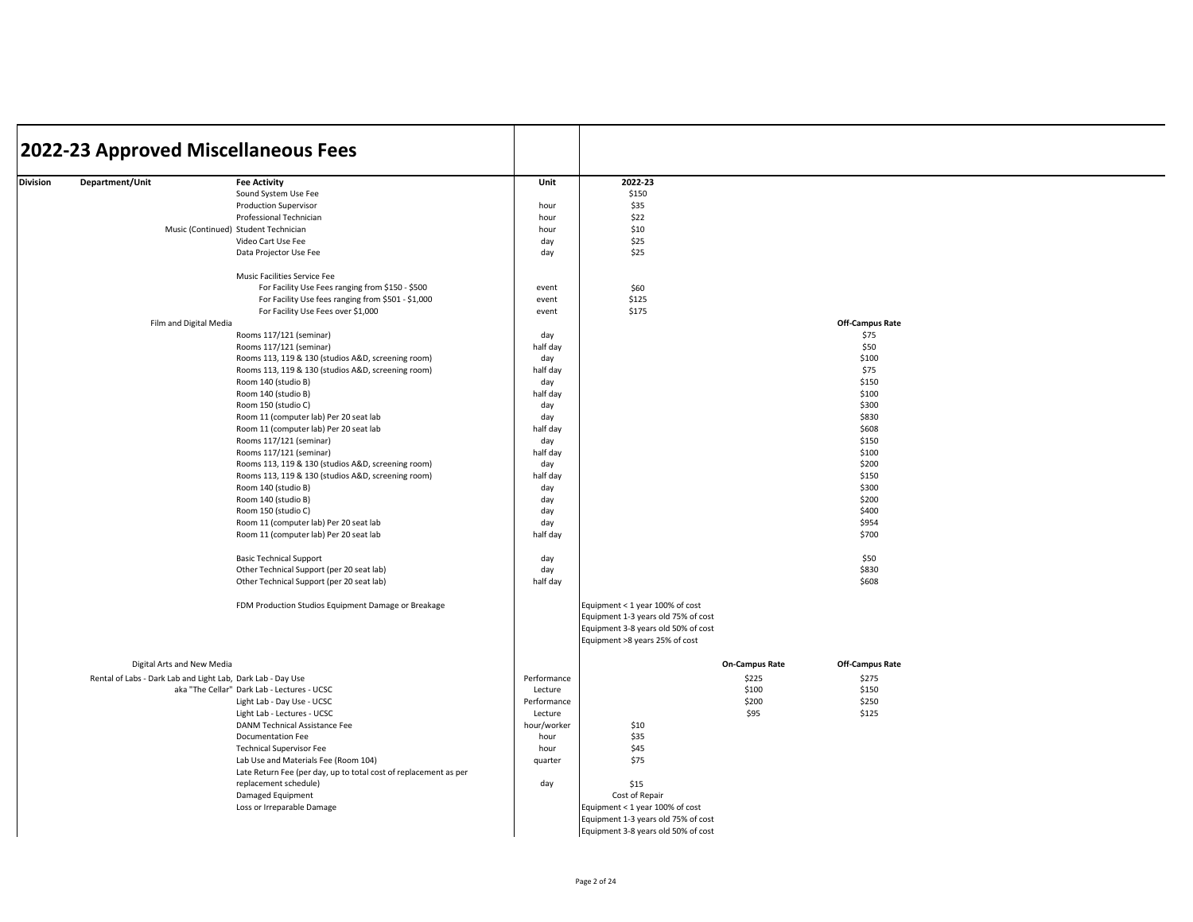|          | 2022-23 Approved Miscellaneous Fees                         |                                                                                  |             |                                     |                       |                        |  |
|----------|-------------------------------------------------------------|----------------------------------------------------------------------------------|-------------|-------------------------------------|-----------------------|------------------------|--|
|          |                                                             |                                                                                  |             |                                     |                       |                        |  |
| Division | Department/Unit                                             | <b>Fee Activity</b>                                                              | Unit        | 2022-23                             |                       |                        |  |
|          |                                                             | Sound System Use Fee                                                             |             | \$150                               |                       |                        |  |
|          |                                                             | <b>Production Supervisor</b>                                                     | hour        | \$35                                |                       |                        |  |
|          |                                                             | Professional Technician                                                          | hour        | \$22                                |                       |                        |  |
|          |                                                             | Music (Continued) Student Technician                                             | hour        | \$10                                |                       |                        |  |
|          |                                                             | Video Cart Use Fee                                                               | day         | \$25                                |                       |                        |  |
|          |                                                             | Data Projector Use Fee                                                           | day         | \$25                                |                       |                        |  |
|          |                                                             | Music Facilities Service Fee                                                     |             |                                     |                       |                        |  |
|          |                                                             | For Facility Use Fees ranging from \$150 - \$500                                 | event       | \$60                                |                       |                        |  |
|          |                                                             | For Facility Use fees ranging from \$501 - \$1,000                               | event       | \$125                               |                       |                        |  |
|          |                                                             | For Facility Use Fees over \$1,000                                               | event       | \$175                               |                       |                        |  |
|          | Film and Digital Media                                      |                                                                                  |             |                                     |                       | <b>Off-Campus Rate</b> |  |
|          |                                                             | Rooms 117/121 (seminar)                                                          | day         |                                     |                       | \$75                   |  |
|          |                                                             | Rooms 117/121 (seminar)                                                          | half day    |                                     |                       | \$50                   |  |
|          |                                                             | Rooms 113, 119 & 130 (studios A&D, screening room)                               | day         |                                     |                       | \$100                  |  |
|          |                                                             | Rooms 113, 119 & 130 (studios A&D, screening room)                               | half day    |                                     |                       | \$75                   |  |
|          |                                                             | Room 140 (studio B)                                                              | day         |                                     |                       | \$150                  |  |
|          |                                                             | Room 140 (studio B)                                                              | half day    |                                     |                       | \$100                  |  |
|          |                                                             | Room 150 (studio C)                                                              | day         |                                     |                       | \$300                  |  |
|          |                                                             | Room 11 (computer lab) Per 20 seat lab                                           | day         |                                     |                       | \$830                  |  |
|          |                                                             | Room 11 (computer lab) Per 20 seat lab                                           | half day    |                                     |                       | \$608                  |  |
|          |                                                             | Rooms 117/121 (seminar)                                                          | day         |                                     |                       | \$150                  |  |
|          |                                                             | Rooms 117/121 (seminar)                                                          | half day    |                                     |                       | \$100                  |  |
|          |                                                             | Rooms 113, 119 & 130 (studios A&D, screening room)                               | day         |                                     |                       | \$200                  |  |
|          |                                                             | Rooms 113, 119 & 130 (studios A&D, screening room)                               | half day    |                                     |                       | \$150                  |  |
|          |                                                             | Room 140 (studio B)                                                              | day         |                                     |                       | \$300                  |  |
|          |                                                             | Room 140 (studio B)                                                              | day         |                                     |                       | \$200                  |  |
|          |                                                             | Room 150 (studio C)                                                              | day         |                                     |                       | \$400                  |  |
|          |                                                             | Room 11 (computer lab) Per 20 seat lab<br>Room 11 (computer lab) Per 20 seat lab | day         |                                     |                       | \$954<br>\$700         |  |
|          |                                                             |                                                                                  | half day    |                                     |                       |                        |  |
|          |                                                             | <b>Basic Technical Support</b>                                                   | day         |                                     |                       | \$50                   |  |
|          |                                                             | Other Technical Support (per 20 seat lab)                                        | day         |                                     |                       | \$830                  |  |
|          |                                                             | Other Technical Support (per 20 seat lab)                                        | half day    |                                     |                       | \$608                  |  |
|          |                                                             | FDM Production Studios Equipment Damage or Breakage                              |             | Equipment < 1 year 100% of cost     |                       |                        |  |
|          |                                                             |                                                                                  |             | Equipment 1-3 years old 75% of cost |                       |                        |  |
|          |                                                             |                                                                                  |             | Equipment 3-8 years old 50% of cost |                       |                        |  |
|          |                                                             |                                                                                  |             | Equipment >8 years 25% of cost      |                       |                        |  |
|          | Digital Arts and New Media                                  |                                                                                  |             |                                     | <b>On-Campus Rate</b> | <b>Off-Campus Rate</b> |  |
|          | Rental of Labs - Dark Lab and Light Lab, Dark Lab - Day Use |                                                                                  | Performance |                                     | \$225                 | \$275                  |  |
|          |                                                             | aka "The Cellar" Dark Lab - Lectures - UCSC                                      | Lecture     |                                     | \$100                 | \$150                  |  |
|          |                                                             | Light Lab - Day Use - UCSC                                                       | Performance |                                     | \$200                 | \$250                  |  |
|          |                                                             | Light Lab - Lectures - UCSC                                                      | Lecture     |                                     | \$95                  | \$125                  |  |
|          |                                                             | DANM Technical Assistance Fee                                                    | hour/worker | \$10                                |                       |                        |  |
|          |                                                             | Documentation Fee                                                                | hour        | \$35                                |                       |                        |  |
|          |                                                             | <b>Technical Supervisor Fee</b>                                                  | hour        | \$45                                |                       |                        |  |
|          |                                                             | Lab Use and Materials Fee (Room 104)                                             | quarter     | \$75                                |                       |                        |  |
|          |                                                             | Late Return Fee (per day, up to total cost of replacement as per                 |             |                                     |                       |                        |  |
|          |                                                             | replacement schedule)                                                            | day         | \$15                                |                       |                        |  |
|          |                                                             | Damaged Equipment                                                                |             | Cost of Repair                      |                       |                        |  |
|          |                                                             | Loss or Irreparable Damage                                                       |             | Equipment < 1 year 100% of cost     |                       |                        |  |
|          |                                                             |                                                                                  |             | Equipment 1-3 years old 75% of cost |                       |                        |  |
|          |                                                             |                                                                                  |             | Equipment 3-8 years old 50% of cost |                       |                        |  |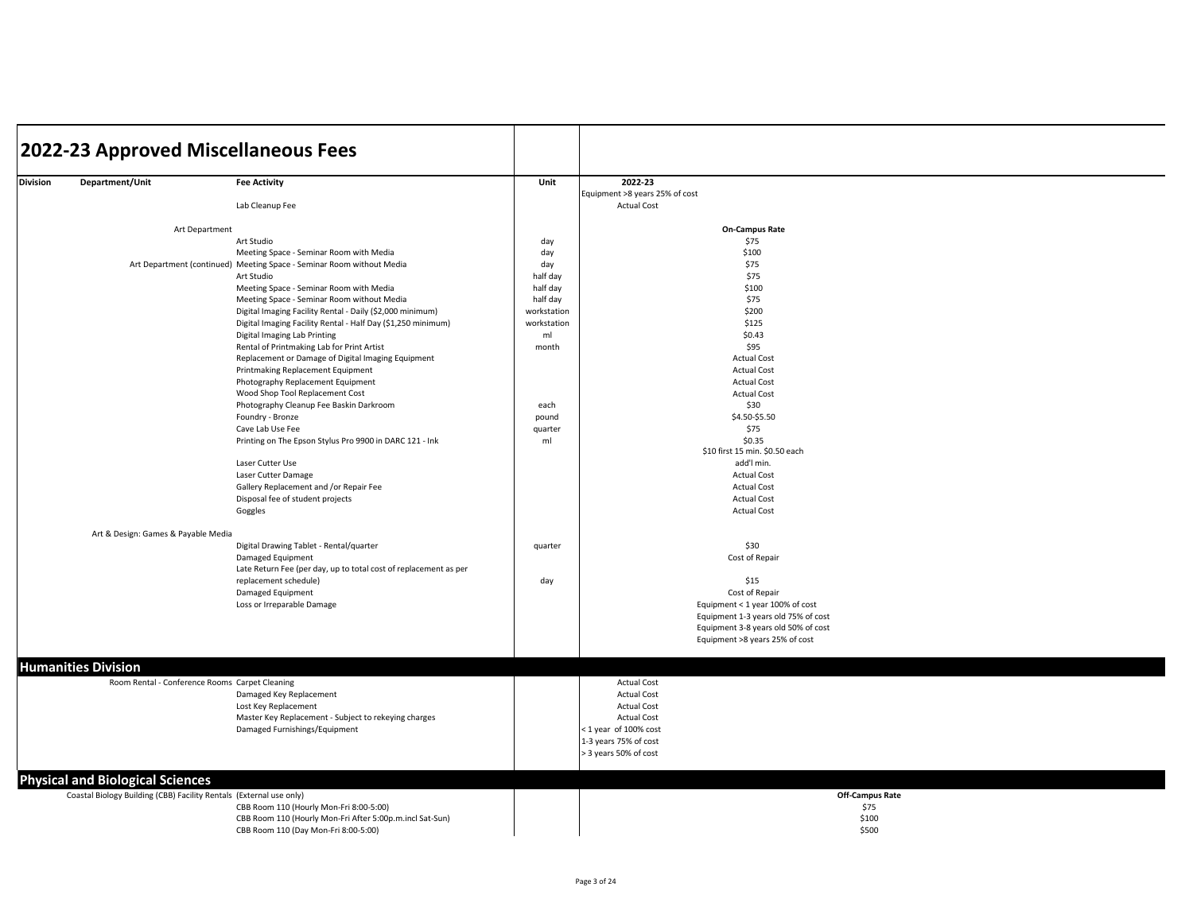|                 |                                                                     | 2022-23 Approved Miscellaneous Fees                                   |             |                                                      |
|-----------------|---------------------------------------------------------------------|-----------------------------------------------------------------------|-------------|------------------------------------------------------|
|                 |                                                                     |                                                                       |             |                                                      |
| <b>Division</b> | Department/Unit                                                     | <b>Fee Activity</b>                                                   | Unit        | 2022-23                                              |
|                 |                                                                     | Lab Cleanup Fee                                                       |             | Equipment >8 years 25% of cost<br><b>Actual Cost</b> |
|                 |                                                                     |                                                                       |             | <b>On-Campus Rate</b>                                |
|                 | Art Department                                                      | Art Studio                                                            | day         | \$75                                                 |
|                 |                                                                     | Meeting Space - Seminar Room with Media                               | day         | \$100                                                |
|                 |                                                                     | Art Department (continued) Meeting Space - Seminar Room without Media | day         | \$75                                                 |
|                 |                                                                     | Art Studio                                                            | half day    | \$75                                                 |
|                 |                                                                     | Meeting Space - Seminar Room with Media                               | half day    | \$100                                                |
|                 |                                                                     | Meeting Space - Seminar Room without Media                            | half day    | \$75                                                 |
|                 |                                                                     | Digital Imaging Facility Rental - Daily (\$2,000 minimum)             | workstation | \$200                                                |
|                 |                                                                     | Digital Imaging Facility Rental - Half Day (\$1,250 minimum)          | workstation | \$125                                                |
|                 |                                                                     | Digital Imaging Lab Printing                                          | ml          | \$0.43                                               |
|                 |                                                                     | Rental of Printmaking Lab for Print Artist                            | month       | \$95                                                 |
|                 |                                                                     | Replacement or Damage of Digital Imaging Equipment                    |             | <b>Actual Cost</b>                                   |
|                 |                                                                     | Printmaking Replacement Equipment                                     |             | <b>Actual Cost</b>                                   |
|                 |                                                                     | Photography Replacement Equipment                                     |             | <b>Actual Cost</b>                                   |
|                 |                                                                     | Wood Shop Tool Replacement Cost                                       |             | <b>Actual Cost</b>                                   |
|                 |                                                                     | Photography Cleanup Fee Baskin Darkroom                               | each        | \$30                                                 |
|                 |                                                                     | Foundry - Bronze                                                      | pound       | \$4.50-\$5.50<br>\$75                                |
|                 |                                                                     | Cave Lab Use Fee                                                      | quarter     | \$0.35                                               |
|                 |                                                                     | Printing on The Epson Stylus Pro 9900 in DARC 121 - Ink               | ml          | \$10 first 15 min. \$0.50 each                       |
|                 |                                                                     | Laser Cutter Use                                                      |             | add'l min.                                           |
|                 |                                                                     | Laser Cutter Damage                                                   |             | <b>Actual Cost</b>                                   |
|                 |                                                                     | Gallery Replacement and /or Repair Fee                                |             | <b>Actual Cost</b>                                   |
|                 |                                                                     | Disposal fee of student projects                                      |             | <b>Actual Cost</b>                                   |
|                 |                                                                     | Goggles                                                               |             | <b>Actual Cost</b>                                   |
|                 | Art & Design: Games & Payable Media                                 |                                                                       |             |                                                      |
|                 |                                                                     | Digital Drawing Tablet - Rental/quarter                               | quarter     | \$30                                                 |
|                 |                                                                     | Damaged Equipment                                                     |             | Cost of Repair                                       |
|                 |                                                                     | Late Return Fee (per day, up to total cost of replacement as per      |             |                                                      |
|                 |                                                                     | replacement schedule)                                                 | day         | \$15                                                 |
|                 |                                                                     | Damaged Equipment                                                     |             | Cost of Repair                                       |
|                 |                                                                     | Loss or Irreparable Damage                                            |             | Equipment < 1 year 100% of cost                      |
|                 |                                                                     |                                                                       |             | Equipment 1-3 years old 75% of cost                  |
|                 |                                                                     |                                                                       |             | Equipment 3-8 years old 50% of cost                  |
|                 |                                                                     |                                                                       |             | Equipment >8 years 25% of cost                       |
|                 |                                                                     |                                                                       |             |                                                      |
|                 | <b>Humanities Division</b>                                          |                                                                       |             |                                                      |
|                 | Room Rental - Conference Rooms Carpet Cleaning                      |                                                                       |             | <b>Actual Cost</b>                                   |
|                 |                                                                     | Damaged Key Replacement                                               |             | <b>Actual Cost</b>                                   |
|                 |                                                                     | Lost Key Replacement                                                  |             | <b>Actual Cost</b>                                   |
|                 |                                                                     | Master Key Replacement - Subject to rekeying charges                  |             | <b>Actual Cost</b>                                   |
|                 |                                                                     | Damaged Furnishings/Equipment                                         |             | <1 year of 100% cost<br>1-3 years 75% of cost        |
|                 |                                                                     |                                                                       |             | > 3 years 50% of cost                                |
|                 |                                                                     |                                                                       |             |                                                      |
|                 | <b>Physical and Biological Sciences</b>                             |                                                                       |             |                                                      |
|                 | Coastal Biology Building (CBB) Facility Rentals (External use only) |                                                                       |             | <b>Off-Campus Rate</b>                               |
|                 |                                                                     | CBB Room 110 (Hourly Mon-Fri 8:00-5:00)                               |             | \$75                                                 |
|                 |                                                                     | CBB Room 110 (Hourly Mon-Fri After 5:00p.m.incl Sat-Sun)              |             | \$100                                                |
|                 |                                                                     | CBB Room 110 (Day Mon-Fri 8:00-5:00)                                  |             | \$500                                                |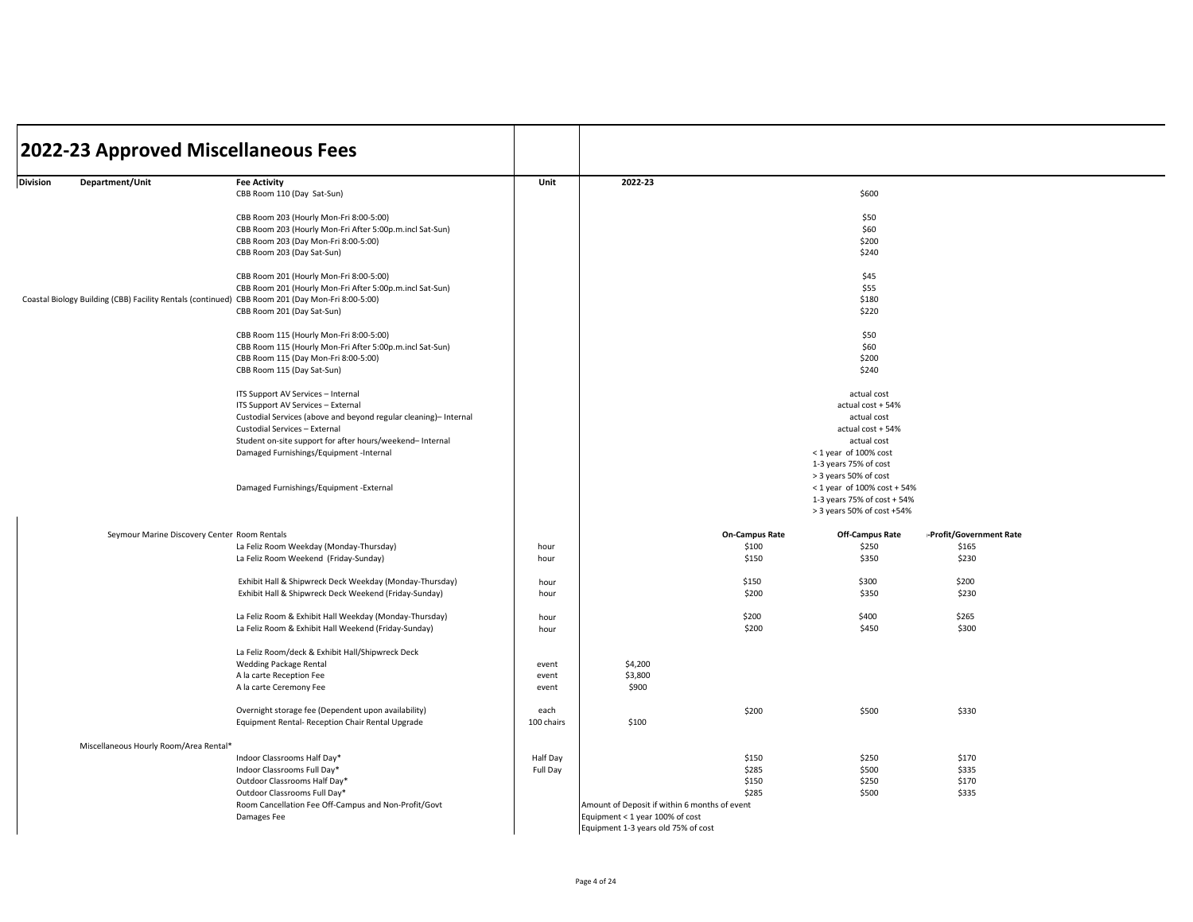| 2022-23 Approved Miscellaneous Fees                                                              |                                                                    |                |                                               |                       |                                                           |                         |  |
|--------------------------------------------------------------------------------------------------|--------------------------------------------------------------------|----------------|-----------------------------------------------|-----------------------|-----------------------------------------------------------|-------------------------|--|
| Division<br>Department/Unit                                                                      | <b>Fee Activity</b>                                                | Unit           | 2022-23                                       |                       |                                                           |                         |  |
|                                                                                                  | CBB Room 110 (Day Sat-Sun)                                         |                |                                               |                       | \$600                                                     |                         |  |
|                                                                                                  | CBB Room 203 (Hourly Mon-Fri 8:00-5:00)                            |                |                                               |                       | \$50                                                      |                         |  |
|                                                                                                  | CBB Room 203 (Hourly Mon-Fri After 5:00p.m.incl Sat-Sun)           |                |                                               |                       | \$60                                                      |                         |  |
|                                                                                                  | CBB Room 203 (Day Mon-Fri 8:00-5:00)<br>CBB Room 203 (Day Sat-Sun) |                |                                               |                       | \$200<br>\$240                                            |                         |  |
|                                                                                                  | CBB Room 201 (Hourly Mon-Fri 8:00-5:00)                            |                |                                               |                       | \$45                                                      |                         |  |
|                                                                                                  | CBB Room 201 (Hourly Mon-Fri After 5:00p.m.incl Sat-Sun)           |                |                                               |                       | \$55                                                      |                         |  |
| Coastal Biology Building (CBB) Facility Rentals (continued) CBB Room 201 (Day Mon-Fri 8:00-5:00) |                                                                    |                |                                               |                       | \$180                                                     |                         |  |
|                                                                                                  | CBB Room 201 (Day Sat-Sun)                                         |                |                                               |                       | \$220                                                     |                         |  |
|                                                                                                  | CBB Room 115 (Hourly Mon-Fri 8:00-5:00)                            |                |                                               |                       | \$50                                                      |                         |  |
|                                                                                                  | CBB Room 115 (Hourly Mon-Fri After 5:00p.m.incl Sat-Sun)           |                |                                               |                       | \$60<br>\$200                                             |                         |  |
|                                                                                                  | CBB Room 115 (Day Mon-Fri 8:00-5:00)<br>CBB Room 115 (Day Sat-Sun) |                |                                               |                       | \$240                                                     |                         |  |
|                                                                                                  | ITS Support AV Services - Internal                                 |                |                                               |                       | actual cost                                               |                         |  |
|                                                                                                  | ITS Support AV Services - External                                 |                |                                               |                       | actual cost + 54%                                         |                         |  |
|                                                                                                  | Custodial Services (above and beyond regular cleaning)- Internal   |                |                                               |                       | actual cost                                               |                         |  |
|                                                                                                  | Custodial Services - External                                      |                |                                               |                       | actual cost + 54%                                         |                         |  |
|                                                                                                  | Student on-site support for after hours/weekend- Internal          |                |                                               |                       | actual cost<br>< 1 year of 100% cost                      |                         |  |
|                                                                                                  | Damaged Furnishings/Equipment -Internal                            |                |                                               |                       | 1-3 years 75% of cost                                     |                         |  |
|                                                                                                  |                                                                    |                |                                               |                       | > 3 years 50% of cost                                     |                         |  |
|                                                                                                  | Damaged Furnishings/Equipment -External                            |                |                                               |                       | < 1 year of 100% cost + 54%                               |                         |  |
|                                                                                                  |                                                                    |                |                                               |                       | 1-3 years 75% of cost + 54%<br>> 3 years 50% of cost +54% |                         |  |
| Seymour Marine Discovery Center Room Rentals                                                     |                                                                    |                |                                               | <b>On-Campus Rate</b> | <b>Off-Campus Rate</b>                                    | -Profit/Government Rate |  |
|                                                                                                  | La Feliz Room Weekday (Monday-Thursday)                            | hour           |                                               | \$100                 | \$250                                                     | \$165                   |  |
|                                                                                                  | La Feliz Room Weekend (Friday-Sunday)                              | hour           |                                               | \$150                 | \$350                                                     | \$230                   |  |
|                                                                                                  | Exhibit Hall & Shipwreck Deck Weekday (Monday-Thursday)            | hour           |                                               | \$150                 | \$300                                                     | \$200                   |  |
|                                                                                                  | Exhibit Hall & Shipwreck Deck Weekend (Friday-Sunday)              | hour           |                                               | \$200                 | \$350                                                     | \$230                   |  |
|                                                                                                  | La Feliz Room & Exhibit Hall Weekday (Monday-Thursday)             | hour           |                                               | \$200                 | \$400                                                     | \$265                   |  |
|                                                                                                  | La Feliz Room & Exhibit Hall Weekend (Friday-Sunday)               | hour           |                                               | \$200                 | \$450                                                     | \$300                   |  |
|                                                                                                  | La Feliz Room/deck & Exhibit Hall/Shipwreck Deck                   |                |                                               |                       |                                                           |                         |  |
|                                                                                                  | <b>Wedding Package Rental</b>                                      | event          | \$4,200                                       |                       |                                                           |                         |  |
|                                                                                                  | A la carte Reception Fee<br>A la carte Ceremony Fee                | event<br>event | \$3,800<br>\$900                              |                       |                                                           |                         |  |
|                                                                                                  |                                                                    |                |                                               |                       |                                                           |                         |  |
|                                                                                                  | Overnight storage fee (Dependent upon availability)                | each           |                                               | \$200                 | \$500                                                     | \$330                   |  |
|                                                                                                  | Equipment Rental- Reception Chair Rental Upgrade                   | 100 chairs     | \$100                                         |                       |                                                           |                         |  |
| Miscellaneous Hourly Room/Area Rental*                                                           |                                                                    |                |                                               |                       |                                                           |                         |  |
|                                                                                                  | Indoor Classrooms Half Day*                                        | Half Day       |                                               | \$150                 | \$250                                                     | \$170                   |  |
|                                                                                                  | Indoor Classrooms Full Day*<br>Outdoor Classrooms Half Day*        | Full Day       |                                               | \$285<br>\$150        | \$500<br>\$250                                            | \$335<br>\$170          |  |
|                                                                                                  | Outdoor Classrooms Full Day*                                       |                |                                               | \$285                 | \$500                                                     | \$335                   |  |
|                                                                                                  | Room Cancellation Fee Off-Campus and Non-Profit/Govt               |                | Amount of Deposit if within 6 months of event |                       |                                                           |                         |  |
|                                                                                                  | Damages Fee                                                        |                | Equipment < 1 year 100% of cost               |                       |                                                           |                         |  |
|                                                                                                  |                                                                    |                | Equipment 1-3 years old 75% of cost           |                       |                                                           |                         |  |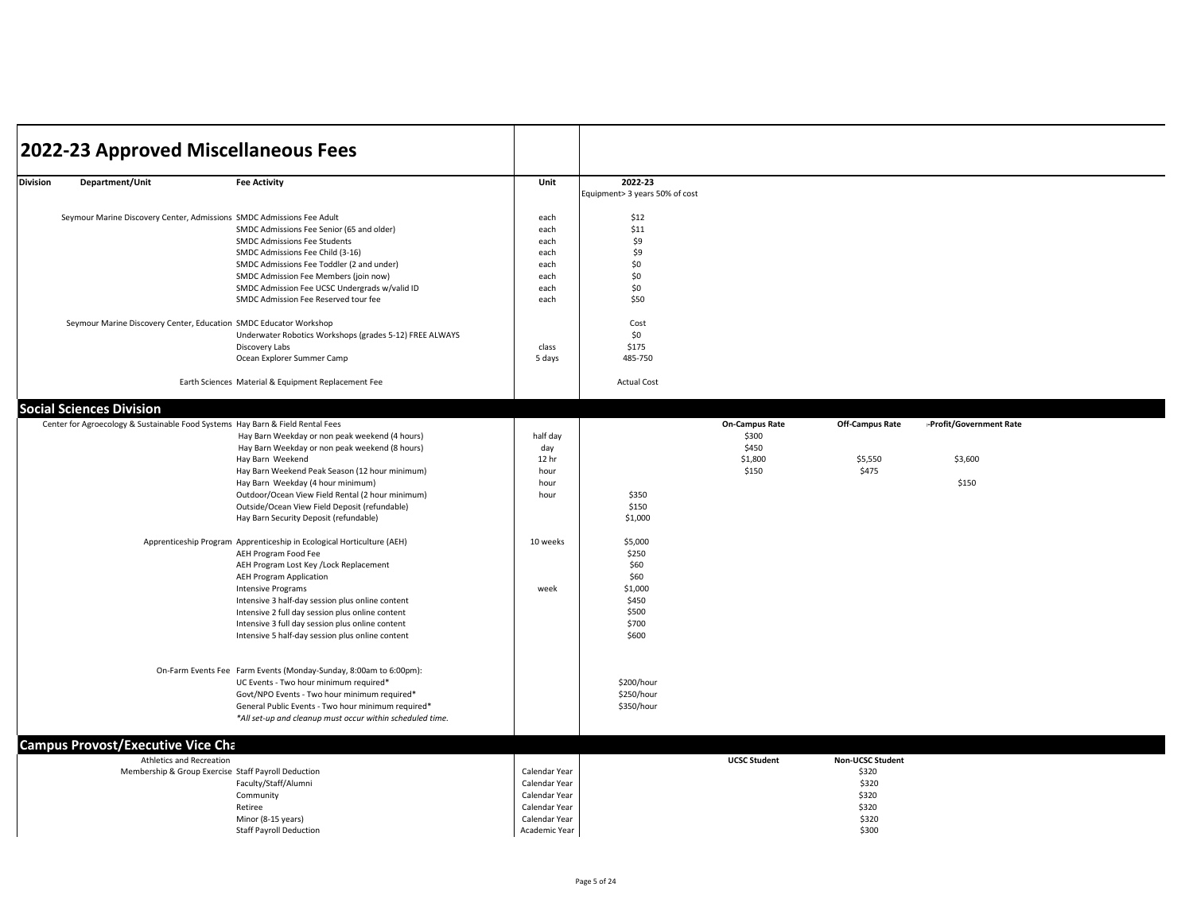|                 | 2022-23 Approved Miscellaneous Fees                                            |                                                                                                |               |                                |                       |                         |                         |
|-----------------|--------------------------------------------------------------------------------|------------------------------------------------------------------------------------------------|---------------|--------------------------------|-----------------------|-------------------------|-------------------------|
|                 |                                                                                |                                                                                                |               |                                |                       |                         |                         |
| <b>Division</b> | Department/Unit                                                                | <b>Fee Activity</b>                                                                            | Unit          | 2022-23                        |                       |                         |                         |
|                 |                                                                                |                                                                                                |               | Equipment> 3 years 50% of cost |                       |                         |                         |
|                 | Seymour Marine Discovery Center, Admissions SMDC Admissions Fee Adult          |                                                                                                | each          | \$12                           |                       |                         |                         |
|                 |                                                                                | SMDC Admissions Fee Senior (65 and older)                                                      | each          | \$11                           |                       |                         |                         |
|                 |                                                                                | SMDC Admissions Fee Students                                                                   | each          | \$9                            |                       |                         |                         |
|                 |                                                                                | SMDC Admissions Fee Child (3-16)                                                               | each          | \$9                            |                       |                         |                         |
|                 |                                                                                | SMDC Admissions Fee Toddler (2 and under)                                                      | each          | \$0                            |                       |                         |                         |
|                 |                                                                                | SMDC Admission Fee Members (join now)                                                          | each          | \$0                            |                       |                         |                         |
|                 |                                                                                | SMDC Admission Fee UCSC Undergrads w/valid ID                                                  | each          | \$0                            |                       |                         |                         |
|                 |                                                                                | SMDC Admission Fee Reserved tour fee                                                           | each          | \$50                           |                       |                         |                         |
|                 |                                                                                |                                                                                                |               |                                |                       |                         |                         |
|                 | Seymour Marine Discovery Center, Education SMDC Educator Workshop              |                                                                                                |               | Cost<br>\$0                    |                       |                         |                         |
|                 |                                                                                | Underwater Robotics Workshops (grades 5-12) FREE ALWAYS<br>Discovery Labs                      | class         | \$175                          |                       |                         |                         |
|                 |                                                                                | Ocean Explorer Summer Camp                                                                     | 5 days        | 485-750                        |                       |                         |                         |
|                 |                                                                                |                                                                                                |               |                                |                       |                         |                         |
|                 |                                                                                | Earth Sciences Material & Equipment Replacement Fee                                            |               | <b>Actual Cost</b>             |                       |                         |                         |
|                 | <b>Social Sciences Division</b>                                                |                                                                                                |               |                                |                       |                         |                         |
|                 | Center for Agroecology & Sustainable Food Systems Hay Barn & Field Rental Fees |                                                                                                |               |                                | <b>On-Campus Rate</b> | Off-Campus Rate         | -Profit/Government Rate |
|                 |                                                                                | Hay Barn Weekday or non peak weekend (4 hours)                                                 | half day      |                                | \$300                 |                         |                         |
|                 |                                                                                | Hay Barn Weekday or non peak weekend (8 hours)                                                 | day           |                                | \$450                 |                         |                         |
|                 |                                                                                | Hay Barn Weekend                                                                               | 12 hr         |                                | \$1,800               | \$5,550                 | \$3,600                 |
|                 |                                                                                | Hay Barn Weekend Peak Season (12 hour minimum)                                                 | hour          |                                | \$150                 | \$475                   |                         |
|                 |                                                                                | Hay Barn Weekday (4 hour minimum)                                                              | hour          |                                |                       |                         | \$150                   |
|                 |                                                                                | Outdoor/Ocean View Field Rental (2 hour minimum)                                               | hour          | \$350                          |                       |                         |                         |
|                 |                                                                                | Outside/Ocean View Field Deposit (refundable)                                                  |               | \$150                          |                       |                         |                         |
|                 |                                                                                | Hay Barn Security Deposit (refundable)                                                         |               | \$1,000                        |                       |                         |                         |
|                 |                                                                                |                                                                                                | 10 weeks      |                                |                       |                         |                         |
|                 |                                                                                | Apprenticeship Program Apprenticeship in Ecological Horticulture (AEH)<br>AEH Program Food Fee |               | \$5,000<br>\$250               |                       |                         |                         |
|                 |                                                                                | AEH Program Lost Key / Lock Replacement                                                        |               | \$60                           |                       |                         |                         |
|                 |                                                                                | <b>AEH Program Application</b>                                                                 |               | \$60                           |                       |                         |                         |
|                 |                                                                                | <b>Intensive Programs</b>                                                                      | week          | \$1,000                        |                       |                         |                         |
|                 |                                                                                | Intensive 3 half-day session plus online content                                               |               | \$450                          |                       |                         |                         |
|                 |                                                                                | Intensive 2 full day session plus online content                                               |               | \$500                          |                       |                         |                         |
|                 |                                                                                | Intensive 3 full day session plus online content                                               |               | \$700                          |                       |                         |                         |
|                 |                                                                                | Intensive 5 half-day session plus online content                                               |               | \$600                          |                       |                         |                         |
|                 |                                                                                |                                                                                                |               |                                |                       |                         |                         |
|                 |                                                                                |                                                                                                |               |                                |                       |                         |                         |
|                 |                                                                                | On-Farm Events Fee Farm Events (Monday-Sunday, 8:00am to 6:00pm):                              |               |                                |                       |                         |                         |
|                 |                                                                                | UC Events - Two hour minimum required*                                                         |               | \$200/hour                     |                       |                         |                         |
|                 |                                                                                | Govt/NPO Events - Two hour minimum required*                                                   |               | \$250/hour                     |                       |                         |                         |
|                 |                                                                                | General Public Events - Two hour minimum required*                                             |               | \$350/hour                     |                       |                         |                         |
|                 |                                                                                | *All set-up and cleanup must occur within scheduled time.                                      |               |                                |                       |                         |                         |
|                 | <b>Campus Provost/Executive Vice Cha</b>                                       |                                                                                                |               |                                |                       |                         |                         |
|                 | Athletics and Recreation                                                       |                                                                                                |               |                                | <b>UCSC Student</b>   | <b>Non-UCSC Student</b> |                         |
|                 | Membership & Group Exercise Staff Payroll Deduction                            |                                                                                                | Calendar Year |                                |                       | \$320                   |                         |
|                 |                                                                                | Faculty/Staff/Alumni                                                                           | Calendar Year |                                |                       | \$320                   |                         |
|                 |                                                                                | Community                                                                                      | Calendar Year |                                |                       | \$320                   |                         |
|                 |                                                                                | Retiree                                                                                        | Calendar Year |                                |                       | \$320                   |                         |
|                 |                                                                                | Minor (8-15 years)                                                                             | Calendar Year |                                |                       | \$320                   |                         |
|                 |                                                                                | <b>Staff Payroll Deduction</b>                                                                 | Academic Year |                                |                       | \$300                   |                         |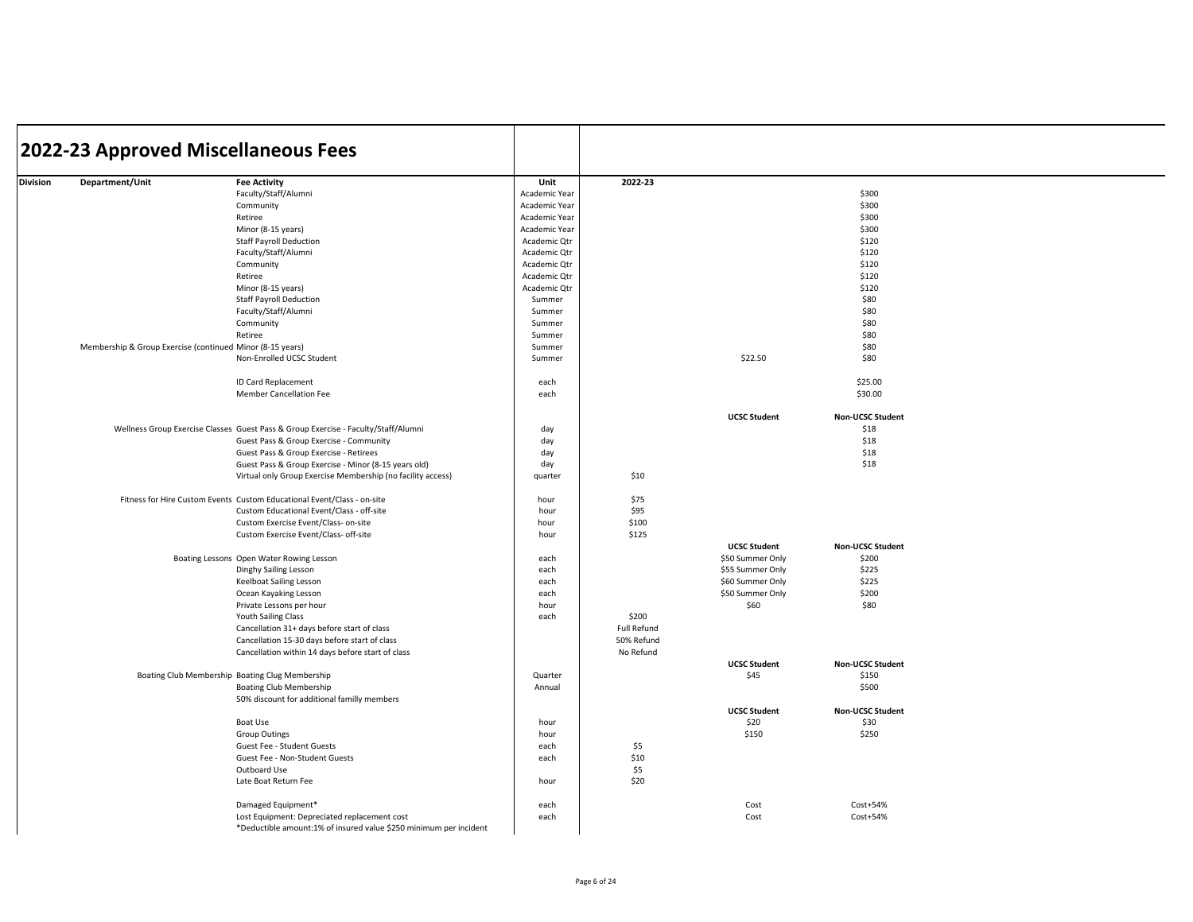|          | 2022-23 Approved Miscellaneous Fees                       |                                                                                    |               |             |                          |                         |  |
|----------|-----------------------------------------------------------|------------------------------------------------------------------------------------|---------------|-------------|--------------------------|-------------------------|--|
|          |                                                           |                                                                                    |               |             |                          |                         |  |
| Division | Department/Unit                                           | <b>Fee Activity</b>                                                                | Unit          | 2022-23     |                          |                         |  |
|          |                                                           | Faculty/Staff/Alumni                                                               | Academic Year |             |                          | \$300                   |  |
|          |                                                           | Community                                                                          | Academic Year |             |                          | \$300                   |  |
|          |                                                           | Retiree                                                                            | Academic Year |             |                          | \$300                   |  |
|          |                                                           | Minor (8-15 years)                                                                 | Academic Year |             |                          | \$300                   |  |
|          |                                                           | <b>Staff Payroll Deduction</b>                                                     | Academic Qtr  |             |                          | \$120                   |  |
|          |                                                           | Faculty/Staff/Alumni                                                               | Academic Qtr  |             |                          | \$120                   |  |
|          |                                                           |                                                                                    |               |             |                          |                         |  |
|          |                                                           | Community                                                                          | Academic Qtr  |             |                          | \$120                   |  |
|          |                                                           | Retiree                                                                            | Academic Qtr  |             |                          | \$120                   |  |
|          |                                                           | Minor (8-15 years)                                                                 | Academic Qtr  |             |                          | \$120                   |  |
|          |                                                           | <b>Staff Payroll Deduction</b>                                                     | Summer        |             |                          | \$80                    |  |
|          |                                                           | Faculty/Staff/Alumni                                                               | Summer        |             |                          | \$80                    |  |
|          |                                                           | Community                                                                          | Summer        |             |                          | \$80                    |  |
|          |                                                           | Retiree                                                                            | Summer        |             |                          | \$80                    |  |
|          | Membership & Group Exercise (continued Minor (8-15 years) |                                                                                    | Summer        |             |                          | \$80                    |  |
|          |                                                           | Non-Enrolled UCSC Student                                                          | Summer        |             | \$22.50                  | \$80                    |  |
|          |                                                           |                                                                                    |               |             |                          |                         |  |
|          |                                                           | ID Card Replacement                                                                | each          |             |                          | \$25.00                 |  |
|          |                                                           | <b>Member Cancellation Fee</b>                                                     | each          |             |                          | \$30.00                 |  |
|          |                                                           |                                                                                    |               |             |                          |                         |  |
|          |                                                           |                                                                                    |               |             | <b>UCSC Student</b>      | Non-UCSC Student        |  |
|          |                                                           | Wellness Group Exercise Classes Guest Pass & Group Exercise - Faculty/Staff/Alumni | day           |             |                          | \$18                    |  |
|          |                                                           | Guest Pass & Group Exercise - Community                                            | day           |             |                          | \$18                    |  |
|          |                                                           | Guest Pass & Group Exercise - Retirees                                             | day           |             |                          | \$18                    |  |
|          |                                                           | Guest Pass & Group Exercise - Minor (8-15 years old)                               | day           |             |                          | \$18                    |  |
|          |                                                           |                                                                                    | quarter       | \$10        |                          |                         |  |
|          |                                                           | Virtual only Group Exercise Membership (no facility access)                        |               |             |                          |                         |  |
|          |                                                           | Fitness for Hire Custom Events Custom Educational Event/Class - on-site            | hour          | \$75        |                          |                         |  |
|          |                                                           | Custom Educational Event/Class - off-site                                          | hour          | \$95        |                          |                         |  |
|          |                                                           | Custom Exercise Event/Class- on-site                                               | hour          | \$100       |                          |                         |  |
|          |                                                           | Custom Exercise Event/Class- off-site                                              | hour          | \$125       |                          |                         |  |
|          |                                                           |                                                                                    |               |             | <b>UCSC Student</b>      | Non-UCSC Student        |  |
|          |                                                           | Boating Lessons Open Water Rowing Lesson                                           | each          |             | \$50 Summer Only         | \$200                   |  |
|          |                                                           | Dinghy Sailing Lesson                                                              | each          |             | \$55 Summer Only         | \$225                   |  |
|          |                                                           | Keelboat Sailing Lesson                                                            | each          |             | \$60 Summer Only         | \$225                   |  |
|          |                                                           |                                                                                    |               |             |                          | \$200                   |  |
|          |                                                           | Ocean Kayaking Lesson                                                              | each          |             | \$50 Summer Only<br>\$60 | \$80                    |  |
|          |                                                           | Private Lessons per hour                                                           | hour          | \$200       |                          |                         |  |
|          |                                                           | Youth Sailing Class                                                                | each          |             |                          |                         |  |
|          |                                                           | Cancellation 31+ days before start of class                                        |               | Full Refund |                          |                         |  |
|          |                                                           | Cancellation 15-30 days before start of class                                      |               | 50% Refund  |                          |                         |  |
|          |                                                           | Cancellation within 14 days before start of class                                  |               | No Refund   |                          |                         |  |
|          |                                                           |                                                                                    |               |             | <b>UCSC Student</b>      | <b>Non-UCSC Student</b> |  |
|          |                                                           | Boating Club Membership Boating Clug Membership                                    | Quarter       |             | \$45                     | \$150                   |  |
|          |                                                           | <b>Boating Club Membership</b>                                                     | Annual        |             |                          | \$500                   |  |
|          |                                                           | 50% discount for additional familly members                                        |               |             |                          |                         |  |
|          |                                                           |                                                                                    |               |             | <b>UCSC Student</b>      | Non-UCSC Student        |  |
|          |                                                           | Boat Use                                                                           | hour          |             | \$20                     | \$30                    |  |
|          |                                                           | <b>Group Outings</b>                                                               | hour          |             | \$150                    | \$250                   |  |
|          |                                                           | Guest Fee - Student Guests                                                         | each          | \$5         |                          |                         |  |
|          |                                                           | Guest Fee - Non-Student Guests                                                     | each          | \$10        |                          |                         |  |
|          |                                                           | Outboard Use                                                                       |               | \$5         |                          |                         |  |
|          |                                                           | Late Boat Return Fee                                                               | hour          | \$20        |                          |                         |  |
|          |                                                           |                                                                                    |               |             |                          |                         |  |
|          |                                                           | Damaged Equipment*                                                                 | each          |             | Cost                     | Cost+54%                |  |
|          |                                                           |                                                                                    |               |             |                          |                         |  |
|          |                                                           | Lost Equipment: Depreciated replacement cost                                       | each          |             | Cost                     | Cost+54%                |  |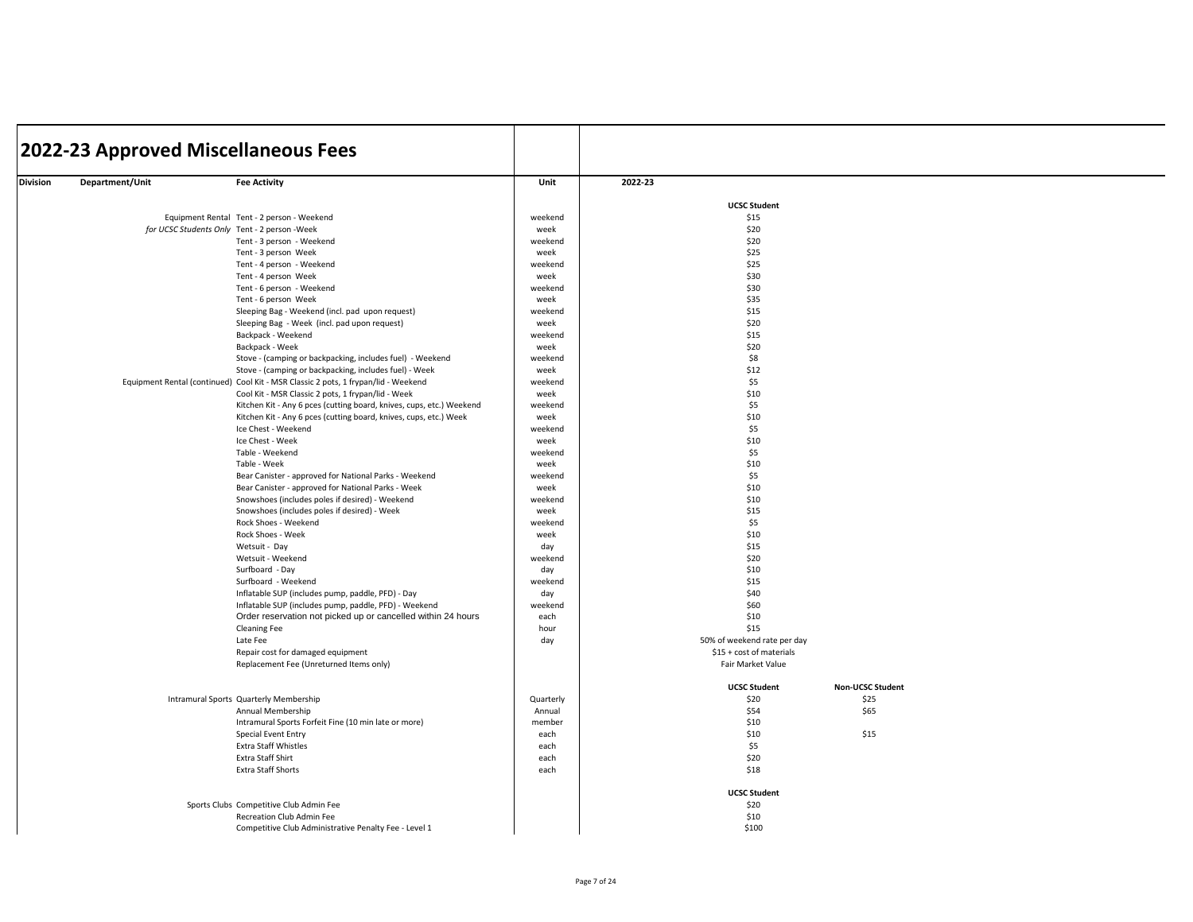|          | 2022-23 Approved Miscellaneous Fees |                                                                                                                       |              |                             |                         |  |
|----------|-------------------------------------|-----------------------------------------------------------------------------------------------------------------------|--------------|-----------------------------|-------------------------|--|
| Division | Department/Unit                     | <b>Fee Activity</b>                                                                                                   | Unit         | 2022-23                     |                         |  |
|          |                                     |                                                                                                                       |              | <b>UCSC Student</b>         |                         |  |
|          |                                     | Equipment Rental Tent - 2 person - Weekend                                                                            | weekend      | \$15                        |                         |  |
|          |                                     | for UCSC Students Only Tent - 2 person -Week                                                                          | week         | \$20                        |                         |  |
|          |                                     | Tent - 3 person - Weekend                                                                                             | weekend      | \$20                        |                         |  |
|          |                                     | Tent - 3 person Week                                                                                                  | week         | \$25                        |                         |  |
|          |                                     | Tent - 4 person - Weekend                                                                                             | weekend      | \$25                        |                         |  |
|          |                                     | Tent - 4 person Week                                                                                                  | week         | \$30                        |                         |  |
|          |                                     | Tent - 6 person - Weekend                                                                                             | weekend      | \$30                        |                         |  |
|          |                                     | Tent - 6 person Week                                                                                                  | week         | \$35                        |                         |  |
|          |                                     | Sleeping Bag - Weekend (incl. pad upon request)                                                                       | weekend      | \$15                        |                         |  |
|          |                                     | Sleeping Bag - Week (incl. pad upon request)                                                                          | week         | \$20                        |                         |  |
|          |                                     | Backpack - Weekend                                                                                                    | weekend      | \$15                        |                         |  |
|          |                                     | Backpack - Week                                                                                                       | week         | \$20                        |                         |  |
|          |                                     | Stove - (camping or backpacking, includes fuel) - Weekend                                                             | weekend      | \$8                         |                         |  |
|          |                                     | Stove - (camping or backpacking, includes fuel) - Week                                                                | week         | \$12                        |                         |  |
|          |                                     | Equipment Rental (continued) Cool Kit - MSR Classic 2 pots, 1 frypan/lid - Weekend                                    | weekend      | \$5                         |                         |  |
|          |                                     | Cool Kit - MSR Classic 2 pots, 1 frypan/lid - Week                                                                    | week         | \$10                        |                         |  |
|          |                                     | Kitchen Kit - Any 6 pces (cutting board, knives, cups, etc.) Weekend                                                  | weekend      | \$5                         |                         |  |
|          |                                     | Kitchen Kit - Any 6 pces (cutting board, knives, cups, etc.) Week                                                     | week         | \$10                        |                         |  |
|          |                                     | Ice Chest - Weekend                                                                                                   | weekend      | \$5                         |                         |  |
|          |                                     | Ice Chest - Week                                                                                                      | week         | \$10                        |                         |  |
|          |                                     | Table - Weekend                                                                                                       | weekend      | \$5                         |                         |  |
|          |                                     | Table - Week                                                                                                          | week         | \$10                        |                         |  |
|          |                                     | Bear Canister - approved for National Parks - Weekend                                                                 | weekend      | \$5                         |                         |  |
|          |                                     | Bear Canister - approved for National Parks - Week                                                                    | week         | \$10                        |                         |  |
|          |                                     | Snowshoes (includes poles if desired) - Weekend                                                                       | weekend      | \$10                        |                         |  |
|          |                                     | Snowshoes (includes poles if desired) - Week                                                                          | week         | \$15                        |                         |  |
|          |                                     | Rock Shoes - Weekend                                                                                                  | weekend      | \$5                         |                         |  |
|          |                                     | Rock Shoes - Week                                                                                                     | week         | \$10                        |                         |  |
|          |                                     | Wetsuit - Day                                                                                                         | day          | \$15                        |                         |  |
|          |                                     | Wetsuit - Weekend                                                                                                     | weekend      | \$20                        |                         |  |
|          |                                     | Surfboard - Day                                                                                                       | day          | \$10                        |                         |  |
|          |                                     | Surfboard - Weekend                                                                                                   | weekend      | \$15                        |                         |  |
|          |                                     | Inflatable SUP (includes pump, paddle, PFD) - Day                                                                     | day          | \$40<br>\$60                |                         |  |
|          |                                     | Inflatable SUP (includes pump, paddle, PFD) - Weekend<br>Order reservation not picked up or cancelled within 24 hours | weekend      | \$10                        |                         |  |
|          |                                     | <b>Cleaning Fee</b>                                                                                                   | each<br>hour | \$15                        |                         |  |
|          |                                     | Late Fee                                                                                                              | day          | 50% of weekend rate per day |                         |  |
|          |                                     | Repair cost for damaged equipment                                                                                     |              | \$15 + cost of materials    |                         |  |
|          |                                     | Replacement Fee (Unreturned Items only)                                                                               |              | Fair Market Value           |                         |  |
|          |                                     |                                                                                                                       |              | <b>UCSC Student</b>         | <b>Non-UCSC Student</b> |  |
|          |                                     | Intramural Sports Quarterly Membership                                                                                | Quarterly    | \$20                        | \$25                    |  |
|          |                                     | Annual Membership                                                                                                     | Annual       | \$54                        | \$65                    |  |
|          |                                     | Intramural Sports Forfeit Fine (10 min late or more)                                                                  | member       | \$10                        |                         |  |
|          |                                     | Special Event Entry                                                                                                   | each         | \$10                        | \$15                    |  |
|          |                                     | <b>Extra Staff Whistles</b>                                                                                           | each         | \$5                         |                         |  |
|          |                                     | Extra Staff Shirt                                                                                                     | each         | \$20                        |                         |  |
|          |                                     | <b>Extra Staff Shorts</b>                                                                                             | each         | \$18                        |                         |  |
|          |                                     |                                                                                                                       |              | <b>UCSC Student</b>         |                         |  |
|          |                                     | Sports Clubs Competitive Club Admin Fee                                                                               |              | \$20                        |                         |  |
|          |                                     | Recreation Club Admin Fee                                                                                             |              | \$10                        |                         |  |
|          |                                     | Competitive Club Administrative Penalty Fee - Level 1                                                                 |              | \$100                       |                         |  |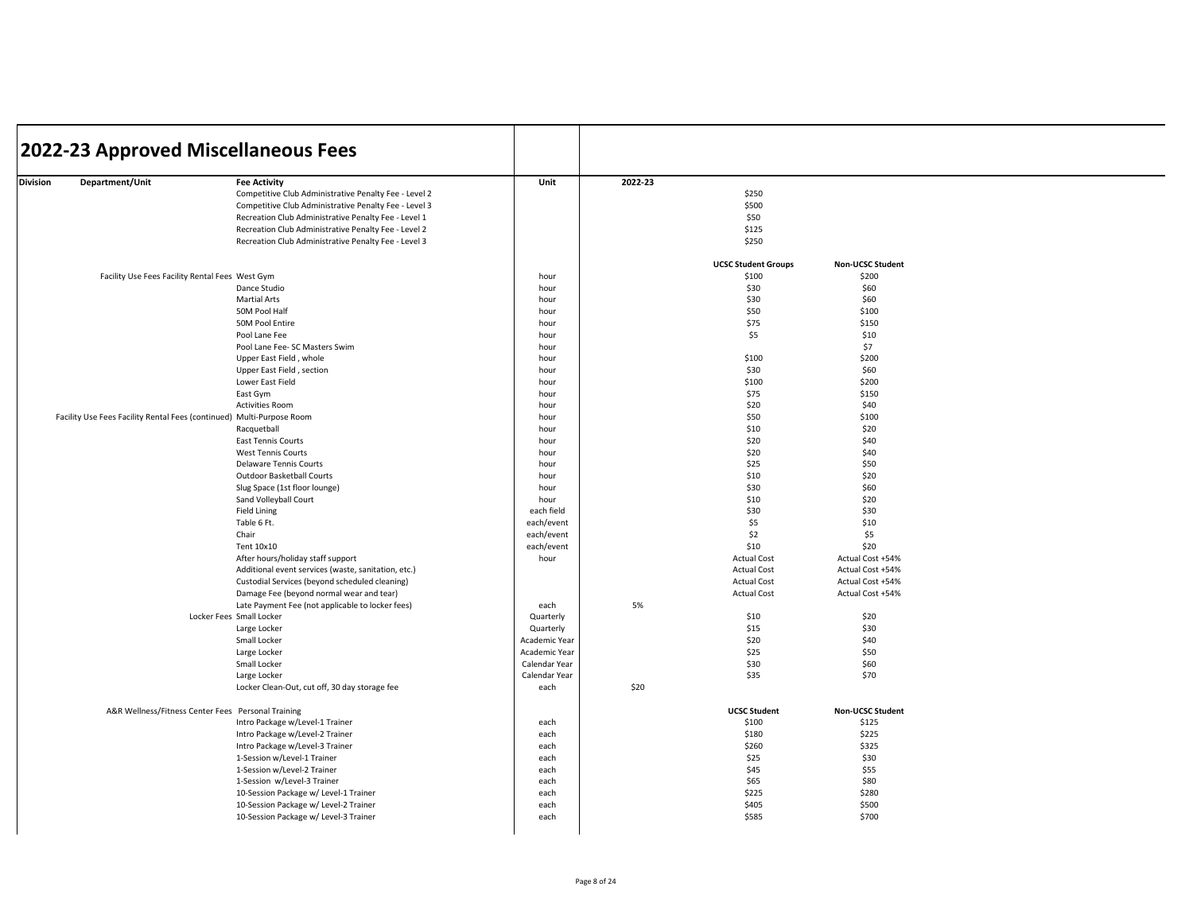| 2022-23 Approved Miscellaneous Fees                                                                                      |                                                                                                                                                                                                                                                                                                                                                                                                                                                                                                                                                                                                                                                                                                                                                                                                                                               |                                                                                                                                                                                                                                                                                                                   |         |                                                                                                                                                                                                                                                                                                                      |                                                                                                                                                                                                                                                                                                                           |  |
|--------------------------------------------------------------------------------------------------------------------------|-----------------------------------------------------------------------------------------------------------------------------------------------------------------------------------------------------------------------------------------------------------------------------------------------------------------------------------------------------------------------------------------------------------------------------------------------------------------------------------------------------------------------------------------------------------------------------------------------------------------------------------------------------------------------------------------------------------------------------------------------------------------------------------------------------------------------------------------------|-------------------------------------------------------------------------------------------------------------------------------------------------------------------------------------------------------------------------------------------------------------------------------------------------------------------|---------|----------------------------------------------------------------------------------------------------------------------------------------------------------------------------------------------------------------------------------------------------------------------------------------------------------------------|---------------------------------------------------------------------------------------------------------------------------------------------------------------------------------------------------------------------------------------------------------------------------------------------------------------------------|--|
| Department/Unit<br>Division                                                                                              | <b>Fee Activity</b><br>Competitive Club Administrative Penalty Fee - Level 2<br>Competitive Club Administrative Penalty Fee - Level 3<br>Recreation Club Administrative Penalty Fee - Level 1<br>Recreation Club Administrative Penalty Fee - Level 2<br>Recreation Club Administrative Penalty Fee - Level 3                                                                                                                                                                                                                                                                                                                                                                                                                                                                                                                                 | Unit                                                                                                                                                                                                                                                                                                              | 2022-23 | \$250<br>\$500<br>\$50<br>\$125<br>\$250                                                                                                                                                                                                                                                                             |                                                                                                                                                                                                                                                                                                                           |  |
|                                                                                                                          |                                                                                                                                                                                                                                                                                                                                                                                                                                                                                                                                                                                                                                                                                                                                                                                                                                               |                                                                                                                                                                                                                                                                                                                   |         | <b>UCSC Student Groups</b>                                                                                                                                                                                                                                                                                           | <b>Non-UCSC Student</b>                                                                                                                                                                                                                                                                                                   |  |
| Facility Use Fees Facility Rental Fees West Gym<br>Facility Use Fees Facility Rental Fees (continued) Multi-Purpose Room | Dance Studio<br><b>Martial Arts</b><br>50M Pool Half<br>50M Pool Entire<br>Pool Lane Fee<br>Pool Lane Fee- SC Masters Swim<br>Upper East Field, whole<br>Upper East Field, section<br>Lower East Field<br>East Gym<br><b>Activities Room</b><br>Racquetball<br>East Tennis Courts<br><b>West Tennis Courts</b><br><b>Delaware Tennis Courts</b><br>Outdoor Basketball Courts<br>Slug Space (1st floor lounge)<br>Sand Volleyball Court<br><b>Field Lining</b><br>Table 6 Ft.<br>Chair<br>Tent 10x10<br>After hours/holiday staff support<br>Additional event services (waste, sanitation, etc.)<br>Custodial Services (beyond scheduled cleaning)<br>Damage Fee (beyond normal wear and tear)<br>Late Payment Fee (not applicable to locker fees)<br>Locker Fees Small Locker<br>Large Locker<br>Small Locker<br>Large Locker<br>Small Locker | hour<br>hour<br>hour<br>hour<br>hour<br>hour<br>hour<br>hour<br>hour<br>hour<br>hour<br>hour<br>hour<br>hour<br>hour<br>hour<br>hour<br>hour<br>hour<br>hour<br>each field<br>each/event<br>each/event<br>each/event<br>hour<br>each<br>Quarterly<br>Quarterly<br>Academic Year<br>Academic Year<br>Calendar Year | 5%      | \$100<br>\$30<br>\$30<br>\$50<br>\$75<br>\$5<br>\$100<br>\$30<br>\$100<br>\$75<br>\$20<br>\$50<br>\$10<br>\$20<br>\$20<br>\$25<br>\$10<br>\$30<br>\$10<br>\$30<br>\$5<br>\$2<br>\$10<br><b>Actual Cost</b><br><b>Actual Cost</b><br><b>Actual Cost</b><br><b>Actual Cost</b><br>\$10<br>\$15<br>\$20<br>\$25<br>\$30 | \$200<br>\$60<br>\$60<br>\$100<br>\$150<br>\$10<br>\$7<br>\$200<br>\$60<br>\$200<br>\$150<br>\$40<br>\$100<br>\$20<br>\$40<br>\$40<br>\$50<br>\$20<br>\$60<br>\$20<br>\$30<br>\$10<br>\$5<br>\$20<br>Actual Cost +54%<br>Actual Cost +54%<br>Actual Cost +54%<br>Actual Cost +54%<br>\$20<br>\$30<br>\$40<br>\$50<br>\$60 |  |
|                                                                                                                          | Large Locker<br>Locker Clean-Out, cut off, 30 day storage fee                                                                                                                                                                                                                                                                                                                                                                                                                                                                                                                                                                                                                                                                                                                                                                                 | Calendar Year<br>each                                                                                                                                                                                                                                                                                             | \$20    | \$35                                                                                                                                                                                                                                                                                                                 | \$70                                                                                                                                                                                                                                                                                                                      |  |
|                                                                                                                          | A&R Wellness/Fitness Center Fees Personal Training<br>Intro Package w/Level-1 Trainer<br>Intro Package w/Level-2 Trainer<br>Intro Package w/Level-3 Trainer<br>1-Session w/Level-1 Trainer<br>1-Session w/Level-2 Trainer<br>1-Session w/Level-3 Trainer<br>10-Session Package w/ Level-1 Trainer<br>10-Session Package w/ Level-2 Trainer<br>10-Session Package w/ Level-3 Trainer                                                                                                                                                                                                                                                                                                                                                                                                                                                           | each<br>each<br>each<br>each<br>each<br>each<br>each<br>each<br>each                                                                                                                                                                                                                                              |         | <b>UCSC Student</b><br>\$100<br>\$180<br>\$260<br>\$25<br>\$45<br>\$65<br>\$225<br>\$405<br>\$585                                                                                                                                                                                                                    | <b>Non-UCSC Student</b><br>\$125<br>\$225<br>\$325<br>\$30<br>\$55<br>\$80<br>\$280<br>\$500<br>\$700                                                                                                                                                                                                                     |  |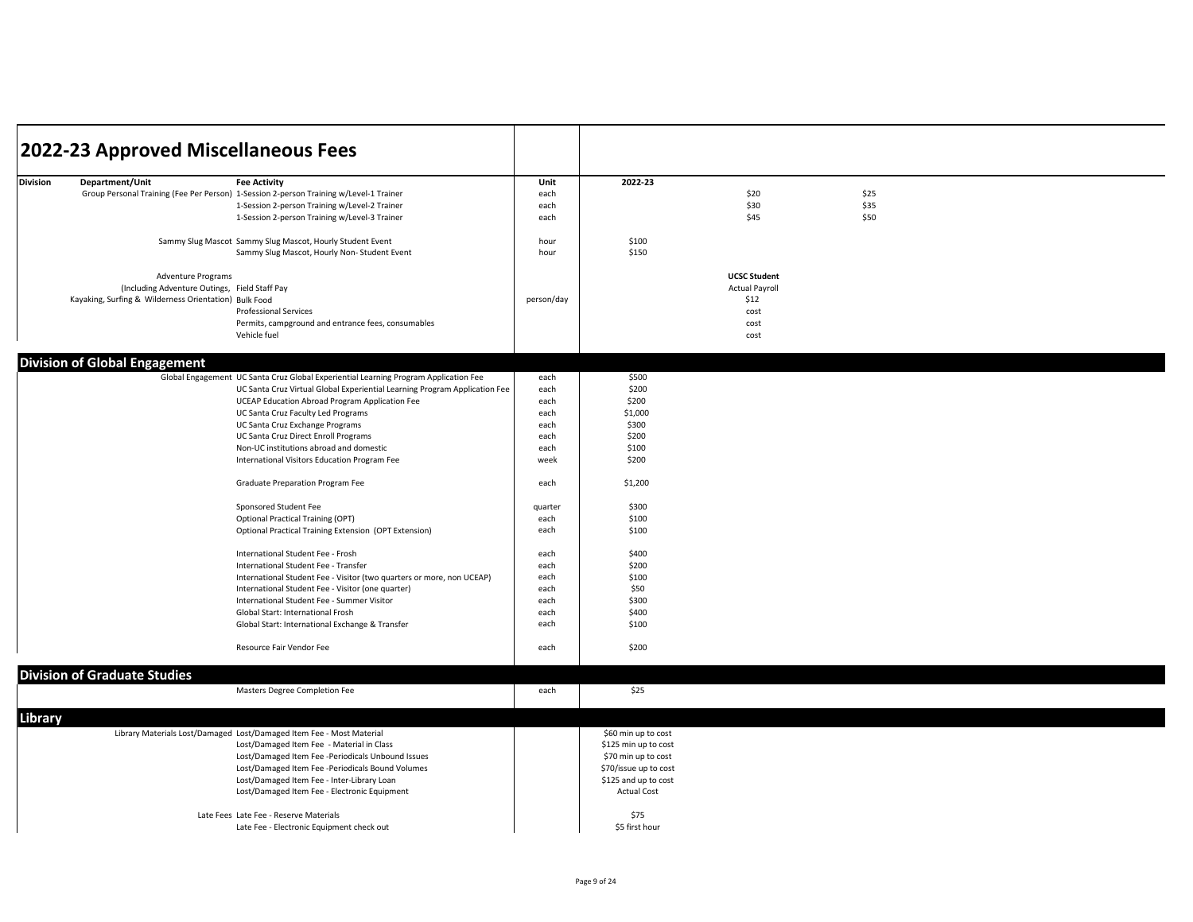| 2022-23<br><b>Division</b><br>Department/Unit<br><b>Fee Activity</b><br>Unit<br>\$25<br>Group Personal Training (Fee Per Person) 1-Session 2-person Training w/Level-1 Trainer<br>each<br>\$20<br>\$35<br>\$30<br>1-Session 2-person Training w/Level-2 Trainer<br>each<br>\$45<br>\$50<br>1-Session 2-person Training w/Level-3 Trainer<br>each<br>Sammy Slug Mascot Sammy Slug Mascot, Hourly Student Event<br>\$100<br>hour<br>\$150<br>Sammy Slug Mascot, Hourly Non-Student Event<br>hour<br><b>UCSC Student</b><br><b>Adventure Programs</b><br><b>Actual Payroll</b><br>(Including Adventure Outings, Field Staff Pay<br>\$12<br>Kayaking, Surfing & Wilderness Orientation) Bulk Food<br>person/day<br><b>Professional Services</b><br>cost<br>Permits, campground and entrance fees, consumables<br>cost<br>Vehicle fuel<br>cost<br><b>Division of Global Engagement</b><br>Global Engagement UC Santa Cruz Global Experiential Learning Program Application Fee<br>\$500<br>each<br>\$200<br>UC Santa Cruz Virtual Global Experiential Learning Program Application Fee<br>each<br>\$200<br>UCEAP Education Abroad Program Application Fee<br>each<br>\$1,000<br>UC Santa Cruz Faculty Led Programs<br>each<br>UC Santa Cruz Exchange Programs<br>\$300<br>each<br>UC Santa Cruz Direct Enroll Programs<br>\$200<br>each<br>Non-UC institutions abroad and domestic<br>\$100<br>each<br>International Visitors Education Program Fee<br>week<br>\$200<br>Graduate Preparation Program Fee<br>\$1,200<br>each<br>Sponsored Student Fee<br>quarter<br>\$300<br><b>Optional Practical Training (OPT)</b><br>each<br>\$100<br>Optional Practical Training Extension (OPT Extension)<br>each<br>\$100<br>\$400<br>International Student Fee - Frosh<br>each<br>\$200<br>International Student Fee - Transfer<br>each<br>\$100<br>International Student Fee - Visitor (two quarters or more, non UCEAP)<br>each<br>\$50<br>International Student Fee - Visitor (one quarter)<br>each<br>International Student Fee - Summer Visitor<br>each<br>\$300<br>\$400<br>Global Start: International Frosh<br>each<br>\$100<br>Global Start: International Exchange & Transfer<br>each<br>Resource Fair Vendor Fee<br>\$200<br>each<br><b>Division of Graduate Studies</b><br>\$25<br>Masters Degree Completion Fee<br>each<br>Library<br>Library Materials Lost/Damaged Lost/Damaged Item Fee - Most Material<br>\$60 min up to cost<br>Lost/Damaged Item Fee - Material in Class<br>\$125 min up to cost<br>Lost/Damaged Item Fee -Periodicals Unbound Issues<br>\$70 min up to cost<br>Lost/Damaged Item Fee -Periodicals Bound Volumes<br>\$70/issue up to cost<br>Lost/Damaged Item Fee - Inter-Library Loan<br>\$125 and up to cost<br>Lost/Damaged Item Fee - Electronic Equipment<br><b>Actual Cost</b><br>\$75<br>Late Fees Late Fee - Reserve Materials<br>Late Fee - Electronic Equipment check out<br>\$5 first hour | 2022-23 Approved Miscellaneous Fees |  |  |  |
|-----------------------------------------------------------------------------------------------------------------------------------------------------------------------------------------------------------------------------------------------------------------------------------------------------------------------------------------------------------------------------------------------------------------------------------------------------------------------------------------------------------------------------------------------------------------------------------------------------------------------------------------------------------------------------------------------------------------------------------------------------------------------------------------------------------------------------------------------------------------------------------------------------------------------------------------------------------------------------------------------------------------------------------------------------------------------------------------------------------------------------------------------------------------------------------------------------------------------------------------------------------------------------------------------------------------------------------------------------------------------------------------------------------------------------------------------------------------------------------------------------------------------------------------------------------------------------------------------------------------------------------------------------------------------------------------------------------------------------------------------------------------------------------------------------------------------------------------------------------------------------------------------------------------------------------------------------------------------------------------------------------------------------------------------------------------------------------------------------------------------------------------------------------------------------------------------------------------------------------------------------------------------------------------------------------------------------------------------------------------------------------------------------------------------------------------------------------------------------------------------------------------------------------------------------------------------------------------------------------------------------------------------------------------------------------------------------------------------------------------------------------------------------------------------------------------------------------------------------------------------------------------------------------------------------|-------------------------------------|--|--|--|
|                                                                                                                                                                                                                                                                                                                                                                                                                                                                                                                                                                                                                                                                                                                                                                                                                                                                                                                                                                                                                                                                                                                                                                                                                                                                                                                                                                                                                                                                                                                                                                                                                                                                                                                                                                                                                                                                                                                                                                                                                                                                                                                                                                                                                                                                                                                                                                                                                                                                                                                                                                                                                                                                                                                                                                                                                                                                                                                             |                                     |  |  |  |
|                                                                                                                                                                                                                                                                                                                                                                                                                                                                                                                                                                                                                                                                                                                                                                                                                                                                                                                                                                                                                                                                                                                                                                                                                                                                                                                                                                                                                                                                                                                                                                                                                                                                                                                                                                                                                                                                                                                                                                                                                                                                                                                                                                                                                                                                                                                                                                                                                                                                                                                                                                                                                                                                                                                                                                                                                                                                                                                             |                                     |  |  |  |
|                                                                                                                                                                                                                                                                                                                                                                                                                                                                                                                                                                                                                                                                                                                                                                                                                                                                                                                                                                                                                                                                                                                                                                                                                                                                                                                                                                                                                                                                                                                                                                                                                                                                                                                                                                                                                                                                                                                                                                                                                                                                                                                                                                                                                                                                                                                                                                                                                                                                                                                                                                                                                                                                                                                                                                                                                                                                                                                             |                                     |  |  |  |
|                                                                                                                                                                                                                                                                                                                                                                                                                                                                                                                                                                                                                                                                                                                                                                                                                                                                                                                                                                                                                                                                                                                                                                                                                                                                                                                                                                                                                                                                                                                                                                                                                                                                                                                                                                                                                                                                                                                                                                                                                                                                                                                                                                                                                                                                                                                                                                                                                                                                                                                                                                                                                                                                                                                                                                                                                                                                                                                             |                                     |  |  |  |
|                                                                                                                                                                                                                                                                                                                                                                                                                                                                                                                                                                                                                                                                                                                                                                                                                                                                                                                                                                                                                                                                                                                                                                                                                                                                                                                                                                                                                                                                                                                                                                                                                                                                                                                                                                                                                                                                                                                                                                                                                                                                                                                                                                                                                                                                                                                                                                                                                                                                                                                                                                                                                                                                                                                                                                                                                                                                                                                             |                                     |  |  |  |
|                                                                                                                                                                                                                                                                                                                                                                                                                                                                                                                                                                                                                                                                                                                                                                                                                                                                                                                                                                                                                                                                                                                                                                                                                                                                                                                                                                                                                                                                                                                                                                                                                                                                                                                                                                                                                                                                                                                                                                                                                                                                                                                                                                                                                                                                                                                                                                                                                                                                                                                                                                                                                                                                                                                                                                                                                                                                                                                             |                                     |  |  |  |
|                                                                                                                                                                                                                                                                                                                                                                                                                                                                                                                                                                                                                                                                                                                                                                                                                                                                                                                                                                                                                                                                                                                                                                                                                                                                                                                                                                                                                                                                                                                                                                                                                                                                                                                                                                                                                                                                                                                                                                                                                                                                                                                                                                                                                                                                                                                                                                                                                                                                                                                                                                                                                                                                                                                                                                                                                                                                                                                             |                                     |  |  |  |
|                                                                                                                                                                                                                                                                                                                                                                                                                                                                                                                                                                                                                                                                                                                                                                                                                                                                                                                                                                                                                                                                                                                                                                                                                                                                                                                                                                                                                                                                                                                                                                                                                                                                                                                                                                                                                                                                                                                                                                                                                                                                                                                                                                                                                                                                                                                                                                                                                                                                                                                                                                                                                                                                                                                                                                                                                                                                                                                             |                                     |  |  |  |
|                                                                                                                                                                                                                                                                                                                                                                                                                                                                                                                                                                                                                                                                                                                                                                                                                                                                                                                                                                                                                                                                                                                                                                                                                                                                                                                                                                                                                                                                                                                                                                                                                                                                                                                                                                                                                                                                                                                                                                                                                                                                                                                                                                                                                                                                                                                                                                                                                                                                                                                                                                                                                                                                                                                                                                                                                                                                                                                             |                                     |  |  |  |
|                                                                                                                                                                                                                                                                                                                                                                                                                                                                                                                                                                                                                                                                                                                                                                                                                                                                                                                                                                                                                                                                                                                                                                                                                                                                                                                                                                                                                                                                                                                                                                                                                                                                                                                                                                                                                                                                                                                                                                                                                                                                                                                                                                                                                                                                                                                                                                                                                                                                                                                                                                                                                                                                                                                                                                                                                                                                                                                             |                                     |  |  |  |
|                                                                                                                                                                                                                                                                                                                                                                                                                                                                                                                                                                                                                                                                                                                                                                                                                                                                                                                                                                                                                                                                                                                                                                                                                                                                                                                                                                                                                                                                                                                                                                                                                                                                                                                                                                                                                                                                                                                                                                                                                                                                                                                                                                                                                                                                                                                                                                                                                                                                                                                                                                                                                                                                                                                                                                                                                                                                                                                             |                                     |  |  |  |
|                                                                                                                                                                                                                                                                                                                                                                                                                                                                                                                                                                                                                                                                                                                                                                                                                                                                                                                                                                                                                                                                                                                                                                                                                                                                                                                                                                                                                                                                                                                                                                                                                                                                                                                                                                                                                                                                                                                                                                                                                                                                                                                                                                                                                                                                                                                                                                                                                                                                                                                                                                                                                                                                                                                                                                                                                                                                                                                             |                                     |  |  |  |
|                                                                                                                                                                                                                                                                                                                                                                                                                                                                                                                                                                                                                                                                                                                                                                                                                                                                                                                                                                                                                                                                                                                                                                                                                                                                                                                                                                                                                                                                                                                                                                                                                                                                                                                                                                                                                                                                                                                                                                                                                                                                                                                                                                                                                                                                                                                                                                                                                                                                                                                                                                                                                                                                                                                                                                                                                                                                                                                             |                                     |  |  |  |
|                                                                                                                                                                                                                                                                                                                                                                                                                                                                                                                                                                                                                                                                                                                                                                                                                                                                                                                                                                                                                                                                                                                                                                                                                                                                                                                                                                                                                                                                                                                                                                                                                                                                                                                                                                                                                                                                                                                                                                                                                                                                                                                                                                                                                                                                                                                                                                                                                                                                                                                                                                                                                                                                                                                                                                                                                                                                                                                             |                                     |  |  |  |
|                                                                                                                                                                                                                                                                                                                                                                                                                                                                                                                                                                                                                                                                                                                                                                                                                                                                                                                                                                                                                                                                                                                                                                                                                                                                                                                                                                                                                                                                                                                                                                                                                                                                                                                                                                                                                                                                                                                                                                                                                                                                                                                                                                                                                                                                                                                                                                                                                                                                                                                                                                                                                                                                                                                                                                                                                                                                                                                             |                                     |  |  |  |
|                                                                                                                                                                                                                                                                                                                                                                                                                                                                                                                                                                                                                                                                                                                                                                                                                                                                                                                                                                                                                                                                                                                                                                                                                                                                                                                                                                                                                                                                                                                                                                                                                                                                                                                                                                                                                                                                                                                                                                                                                                                                                                                                                                                                                                                                                                                                                                                                                                                                                                                                                                                                                                                                                                                                                                                                                                                                                                                             |                                     |  |  |  |
|                                                                                                                                                                                                                                                                                                                                                                                                                                                                                                                                                                                                                                                                                                                                                                                                                                                                                                                                                                                                                                                                                                                                                                                                                                                                                                                                                                                                                                                                                                                                                                                                                                                                                                                                                                                                                                                                                                                                                                                                                                                                                                                                                                                                                                                                                                                                                                                                                                                                                                                                                                                                                                                                                                                                                                                                                                                                                                                             |                                     |  |  |  |
|                                                                                                                                                                                                                                                                                                                                                                                                                                                                                                                                                                                                                                                                                                                                                                                                                                                                                                                                                                                                                                                                                                                                                                                                                                                                                                                                                                                                                                                                                                                                                                                                                                                                                                                                                                                                                                                                                                                                                                                                                                                                                                                                                                                                                                                                                                                                                                                                                                                                                                                                                                                                                                                                                                                                                                                                                                                                                                                             |                                     |  |  |  |
|                                                                                                                                                                                                                                                                                                                                                                                                                                                                                                                                                                                                                                                                                                                                                                                                                                                                                                                                                                                                                                                                                                                                                                                                                                                                                                                                                                                                                                                                                                                                                                                                                                                                                                                                                                                                                                                                                                                                                                                                                                                                                                                                                                                                                                                                                                                                                                                                                                                                                                                                                                                                                                                                                                                                                                                                                                                                                                                             |                                     |  |  |  |
|                                                                                                                                                                                                                                                                                                                                                                                                                                                                                                                                                                                                                                                                                                                                                                                                                                                                                                                                                                                                                                                                                                                                                                                                                                                                                                                                                                                                                                                                                                                                                                                                                                                                                                                                                                                                                                                                                                                                                                                                                                                                                                                                                                                                                                                                                                                                                                                                                                                                                                                                                                                                                                                                                                                                                                                                                                                                                                                             |                                     |  |  |  |
|                                                                                                                                                                                                                                                                                                                                                                                                                                                                                                                                                                                                                                                                                                                                                                                                                                                                                                                                                                                                                                                                                                                                                                                                                                                                                                                                                                                                                                                                                                                                                                                                                                                                                                                                                                                                                                                                                                                                                                                                                                                                                                                                                                                                                                                                                                                                                                                                                                                                                                                                                                                                                                                                                                                                                                                                                                                                                                                             |                                     |  |  |  |
|                                                                                                                                                                                                                                                                                                                                                                                                                                                                                                                                                                                                                                                                                                                                                                                                                                                                                                                                                                                                                                                                                                                                                                                                                                                                                                                                                                                                                                                                                                                                                                                                                                                                                                                                                                                                                                                                                                                                                                                                                                                                                                                                                                                                                                                                                                                                                                                                                                                                                                                                                                                                                                                                                                                                                                                                                                                                                                                             |                                     |  |  |  |
|                                                                                                                                                                                                                                                                                                                                                                                                                                                                                                                                                                                                                                                                                                                                                                                                                                                                                                                                                                                                                                                                                                                                                                                                                                                                                                                                                                                                                                                                                                                                                                                                                                                                                                                                                                                                                                                                                                                                                                                                                                                                                                                                                                                                                                                                                                                                                                                                                                                                                                                                                                                                                                                                                                                                                                                                                                                                                                                             |                                     |  |  |  |
|                                                                                                                                                                                                                                                                                                                                                                                                                                                                                                                                                                                                                                                                                                                                                                                                                                                                                                                                                                                                                                                                                                                                                                                                                                                                                                                                                                                                                                                                                                                                                                                                                                                                                                                                                                                                                                                                                                                                                                                                                                                                                                                                                                                                                                                                                                                                                                                                                                                                                                                                                                                                                                                                                                                                                                                                                                                                                                                             |                                     |  |  |  |
|                                                                                                                                                                                                                                                                                                                                                                                                                                                                                                                                                                                                                                                                                                                                                                                                                                                                                                                                                                                                                                                                                                                                                                                                                                                                                                                                                                                                                                                                                                                                                                                                                                                                                                                                                                                                                                                                                                                                                                                                                                                                                                                                                                                                                                                                                                                                                                                                                                                                                                                                                                                                                                                                                                                                                                                                                                                                                                                             |                                     |  |  |  |
|                                                                                                                                                                                                                                                                                                                                                                                                                                                                                                                                                                                                                                                                                                                                                                                                                                                                                                                                                                                                                                                                                                                                                                                                                                                                                                                                                                                                                                                                                                                                                                                                                                                                                                                                                                                                                                                                                                                                                                                                                                                                                                                                                                                                                                                                                                                                                                                                                                                                                                                                                                                                                                                                                                                                                                                                                                                                                                                             |                                     |  |  |  |
|                                                                                                                                                                                                                                                                                                                                                                                                                                                                                                                                                                                                                                                                                                                                                                                                                                                                                                                                                                                                                                                                                                                                                                                                                                                                                                                                                                                                                                                                                                                                                                                                                                                                                                                                                                                                                                                                                                                                                                                                                                                                                                                                                                                                                                                                                                                                                                                                                                                                                                                                                                                                                                                                                                                                                                                                                                                                                                                             |                                     |  |  |  |
|                                                                                                                                                                                                                                                                                                                                                                                                                                                                                                                                                                                                                                                                                                                                                                                                                                                                                                                                                                                                                                                                                                                                                                                                                                                                                                                                                                                                                                                                                                                                                                                                                                                                                                                                                                                                                                                                                                                                                                                                                                                                                                                                                                                                                                                                                                                                                                                                                                                                                                                                                                                                                                                                                                                                                                                                                                                                                                                             |                                     |  |  |  |
|                                                                                                                                                                                                                                                                                                                                                                                                                                                                                                                                                                                                                                                                                                                                                                                                                                                                                                                                                                                                                                                                                                                                                                                                                                                                                                                                                                                                                                                                                                                                                                                                                                                                                                                                                                                                                                                                                                                                                                                                                                                                                                                                                                                                                                                                                                                                                                                                                                                                                                                                                                                                                                                                                                                                                                                                                                                                                                                             |                                     |  |  |  |
|                                                                                                                                                                                                                                                                                                                                                                                                                                                                                                                                                                                                                                                                                                                                                                                                                                                                                                                                                                                                                                                                                                                                                                                                                                                                                                                                                                                                                                                                                                                                                                                                                                                                                                                                                                                                                                                                                                                                                                                                                                                                                                                                                                                                                                                                                                                                                                                                                                                                                                                                                                                                                                                                                                                                                                                                                                                                                                                             |                                     |  |  |  |
|                                                                                                                                                                                                                                                                                                                                                                                                                                                                                                                                                                                                                                                                                                                                                                                                                                                                                                                                                                                                                                                                                                                                                                                                                                                                                                                                                                                                                                                                                                                                                                                                                                                                                                                                                                                                                                                                                                                                                                                                                                                                                                                                                                                                                                                                                                                                                                                                                                                                                                                                                                                                                                                                                                                                                                                                                                                                                                                             |                                     |  |  |  |
|                                                                                                                                                                                                                                                                                                                                                                                                                                                                                                                                                                                                                                                                                                                                                                                                                                                                                                                                                                                                                                                                                                                                                                                                                                                                                                                                                                                                                                                                                                                                                                                                                                                                                                                                                                                                                                                                                                                                                                                                                                                                                                                                                                                                                                                                                                                                                                                                                                                                                                                                                                                                                                                                                                                                                                                                                                                                                                                             |                                     |  |  |  |
|                                                                                                                                                                                                                                                                                                                                                                                                                                                                                                                                                                                                                                                                                                                                                                                                                                                                                                                                                                                                                                                                                                                                                                                                                                                                                                                                                                                                                                                                                                                                                                                                                                                                                                                                                                                                                                                                                                                                                                                                                                                                                                                                                                                                                                                                                                                                                                                                                                                                                                                                                                                                                                                                                                                                                                                                                                                                                                                             |                                     |  |  |  |
|                                                                                                                                                                                                                                                                                                                                                                                                                                                                                                                                                                                                                                                                                                                                                                                                                                                                                                                                                                                                                                                                                                                                                                                                                                                                                                                                                                                                                                                                                                                                                                                                                                                                                                                                                                                                                                                                                                                                                                                                                                                                                                                                                                                                                                                                                                                                                                                                                                                                                                                                                                                                                                                                                                                                                                                                                                                                                                                             |                                     |  |  |  |
|                                                                                                                                                                                                                                                                                                                                                                                                                                                                                                                                                                                                                                                                                                                                                                                                                                                                                                                                                                                                                                                                                                                                                                                                                                                                                                                                                                                                                                                                                                                                                                                                                                                                                                                                                                                                                                                                                                                                                                                                                                                                                                                                                                                                                                                                                                                                                                                                                                                                                                                                                                                                                                                                                                                                                                                                                                                                                                                             |                                     |  |  |  |
|                                                                                                                                                                                                                                                                                                                                                                                                                                                                                                                                                                                                                                                                                                                                                                                                                                                                                                                                                                                                                                                                                                                                                                                                                                                                                                                                                                                                                                                                                                                                                                                                                                                                                                                                                                                                                                                                                                                                                                                                                                                                                                                                                                                                                                                                                                                                                                                                                                                                                                                                                                                                                                                                                                                                                                                                                                                                                                                             |                                     |  |  |  |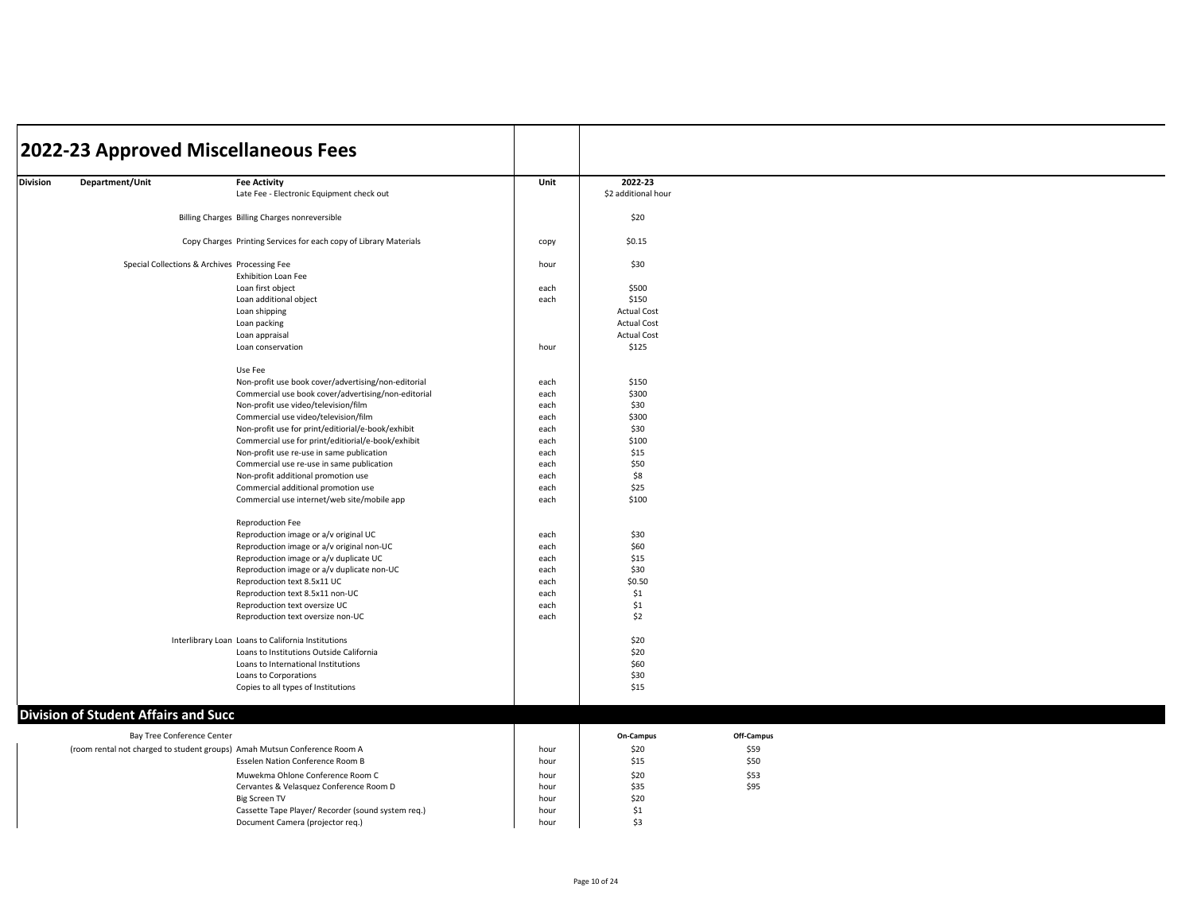|                 |                                             | 2022-23 Approved Miscellaneous Fees                                       |      |                                |            |  |  |
|-----------------|---------------------------------------------|---------------------------------------------------------------------------|------|--------------------------------|------------|--|--|
|                 |                                             |                                                                           |      |                                |            |  |  |
| <b>Division</b> | Department/Unit                             | <b>Fee Activity</b><br>Late Fee - Electronic Equipment check out          | Unit | 2022-23<br>\$2 additional hour |            |  |  |
|                 |                                             | Billing Charges Billing Charges nonreversible                             |      | \$20                           |            |  |  |
|                 |                                             | Copy Charges Printing Services for each copy of Library Materials         | copy | \$0.15                         |            |  |  |
|                 |                                             | Special Collections & Archives Processing Fee<br>Exhibition Loan Fee      | hour | \$30                           |            |  |  |
|                 |                                             | Loan first object                                                         | each | \$500                          |            |  |  |
|                 |                                             | Loan additional object                                                    | each | \$150                          |            |  |  |
|                 |                                             | Loan shipping                                                             |      | <b>Actual Cost</b>             |            |  |  |
|                 |                                             | Loan packing                                                              |      | <b>Actual Cost</b>             |            |  |  |
|                 |                                             | Loan appraisal                                                            |      | <b>Actual Cost</b>             |            |  |  |
|                 |                                             | Loan conservation                                                         | hour | \$125                          |            |  |  |
|                 |                                             | Use Fee                                                                   |      |                                |            |  |  |
|                 |                                             | Non-profit use book cover/advertising/non-editorial                       | each | \$150                          |            |  |  |
|                 |                                             | Commercial use book cover/advertising/non-editorial                       | each | \$300                          |            |  |  |
|                 |                                             | Non-profit use video/television/film                                      | each | \$30                           |            |  |  |
|                 |                                             | Commercial use video/television/film                                      | each | \$300                          |            |  |  |
|                 |                                             | Non-profit use for print/editiorial/e-book/exhibit                        | each | \$30                           |            |  |  |
|                 |                                             | Commercial use for print/editiorial/e-book/exhibit                        | each | \$100                          |            |  |  |
|                 |                                             | Non-profit use re-use in same publication                                 | each | \$15                           |            |  |  |
|                 |                                             | Commercial use re-use in same publication                                 | each | \$50                           |            |  |  |
|                 |                                             | Non-profit additional promotion use                                       | each | \$8                            |            |  |  |
|                 |                                             | Commercial additional promotion use                                       | each | \$25                           |            |  |  |
|                 |                                             | Commercial use internet/web site/mobile app                               | each | \$100                          |            |  |  |
|                 |                                             | <b>Reproduction Fee</b>                                                   |      |                                |            |  |  |
|                 |                                             | Reproduction image or a/v original UC                                     | each | \$30                           |            |  |  |
|                 |                                             | Reproduction image or a/v original non-UC                                 | each | \$60                           |            |  |  |
|                 |                                             | Reproduction image or a/v duplicate UC                                    | each | \$15                           |            |  |  |
|                 |                                             | Reproduction image or a/v duplicate non-UC                                | each | \$30                           |            |  |  |
|                 |                                             | Reproduction text 8.5x11 UC                                               | each | \$0.50                         |            |  |  |
|                 |                                             | Reproduction text 8.5x11 non-UC                                           | each | \$1                            |            |  |  |
|                 |                                             | Reproduction text oversize UC                                             | each | \$1                            |            |  |  |
|                 |                                             | Reproduction text oversize non-UC                                         | each | \$2                            |            |  |  |
|                 |                                             | Interlibrary Loan Loans to California Institutions                        |      | \$20                           |            |  |  |
|                 |                                             | Loans to Institutions Outside California                                  |      | \$20                           |            |  |  |
|                 |                                             | Loans to International Institutions                                       |      | \$60                           |            |  |  |
|                 |                                             | Loans to Corporations                                                     |      | \$30                           |            |  |  |
|                 |                                             | Copies to all types of Institutions                                       |      | \$15                           |            |  |  |
|                 | <b>Division of Student Affairs and Succ</b> |                                                                           |      |                                |            |  |  |
|                 | Bay Tree Conference Center                  |                                                                           |      | On-Campus                      | Off-Campus |  |  |
|                 |                                             | (room rental not charged to student groups) Amah Mutsun Conference Room A | hour | \$20                           | \$59       |  |  |
|                 |                                             | Esselen Nation Conference Room B                                          | hour | \$15                           | \$50       |  |  |
|                 |                                             | Muwekma Ohlone Conference Room C                                          | hour | \$20                           | \$53       |  |  |
|                 |                                             | Cervantes & Velasquez Conference Room D                                   | hour | \$35                           | \$95       |  |  |
|                 |                                             | <b>Big Screen TV</b>                                                      | hour | \$20                           |            |  |  |
|                 |                                             | Cassette Tape Player/ Recorder (sound system req.)                        | hour | \$1                            |            |  |  |
|                 |                                             | Document Camera (projector reg.)                                          | hour | \$3                            |            |  |  |
|                 |                                             |                                                                           |      |                                |            |  |  |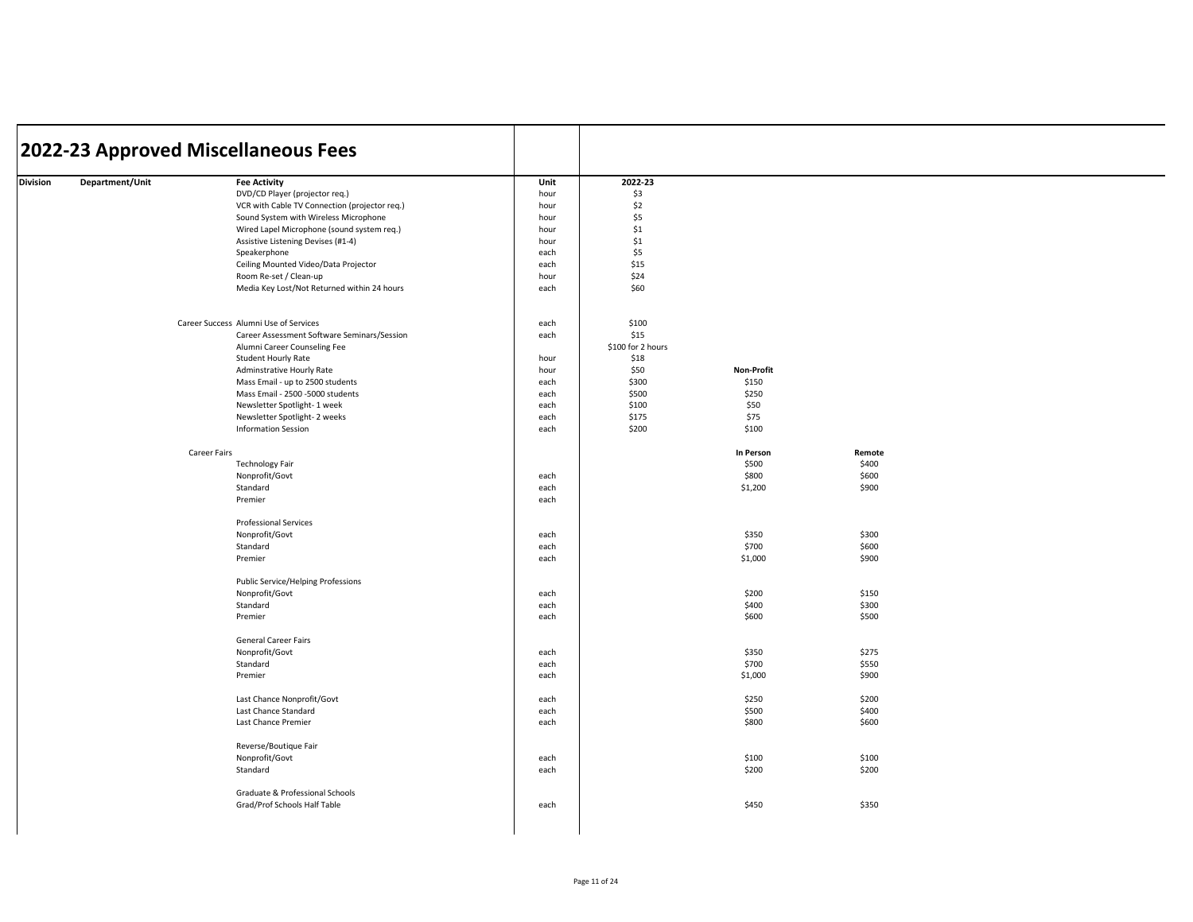|          |                 | 2022-23 Approved Miscellaneous Fees           |              |                   |            |        |  |
|----------|-----------------|-----------------------------------------------|--------------|-------------------|------------|--------|--|
| Division | Department/Unit | <b>Fee Activity</b>                           | Unit         | 2022-23           |            |        |  |
|          |                 | DVD/CD Player (projector req.)                | hour         | \$3               |            |        |  |
|          |                 | VCR with Cable TV Connection (projector req.) | hour         | \$2               |            |        |  |
|          |                 | Sound System with Wireless Microphone         | hour         | \$5               |            |        |  |
|          |                 | Wired Lapel Microphone (sound system req.)    | hour         | \$1               |            |        |  |
|          |                 | Assistive Listening Devises (#1-4)            | hour         | \$1               |            |        |  |
|          |                 | Speakerphone                                  | each         | \$5               |            |        |  |
|          |                 |                                               | each         | \$15              |            |        |  |
|          |                 | Ceiling Mounted Video/Data Projector          |              |                   |            |        |  |
|          |                 | Room Re-set / Clean-up                        | hour         | \$24              |            |        |  |
|          |                 | Media Key Lost/Not Returned within 24 hours   | each         | \$60              |            |        |  |
|          |                 | Career Success Alumni Use of Services         | each         | \$100             |            |        |  |
|          |                 | Career Assessment Software Seminars/Session   | each         | \$15              |            |        |  |
|          |                 | Alumni Career Counseling Fee                  |              | \$100 for 2 hours |            |        |  |
|          |                 | Student Hourly Rate                           | hour         | \$18              |            |        |  |
|          |                 | Adminstrative Hourly Rate                     | hour         | \$50              | Non-Profit |        |  |
|          |                 | Mass Email - up to 2500 students              | each         | \$300             | \$150      |        |  |
|          |                 | Mass Email - 2500 -5000 students              | each         | \$500             | \$250      |        |  |
|          |                 | Newsletter Spotlight- 1 week                  | each         | \$100             | \$50       |        |  |
|          |                 | Newsletter Spotlight-2 weeks                  | each         | \$175             | \$75       |        |  |
|          |                 | <b>Information Session</b>                    | each         | \$200             | \$100      |        |  |
|          |                 | Career Fairs                                  |              |                   | In Person  | Remote |  |
|          |                 | <b>Technology Fair</b>                        |              |                   | \$500      | \$400  |  |
|          |                 | Nonprofit/Govt                                | each         |                   | \$800      | \$600  |  |
|          |                 | Standard                                      |              |                   | \$1,200    | \$900  |  |
|          |                 | Premier                                       | each<br>each |                   |            |        |  |
|          |                 |                                               |              |                   |            |        |  |
|          |                 | <b>Professional Services</b>                  |              |                   |            |        |  |
|          |                 | Nonprofit/Govt                                | each         |                   | \$350      | \$300  |  |
|          |                 | Standard                                      | each         |                   | \$700      | \$600  |  |
|          |                 | Premier                                       | each         |                   | \$1,000    | \$900  |  |
|          |                 | Public Service/Helping Professions            |              |                   |            |        |  |
|          |                 | Nonprofit/Govt                                | each         |                   | \$200      | \$150  |  |
|          |                 | Standard                                      | each         |                   | \$400      | \$300  |  |
|          |                 | Premier                                       | each         |                   | \$600      | \$500  |  |
|          |                 | <b>General Career Fairs</b>                   |              |                   |            |        |  |
|          |                 | Nonprofit/Govt                                | each         |                   | \$350      | \$275  |  |
|          |                 | Standard                                      | each         |                   | \$700      | \$550  |  |
|          |                 | Premier                                       | each         |                   | \$1,000    | \$900  |  |
|          |                 | Last Chance Nonprofit/Govt                    | each         |                   | \$250      | \$200  |  |
|          |                 | Last Chance Standard                          | each         |                   | \$500      | \$400  |  |
|          |                 | Last Chance Premier                           | each         |                   | \$800      | \$600  |  |
|          |                 | Reverse/Boutique Fair                         |              |                   |            |        |  |
|          |                 | Nonprofit/Govt                                | each         |                   | \$100      | \$100  |  |
|          |                 | Standard                                      | each         |                   | \$200      | \$200  |  |
|          |                 | Graduate & Professional Schools               |              |                   |            |        |  |
|          |                 | Grad/Prof Schools Half Table                  | each         |                   | \$450      | \$350  |  |
|          |                 |                                               |              |                   |            |        |  |
|          |                 |                                               |              |                   |            |        |  |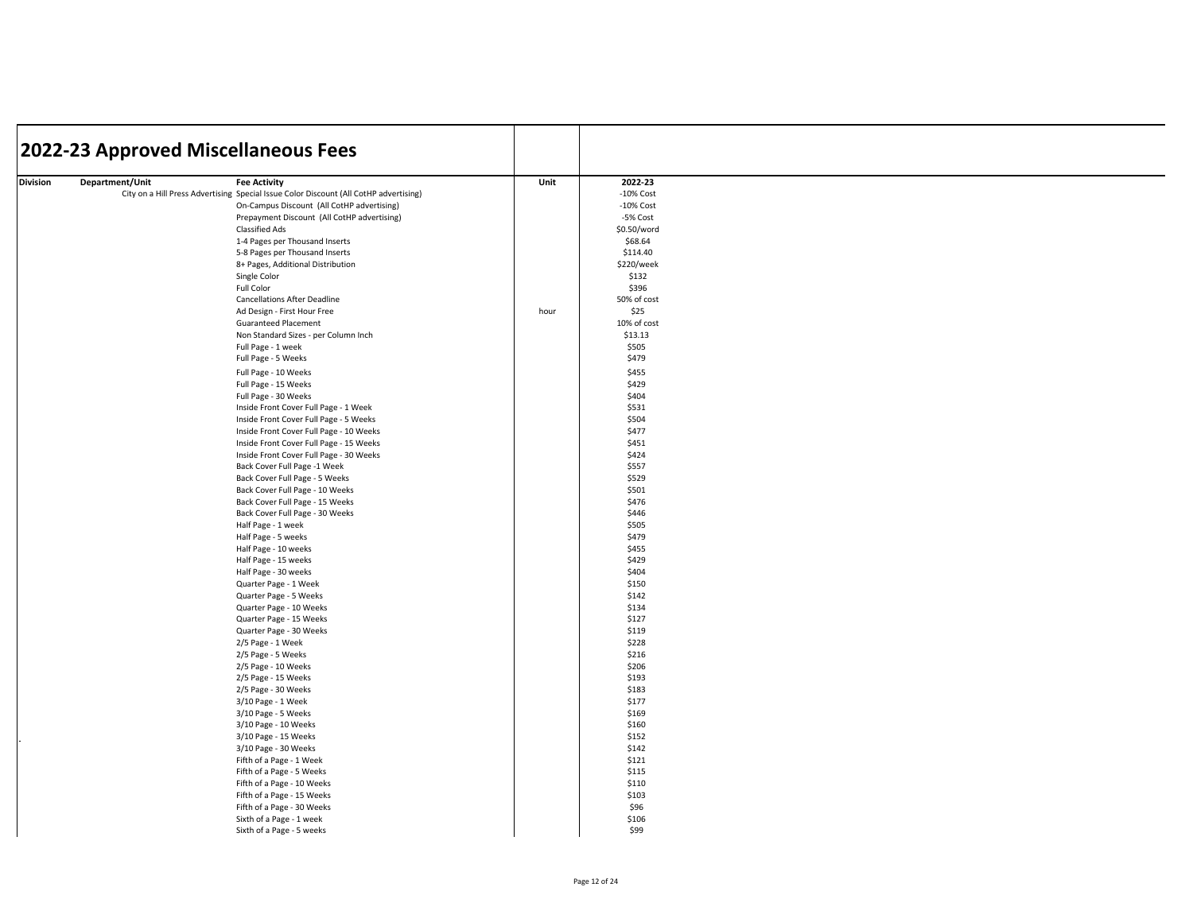| Department/Unit<br>Unit<br>2022-23<br>Division<br><b>Fee Activity</b><br>$-10\%$ Cost<br>City on a Hill Press Advertising Special Issue Color Discount (All CotHP advertising)<br>On-Campus Discount (All CotHP advertising)<br>$-10\%$ Cost<br>Prepayment Discount (All CotHP advertising)<br>-5% Cost<br><b>Classified Ads</b><br>\$0.50/word<br>1-4 Pages per Thousand Inserts<br>\$68.64<br>\$114.40<br>5-8 Pages per Thousand Inserts<br>8+ Pages, Additional Distribution<br>\$220/week<br>Single Color<br>\$132<br>\$396<br>Full Color<br>50% of cost<br><b>Cancellations After Deadline</b><br>\$25<br>Ad Design - First Hour Free<br>hour<br>10% of cost<br><b>Guaranteed Placement</b><br>Non Standard Sizes - per Column Inch<br>\$13.13<br>Full Page - 1 week<br>\$505<br>Full Page - 5 Weeks<br>\$479 |  |
|--------------------------------------------------------------------------------------------------------------------------------------------------------------------------------------------------------------------------------------------------------------------------------------------------------------------------------------------------------------------------------------------------------------------------------------------------------------------------------------------------------------------------------------------------------------------------------------------------------------------------------------------------------------------------------------------------------------------------------------------------------------------------------------------------------------------|--|
|                                                                                                                                                                                                                                                                                                                                                                                                                                                                                                                                                                                                                                                                                                                                                                                                                    |  |
|                                                                                                                                                                                                                                                                                                                                                                                                                                                                                                                                                                                                                                                                                                                                                                                                                    |  |
|                                                                                                                                                                                                                                                                                                                                                                                                                                                                                                                                                                                                                                                                                                                                                                                                                    |  |
|                                                                                                                                                                                                                                                                                                                                                                                                                                                                                                                                                                                                                                                                                                                                                                                                                    |  |
|                                                                                                                                                                                                                                                                                                                                                                                                                                                                                                                                                                                                                                                                                                                                                                                                                    |  |
|                                                                                                                                                                                                                                                                                                                                                                                                                                                                                                                                                                                                                                                                                                                                                                                                                    |  |
|                                                                                                                                                                                                                                                                                                                                                                                                                                                                                                                                                                                                                                                                                                                                                                                                                    |  |
|                                                                                                                                                                                                                                                                                                                                                                                                                                                                                                                                                                                                                                                                                                                                                                                                                    |  |
|                                                                                                                                                                                                                                                                                                                                                                                                                                                                                                                                                                                                                                                                                                                                                                                                                    |  |
|                                                                                                                                                                                                                                                                                                                                                                                                                                                                                                                                                                                                                                                                                                                                                                                                                    |  |
|                                                                                                                                                                                                                                                                                                                                                                                                                                                                                                                                                                                                                                                                                                                                                                                                                    |  |
|                                                                                                                                                                                                                                                                                                                                                                                                                                                                                                                                                                                                                                                                                                                                                                                                                    |  |
|                                                                                                                                                                                                                                                                                                                                                                                                                                                                                                                                                                                                                                                                                                                                                                                                                    |  |
|                                                                                                                                                                                                                                                                                                                                                                                                                                                                                                                                                                                                                                                                                                                                                                                                                    |  |
|                                                                                                                                                                                                                                                                                                                                                                                                                                                                                                                                                                                                                                                                                                                                                                                                                    |  |
|                                                                                                                                                                                                                                                                                                                                                                                                                                                                                                                                                                                                                                                                                                                                                                                                                    |  |
|                                                                                                                                                                                                                                                                                                                                                                                                                                                                                                                                                                                                                                                                                                                                                                                                                    |  |
| \$455<br>Full Page - 10 Weeks                                                                                                                                                                                                                                                                                                                                                                                                                                                                                                                                                                                                                                                                                                                                                                                      |  |
| \$429<br>Full Page - 15 Weeks                                                                                                                                                                                                                                                                                                                                                                                                                                                                                                                                                                                                                                                                                                                                                                                      |  |
| \$404<br>Full Page - 30 Weeks                                                                                                                                                                                                                                                                                                                                                                                                                                                                                                                                                                                                                                                                                                                                                                                      |  |
| \$531<br>Inside Front Cover Full Page - 1 Week                                                                                                                                                                                                                                                                                                                                                                                                                                                                                                                                                                                                                                                                                                                                                                     |  |
| Inside Front Cover Full Page - 5 Weeks<br>\$504<br>\$477                                                                                                                                                                                                                                                                                                                                                                                                                                                                                                                                                                                                                                                                                                                                                           |  |
| Inside Front Cover Full Page - 10 Weeks<br>\$451                                                                                                                                                                                                                                                                                                                                                                                                                                                                                                                                                                                                                                                                                                                                                                   |  |
| Inside Front Cover Full Page - 15 Weeks<br>\$424                                                                                                                                                                                                                                                                                                                                                                                                                                                                                                                                                                                                                                                                                                                                                                   |  |
| Inside Front Cover Full Page - 30 Weeks<br>\$557                                                                                                                                                                                                                                                                                                                                                                                                                                                                                                                                                                                                                                                                                                                                                                   |  |
| Back Cover Full Page -1 Week<br>Back Cover Full Page - 5 Weeks<br>\$529                                                                                                                                                                                                                                                                                                                                                                                                                                                                                                                                                                                                                                                                                                                                            |  |
| \$501<br>Back Cover Full Page - 10 Weeks                                                                                                                                                                                                                                                                                                                                                                                                                                                                                                                                                                                                                                                                                                                                                                           |  |
| Back Cover Full Page - 15 Weeks<br>\$476                                                                                                                                                                                                                                                                                                                                                                                                                                                                                                                                                                                                                                                                                                                                                                           |  |
| \$446<br>Back Cover Full Page - 30 Weeks                                                                                                                                                                                                                                                                                                                                                                                                                                                                                                                                                                                                                                                                                                                                                                           |  |
| \$505<br>Half Page - 1 week                                                                                                                                                                                                                                                                                                                                                                                                                                                                                                                                                                                                                                                                                                                                                                                        |  |
| Half Page - 5 weeks<br>\$479                                                                                                                                                                                                                                                                                                                                                                                                                                                                                                                                                                                                                                                                                                                                                                                       |  |
| \$455<br>Half Page - 10 weeks                                                                                                                                                                                                                                                                                                                                                                                                                                                                                                                                                                                                                                                                                                                                                                                      |  |
| Half Page - 15 weeks<br>\$429                                                                                                                                                                                                                                                                                                                                                                                                                                                                                                                                                                                                                                                                                                                                                                                      |  |
| \$404<br>Half Page - 30 weeks                                                                                                                                                                                                                                                                                                                                                                                                                                                                                                                                                                                                                                                                                                                                                                                      |  |
| Quarter Page - 1 Week<br>\$150                                                                                                                                                                                                                                                                                                                                                                                                                                                                                                                                                                                                                                                                                                                                                                                     |  |
| \$142<br>Quarter Page - 5 Weeks                                                                                                                                                                                                                                                                                                                                                                                                                                                                                                                                                                                                                                                                                                                                                                                    |  |
| \$134<br>Quarter Page - 10 Weeks                                                                                                                                                                                                                                                                                                                                                                                                                                                                                                                                                                                                                                                                                                                                                                                   |  |
| Quarter Page - 15 Weeks<br>\$127                                                                                                                                                                                                                                                                                                                                                                                                                                                                                                                                                                                                                                                                                                                                                                                   |  |
| Quarter Page - 30 Weeks<br>\$119                                                                                                                                                                                                                                                                                                                                                                                                                                                                                                                                                                                                                                                                                                                                                                                   |  |
| \$228<br>2/5 Page - 1 Week                                                                                                                                                                                                                                                                                                                                                                                                                                                                                                                                                                                                                                                                                                                                                                                         |  |
| 2/5 Page - 5 Weeks<br>\$216                                                                                                                                                                                                                                                                                                                                                                                                                                                                                                                                                                                                                                                                                                                                                                                        |  |
| 2/5 Page - 10 Weeks<br>\$206                                                                                                                                                                                                                                                                                                                                                                                                                                                                                                                                                                                                                                                                                                                                                                                       |  |
| \$193<br>2/5 Page - 15 Weeks                                                                                                                                                                                                                                                                                                                                                                                                                                                                                                                                                                                                                                                                                                                                                                                       |  |
| 2/5 Page - 30 Weeks<br>\$183                                                                                                                                                                                                                                                                                                                                                                                                                                                                                                                                                                                                                                                                                                                                                                                       |  |
| \$177<br>3/10 Page - 1 Week                                                                                                                                                                                                                                                                                                                                                                                                                                                                                                                                                                                                                                                                                                                                                                                        |  |
| 3/10 Page - 5 Weeks<br>\$169                                                                                                                                                                                                                                                                                                                                                                                                                                                                                                                                                                                                                                                                                                                                                                                       |  |
| 3/10 Page - 10 Weeks<br>\$160                                                                                                                                                                                                                                                                                                                                                                                                                                                                                                                                                                                                                                                                                                                                                                                      |  |
| \$152<br>3/10 Page - 15 Weeks                                                                                                                                                                                                                                                                                                                                                                                                                                                                                                                                                                                                                                                                                                                                                                                      |  |
| \$142<br>3/10 Page - 30 Weeks                                                                                                                                                                                                                                                                                                                                                                                                                                                                                                                                                                                                                                                                                                                                                                                      |  |
| \$121<br>Fifth of a Page - 1 Week                                                                                                                                                                                                                                                                                                                                                                                                                                                                                                                                                                                                                                                                                                                                                                                  |  |
| Fifth of a Page - 5 Weeks<br>\$115                                                                                                                                                                                                                                                                                                                                                                                                                                                                                                                                                                                                                                                                                                                                                                                 |  |
| Fifth of a Page - 10 Weeks<br>\$110                                                                                                                                                                                                                                                                                                                                                                                                                                                                                                                                                                                                                                                                                                                                                                                |  |
| Fifth of a Page - 15 Weeks<br>\$103                                                                                                                                                                                                                                                                                                                                                                                                                                                                                                                                                                                                                                                                                                                                                                                |  |
| Fifth of a Page - 30 Weeks<br>\$96                                                                                                                                                                                                                                                                                                                                                                                                                                                                                                                                                                                                                                                                                                                                                                                 |  |
| \$106<br>Sixth of a Page - 1 week                                                                                                                                                                                                                                                                                                                                                                                                                                                                                                                                                                                                                                                                                                                                                                                  |  |
| Sixth of a Page - 5 weeks<br>\$99                                                                                                                                                                                                                                                                                                                                                                                                                                                                                                                                                                                                                                                                                                                                                                                  |  |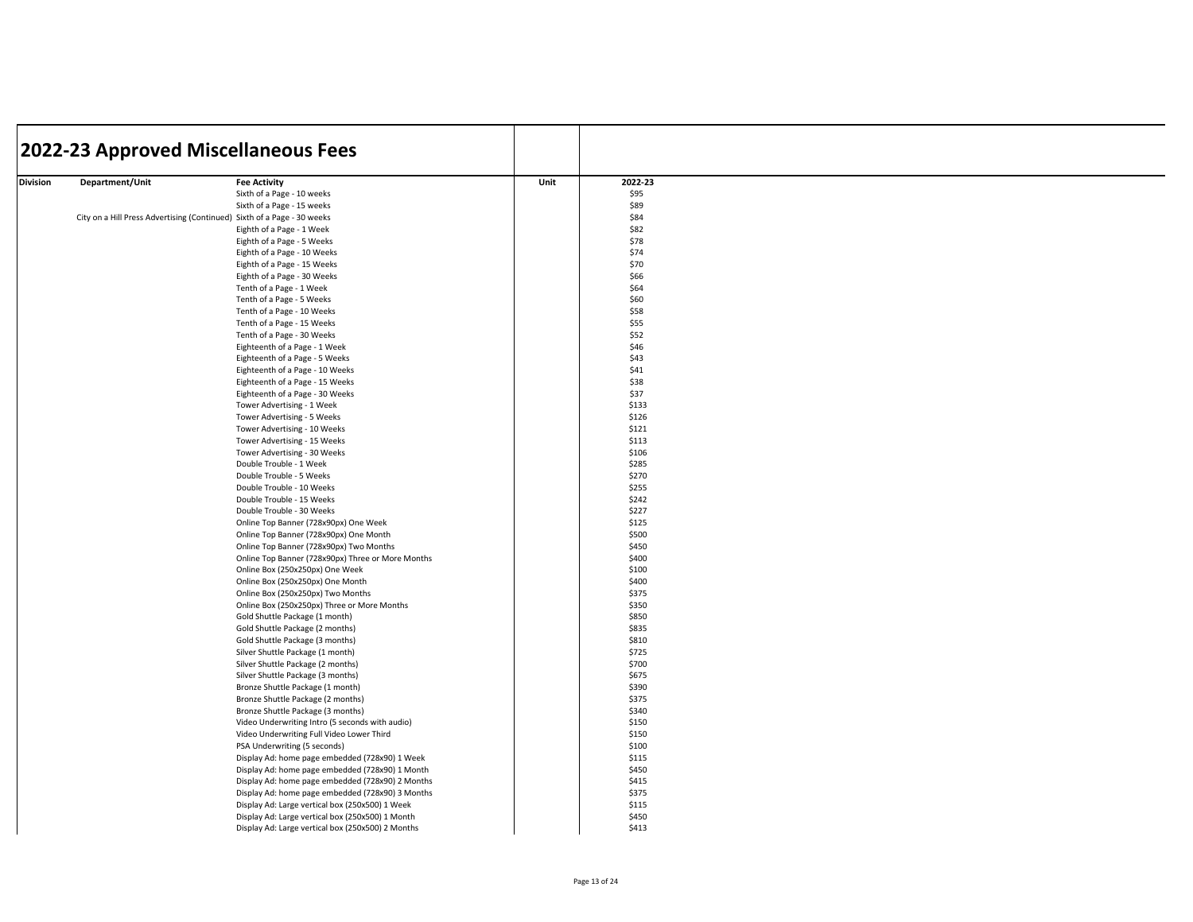| 2022-23<br>Department/Unit<br>Unit<br>Division<br><b>Fee Activity</b><br>\$95<br>Sixth of a Page - 10 weeks<br>\$89<br>Sixth of a Page - 15 weeks<br>\$84<br>City on a Hill Press Advertising (Continued) Sixth of a Page - 30 weeks<br>\$82<br>Eighth of a Page - 1 Week<br>\$78<br>Eighth of a Page - 5 Weeks<br>\$74<br>Eighth of a Page - 10 Weeks<br>\$70<br>Eighth of a Page - 15 Weeks<br>\$66<br>Eighth of a Page - 30 Weeks<br>\$64<br>Tenth of a Page - 1 Week<br>Tenth of a Page - 5 Weeks<br>\$60<br>\$58<br>Tenth of a Page - 10 Weeks<br>Tenth of a Page - 15 Weeks<br>\$55<br>Tenth of a Page - 30 Weeks<br>\$52<br>Eighteenth of a Page - 1 Week<br>\$46<br>Eighteenth of a Page - 5 Weeks<br>\$43<br>\$41<br>Eighteenth of a Page - 10 Weeks<br>\$38<br>Eighteenth of a Page - 15 Weeks<br>Eighteenth of a Page - 30 Weeks<br>\$37<br>\$133<br>Tower Advertising - 1 Week<br>Tower Advertising - 5 Weeks<br>\$126<br>Tower Advertising - 10 Weeks<br>\$121<br>\$113<br>Tower Advertising - 15 Weeks<br>\$106<br>Tower Advertising - 30 Weeks<br>\$285<br>Double Trouble - 1 Week<br>\$270<br>Double Trouble - 5 Weeks<br>Double Trouble - 10 Weeks<br>\$255<br>\$242<br>Double Trouble - 15 Weeks<br>\$227<br>Double Trouble - 30 Weeks<br>Online Top Banner (728x90px) One Week<br>\$125<br>Online Top Banner (728x90px) One Month<br>\$500<br>Online Top Banner (728x90px) Two Months<br>\$450<br>\$400<br>Online Top Banner (728x90px) Three or More Months<br>Online Box (250x250px) One Week<br>\$100<br>\$400<br>Online Box (250x250px) One Month<br>Online Box (250x250px) Two Months<br>\$375<br>Online Box (250x250px) Three or More Months<br>\$350<br>Gold Shuttle Package (1 month)<br>\$850<br>Gold Shuttle Package (2 months)<br>\$835<br>\$810<br>Gold Shuttle Package (3 months)<br>Silver Shuttle Package (1 month)<br>\$725<br>\$700<br>Silver Shuttle Package (2 months)<br>\$675<br>Silver Shuttle Package (3 months)<br>\$390<br>Bronze Shuttle Package (1 month)<br>\$375<br>Bronze Shuttle Package (2 months)<br>Bronze Shuttle Package (3 months)<br>\$340<br>\$150<br>Video Underwriting Intro (5 seconds with audio)<br>Video Underwriting Full Video Lower Third<br>\$150<br>\$100<br>PSA Underwriting (5 seconds)<br>\$115<br>Display Ad: home page embedded (728x90) 1 Week<br>\$450<br>Display Ad: home page embedded (728x90) 1 Month<br>\$415<br>Display Ad: home page embedded (728x90) 2 Months<br>Display Ad: home page embedded (728x90) 3 Months<br>\$375<br>Display Ad: Large vertical box (250x500) 1 Week<br>\$115<br>Display Ad: Large vertical box (250x500) 1 Month<br>\$450<br>\$413<br>Display Ad: Large vertical box (250x500) 2 Months | 2022-23 Approved Miscellaneous Fees |  |  |
|--------------------------------------------------------------------------------------------------------------------------------------------------------------------------------------------------------------------------------------------------------------------------------------------------------------------------------------------------------------------------------------------------------------------------------------------------------------------------------------------------------------------------------------------------------------------------------------------------------------------------------------------------------------------------------------------------------------------------------------------------------------------------------------------------------------------------------------------------------------------------------------------------------------------------------------------------------------------------------------------------------------------------------------------------------------------------------------------------------------------------------------------------------------------------------------------------------------------------------------------------------------------------------------------------------------------------------------------------------------------------------------------------------------------------------------------------------------------------------------------------------------------------------------------------------------------------------------------------------------------------------------------------------------------------------------------------------------------------------------------------------------------------------------------------------------------------------------------------------------------------------------------------------------------------------------------------------------------------------------------------------------------------------------------------------------------------------------------------------------------------------------------------------------------------------------------------------------------------------------------------------------------------------------------------------------------------------------------------------------------------------------------------------------------------------------------------------------------------------------------------------------------------------------------------------------------------------------------------------------------------------------------------------------------------------------------------------|-------------------------------------|--|--|
|                                                                                                                                                                                                                                                                                                                                                                                                                                                                                                                                                                                                                                                                                                                                                                                                                                                                                                                                                                                                                                                                                                                                                                                                                                                                                                                                                                                                                                                                                                                                                                                                                                                                                                                                                                                                                                                                                                                                                                                                                                                                                                                                                                                                                                                                                                                                                                                                                                                                                                                                                                                                                                                                                                        |                                     |  |  |
|                                                                                                                                                                                                                                                                                                                                                                                                                                                                                                                                                                                                                                                                                                                                                                                                                                                                                                                                                                                                                                                                                                                                                                                                                                                                                                                                                                                                                                                                                                                                                                                                                                                                                                                                                                                                                                                                                                                                                                                                                                                                                                                                                                                                                                                                                                                                                                                                                                                                                                                                                                                                                                                                                                        |                                     |  |  |
|                                                                                                                                                                                                                                                                                                                                                                                                                                                                                                                                                                                                                                                                                                                                                                                                                                                                                                                                                                                                                                                                                                                                                                                                                                                                                                                                                                                                                                                                                                                                                                                                                                                                                                                                                                                                                                                                                                                                                                                                                                                                                                                                                                                                                                                                                                                                                                                                                                                                                                                                                                                                                                                                                                        |                                     |  |  |
|                                                                                                                                                                                                                                                                                                                                                                                                                                                                                                                                                                                                                                                                                                                                                                                                                                                                                                                                                                                                                                                                                                                                                                                                                                                                                                                                                                                                                                                                                                                                                                                                                                                                                                                                                                                                                                                                                                                                                                                                                                                                                                                                                                                                                                                                                                                                                                                                                                                                                                                                                                                                                                                                                                        |                                     |  |  |
|                                                                                                                                                                                                                                                                                                                                                                                                                                                                                                                                                                                                                                                                                                                                                                                                                                                                                                                                                                                                                                                                                                                                                                                                                                                                                                                                                                                                                                                                                                                                                                                                                                                                                                                                                                                                                                                                                                                                                                                                                                                                                                                                                                                                                                                                                                                                                                                                                                                                                                                                                                                                                                                                                                        |                                     |  |  |
|                                                                                                                                                                                                                                                                                                                                                                                                                                                                                                                                                                                                                                                                                                                                                                                                                                                                                                                                                                                                                                                                                                                                                                                                                                                                                                                                                                                                                                                                                                                                                                                                                                                                                                                                                                                                                                                                                                                                                                                                                                                                                                                                                                                                                                                                                                                                                                                                                                                                                                                                                                                                                                                                                                        |                                     |  |  |
|                                                                                                                                                                                                                                                                                                                                                                                                                                                                                                                                                                                                                                                                                                                                                                                                                                                                                                                                                                                                                                                                                                                                                                                                                                                                                                                                                                                                                                                                                                                                                                                                                                                                                                                                                                                                                                                                                                                                                                                                                                                                                                                                                                                                                                                                                                                                                                                                                                                                                                                                                                                                                                                                                                        |                                     |  |  |
|                                                                                                                                                                                                                                                                                                                                                                                                                                                                                                                                                                                                                                                                                                                                                                                                                                                                                                                                                                                                                                                                                                                                                                                                                                                                                                                                                                                                                                                                                                                                                                                                                                                                                                                                                                                                                                                                                                                                                                                                                                                                                                                                                                                                                                                                                                                                                                                                                                                                                                                                                                                                                                                                                                        |                                     |  |  |
|                                                                                                                                                                                                                                                                                                                                                                                                                                                                                                                                                                                                                                                                                                                                                                                                                                                                                                                                                                                                                                                                                                                                                                                                                                                                                                                                                                                                                                                                                                                                                                                                                                                                                                                                                                                                                                                                                                                                                                                                                                                                                                                                                                                                                                                                                                                                                                                                                                                                                                                                                                                                                                                                                                        |                                     |  |  |
|                                                                                                                                                                                                                                                                                                                                                                                                                                                                                                                                                                                                                                                                                                                                                                                                                                                                                                                                                                                                                                                                                                                                                                                                                                                                                                                                                                                                                                                                                                                                                                                                                                                                                                                                                                                                                                                                                                                                                                                                                                                                                                                                                                                                                                                                                                                                                                                                                                                                                                                                                                                                                                                                                                        |                                     |  |  |
|                                                                                                                                                                                                                                                                                                                                                                                                                                                                                                                                                                                                                                                                                                                                                                                                                                                                                                                                                                                                                                                                                                                                                                                                                                                                                                                                                                                                                                                                                                                                                                                                                                                                                                                                                                                                                                                                                                                                                                                                                                                                                                                                                                                                                                                                                                                                                                                                                                                                                                                                                                                                                                                                                                        |                                     |  |  |
|                                                                                                                                                                                                                                                                                                                                                                                                                                                                                                                                                                                                                                                                                                                                                                                                                                                                                                                                                                                                                                                                                                                                                                                                                                                                                                                                                                                                                                                                                                                                                                                                                                                                                                                                                                                                                                                                                                                                                                                                                                                                                                                                                                                                                                                                                                                                                                                                                                                                                                                                                                                                                                                                                                        |                                     |  |  |
|                                                                                                                                                                                                                                                                                                                                                                                                                                                                                                                                                                                                                                                                                                                                                                                                                                                                                                                                                                                                                                                                                                                                                                                                                                                                                                                                                                                                                                                                                                                                                                                                                                                                                                                                                                                                                                                                                                                                                                                                                                                                                                                                                                                                                                                                                                                                                                                                                                                                                                                                                                                                                                                                                                        |                                     |  |  |
|                                                                                                                                                                                                                                                                                                                                                                                                                                                                                                                                                                                                                                                                                                                                                                                                                                                                                                                                                                                                                                                                                                                                                                                                                                                                                                                                                                                                                                                                                                                                                                                                                                                                                                                                                                                                                                                                                                                                                                                                                                                                                                                                                                                                                                                                                                                                                                                                                                                                                                                                                                                                                                                                                                        |                                     |  |  |
|                                                                                                                                                                                                                                                                                                                                                                                                                                                                                                                                                                                                                                                                                                                                                                                                                                                                                                                                                                                                                                                                                                                                                                                                                                                                                                                                                                                                                                                                                                                                                                                                                                                                                                                                                                                                                                                                                                                                                                                                                                                                                                                                                                                                                                                                                                                                                                                                                                                                                                                                                                                                                                                                                                        |                                     |  |  |
|                                                                                                                                                                                                                                                                                                                                                                                                                                                                                                                                                                                                                                                                                                                                                                                                                                                                                                                                                                                                                                                                                                                                                                                                                                                                                                                                                                                                                                                                                                                                                                                                                                                                                                                                                                                                                                                                                                                                                                                                                                                                                                                                                                                                                                                                                                                                                                                                                                                                                                                                                                                                                                                                                                        |                                     |  |  |
|                                                                                                                                                                                                                                                                                                                                                                                                                                                                                                                                                                                                                                                                                                                                                                                                                                                                                                                                                                                                                                                                                                                                                                                                                                                                                                                                                                                                                                                                                                                                                                                                                                                                                                                                                                                                                                                                                                                                                                                                                                                                                                                                                                                                                                                                                                                                                                                                                                                                                                                                                                                                                                                                                                        |                                     |  |  |
|                                                                                                                                                                                                                                                                                                                                                                                                                                                                                                                                                                                                                                                                                                                                                                                                                                                                                                                                                                                                                                                                                                                                                                                                                                                                                                                                                                                                                                                                                                                                                                                                                                                                                                                                                                                                                                                                                                                                                                                                                                                                                                                                                                                                                                                                                                                                                                                                                                                                                                                                                                                                                                                                                                        |                                     |  |  |
|                                                                                                                                                                                                                                                                                                                                                                                                                                                                                                                                                                                                                                                                                                                                                                                                                                                                                                                                                                                                                                                                                                                                                                                                                                                                                                                                                                                                                                                                                                                                                                                                                                                                                                                                                                                                                                                                                                                                                                                                                                                                                                                                                                                                                                                                                                                                                                                                                                                                                                                                                                                                                                                                                                        |                                     |  |  |
|                                                                                                                                                                                                                                                                                                                                                                                                                                                                                                                                                                                                                                                                                                                                                                                                                                                                                                                                                                                                                                                                                                                                                                                                                                                                                                                                                                                                                                                                                                                                                                                                                                                                                                                                                                                                                                                                                                                                                                                                                                                                                                                                                                                                                                                                                                                                                                                                                                                                                                                                                                                                                                                                                                        |                                     |  |  |
|                                                                                                                                                                                                                                                                                                                                                                                                                                                                                                                                                                                                                                                                                                                                                                                                                                                                                                                                                                                                                                                                                                                                                                                                                                                                                                                                                                                                                                                                                                                                                                                                                                                                                                                                                                                                                                                                                                                                                                                                                                                                                                                                                                                                                                                                                                                                                                                                                                                                                                                                                                                                                                                                                                        |                                     |  |  |
|                                                                                                                                                                                                                                                                                                                                                                                                                                                                                                                                                                                                                                                                                                                                                                                                                                                                                                                                                                                                                                                                                                                                                                                                                                                                                                                                                                                                                                                                                                                                                                                                                                                                                                                                                                                                                                                                                                                                                                                                                                                                                                                                                                                                                                                                                                                                                                                                                                                                                                                                                                                                                                                                                                        |                                     |  |  |
|                                                                                                                                                                                                                                                                                                                                                                                                                                                                                                                                                                                                                                                                                                                                                                                                                                                                                                                                                                                                                                                                                                                                                                                                                                                                                                                                                                                                                                                                                                                                                                                                                                                                                                                                                                                                                                                                                                                                                                                                                                                                                                                                                                                                                                                                                                                                                                                                                                                                                                                                                                                                                                                                                                        |                                     |  |  |
|                                                                                                                                                                                                                                                                                                                                                                                                                                                                                                                                                                                                                                                                                                                                                                                                                                                                                                                                                                                                                                                                                                                                                                                                                                                                                                                                                                                                                                                                                                                                                                                                                                                                                                                                                                                                                                                                                                                                                                                                                                                                                                                                                                                                                                                                                                                                                                                                                                                                                                                                                                                                                                                                                                        |                                     |  |  |
|                                                                                                                                                                                                                                                                                                                                                                                                                                                                                                                                                                                                                                                                                                                                                                                                                                                                                                                                                                                                                                                                                                                                                                                                                                                                                                                                                                                                                                                                                                                                                                                                                                                                                                                                                                                                                                                                                                                                                                                                                                                                                                                                                                                                                                                                                                                                                                                                                                                                                                                                                                                                                                                                                                        |                                     |  |  |
|                                                                                                                                                                                                                                                                                                                                                                                                                                                                                                                                                                                                                                                                                                                                                                                                                                                                                                                                                                                                                                                                                                                                                                                                                                                                                                                                                                                                                                                                                                                                                                                                                                                                                                                                                                                                                                                                                                                                                                                                                                                                                                                                                                                                                                                                                                                                                                                                                                                                                                                                                                                                                                                                                                        |                                     |  |  |
|                                                                                                                                                                                                                                                                                                                                                                                                                                                                                                                                                                                                                                                                                                                                                                                                                                                                                                                                                                                                                                                                                                                                                                                                                                                                                                                                                                                                                                                                                                                                                                                                                                                                                                                                                                                                                                                                                                                                                                                                                                                                                                                                                                                                                                                                                                                                                                                                                                                                                                                                                                                                                                                                                                        |                                     |  |  |
|                                                                                                                                                                                                                                                                                                                                                                                                                                                                                                                                                                                                                                                                                                                                                                                                                                                                                                                                                                                                                                                                                                                                                                                                                                                                                                                                                                                                                                                                                                                                                                                                                                                                                                                                                                                                                                                                                                                                                                                                                                                                                                                                                                                                                                                                                                                                                                                                                                                                                                                                                                                                                                                                                                        |                                     |  |  |
|                                                                                                                                                                                                                                                                                                                                                                                                                                                                                                                                                                                                                                                                                                                                                                                                                                                                                                                                                                                                                                                                                                                                                                                                                                                                                                                                                                                                                                                                                                                                                                                                                                                                                                                                                                                                                                                                                                                                                                                                                                                                                                                                                                                                                                                                                                                                                                                                                                                                                                                                                                                                                                                                                                        |                                     |  |  |
|                                                                                                                                                                                                                                                                                                                                                                                                                                                                                                                                                                                                                                                                                                                                                                                                                                                                                                                                                                                                                                                                                                                                                                                                                                                                                                                                                                                                                                                                                                                                                                                                                                                                                                                                                                                                                                                                                                                                                                                                                                                                                                                                                                                                                                                                                                                                                                                                                                                                                                                                                                                                                                                                                                        |                                     |  |  |
|                                                                                                                                                                                                                                                                                                                                                                                                                                                                                                                                                                                                                                                                                                                                                                                                                                                                                                                                                                                                                                                                                                                                                                                                                                                                                                                                                                                                                                                                                                                                                                                                                                                                                                                                                                                                                                                                                                                                                                                                                                                                                                                                                                                                                                                                                                                                                                                                                                                                                                                                                                                                                                                                                                        |                                     |  |  |
|                                                                                                                                                                                                                                                                                                                                                                                                                                                                                                                                                                                                                                                                                                                                                                                                                                                                                                                                                                                                                                                                                                                                                                                                                                                                                                                                                                                                                                                                                                                                                                                                                                                                                                                                                                                                                                                                                                                                                                                                                                                                                                                                                                                                                                                                                                                                                                                                                                                                                                                                                                                                                                                                                                        |                                     |  |  |
|                                                                                                                                                                                                                                                                                                                                                                                                                                                                                                                                                                                                                                                                                                                                                                                                                                                                                                                                                                                                                                                                                                                                                                                                                                                                                                                                                                                                                                                                                                                                                                                                                                                                                                                                                                                                                                                                                                                                                                                                                                                                                                                                                                                                                                                                                                                                                                                                                                                                                                                                                                                                                                                                                                        |                                     |  |  |
|                                                                                                                                                                                                                                                                                                                                                                                                                                                                                                                                                                                                                                                                                                                                                                                                                                                                                                                                                                                                                                                                                                                                                                                                                                                                                                                                                                                                                                                                                                                                                                                                                                                                                                                                                                                                                                                                                                                                                                                                                                                                                                                                                                                                                                                                                                                                                                                                                                                                                                                                                                                                                                                                                                        |                                     |  |  |
|                                                                                                                                                                                                                                                                                                                                                                                                                                                                                                                                                                                                                                                                                                                                                                                                                                                                                                                                                                                                                                                                                                                                                                                                                                                                                                                                                                                                                                                                                                                                                                                                                                                                                                                                                                                                                                                                                                                                                                                                                                                                                                                                                                                                                                                                                                                                                                                                                                                                                                                                                                                                                                                                                                        |                                     |  |  |
|                                                                                                                                                                                                                                                                                                                                                                                                                                                                                                                                                                                                                                                                                                                                                                                                                                                                                                                                                                                                                                                                                                                                                                                                                                                                                                                                                                                                                                                                                                                                                                                                                                                                                                                                                                                                                                                                                                                                                                                                                                                                                                                                                                                                                                                                                                                                                                                                                                                                                                                                                                                                                                                                                                        |                                     |  |  |
|                                                                                                                                                                                                                                                                                                                                                                                                                                                                                                                                                                                                                                                                                                                                                                                                                                                                                                                                                                                                                                                                                                                                                                                                                                                                                                                                                                                                                                                                                                                                                                                                                                                                                                                                                                                                                                                                                                                                                                                                                                                                                                                                                                                                                                                                                                                                                                                                                                                                                                                                                                                                                                                                                                        |                                     |  |  |
|                                                                                                                                                                                                                                                                                                                                                                                                                                                                                                                                                                                                                                                                                                                                                                                                                                                                                                                                                                                                                                                                                                                                                                                                                                                                                                                                                                                                                                                                                                                                                                                                                                                                                                                                                                                                                                                                                                                                                                                                                                                                                                                                                                                                                                                                                                                                                                                                                                                                                                                                                                                                                                                                                                        |                                     |  |  |
|                                                                                                                                                                                                                                                                                                                                                                                                                                                                                                                                                                                                                                                                                                                                                                                                                                                                                                                                                                                                                                                                                                                                                                                                                                                                                                                                                                                                                                                                                                                                                                                                                                                                                                                                                                                                                                                                                                                                                                                                                                                                                                                                                                                                                                                                                                                                                                                                                                                                                                                                                                                                                                                                                                        |                                     |  |  |
|                                                                                                                                                                                                                                                                                                                                                                                                                                                                                                                                                                                                                                                                                                                                                                                                                                                                                                                                                                                                                                                                                                                                                                                                                                                                                                                                                                                                                                                                                                                                                                                                                                                                                                                                                                                                                                                                                                                                                                                                                                                                                                                                                                                                                                                                                                                                                                                                                                                                                                                                                                                                                                                                                                        |                                     |  |  |
|                                                                                                                                                                                                                                                                                                                                                                                                                                                                                                                                                                                                                                                                                                                                                                                                                                                                                                                                                                                                                                                                                                                                                                                                                                                                                                                                                                                                                                                                                                                                                                                                                                                                                                                                                                                                                                                                                                                                                                                                                                                                                                                                                                                                                                                                                                                                                                                                                                                                                                                                                                                                                                                                                                        |                                     |  |  |
|                                                                                                                                                                                                                                                                                                                                                                                                                                                                                                                                                                                                                                                                                                                                                                                                                                                                                                                                                                                                                                                                                                                                                                                                                                                                                                                                                                                                                                                                                                                                                                                                                                                                                                                                                                                                                                                                                                                                                                                                                                                                                                                                                                                                                                                                                                                                                                                                                                                                                                                                                                                                                                                                                                        |                                     |  |  |
|                                                                                                                                                                                                                                                                                                                                                                                                                                                                                                                                                                                                                                                                                                                                                                                                                                                                                                                                                                                                                                                                                                                                                                                                                                                                                                                                                                                                                                                                                                                                                                                                                                                                                                                                                                                                                                                                                                                                                                                                                                                                                                                                                                                                                                                                                                                                                                                                                                                                                                                                                                                                                                                                                                        |                                     |  |  |
|                                                                                                                                                                                                                                                                                                                                                                                                                                                                                                                                                                                                                                                                                                                                                                                                                                                                                                                                                                                                                                                                                                                                                                                                                                                                                                                                                                                                                                                                                                                                                                                                                                                                                                                                                                                                                                                                                                                                                                                                                                                                                                                                                                                                                                                                                                                                                                                                                                                                                                                                                                                                                                                                                                        |                                     |  |  |
|                                                                                                                                                                                                                                                                                                                                                                                                                                                                                                                                                                                                                                                                                                                                                                                                                                                                                                                                                                                                                                                                                                                                                                                                                                                                                                                                                                                                                                                                                                                                                                                                                                                                                                                                                                                                                                                                                                                                                                                                                                                                                                                                                                                                                                                                                                                                                                                                                                                                                                                                                                                                                                                                                                        |                                     |  |  |
|                                                                                                                                                                                                                                                                                                                                                                                                                                                                                                                                                                                                                                                                                                                                                                                                                                                                                                                                                                                                                                                                                                                                                                                                                                                                                                                                                                                                                                                                                                                                                                                                                                                                                                                                                                                                                                                                                                                                                                                                                                                                                                                                                                                                                                                                                                                                                                                                                                                                                                                                                                                                                                                                                                        |                                     |  |  |
|                                                                                                                                                                                                                                                                                                                                                                                                                                                                                                                                                                                                                                                                                                                                                                                                                                                                                                                                                                                                                                                                                                                                                                                                                                                                                                                                                                                                                                                                                                                                                                                                                                                                                                                                                                                                                                                                                                                                                                                                                                                                                                                                                                                                                                                                                                                                                                                                                                                                                                                                                                                                                                                                                                        |                                     |  |  |
|                                                                                                                                                                                                                                                                                                                                                                                                                                                                                                                                                                                                                                                                                                                                                                                                                                                                                                                                                                                                                                                                                                                                                                                                                                                                                                                                                                                                                                                                                                                                                                                                                                                                                                                                                                                                                                                                                                                                                                                                                                                                                                                                                                                                                                                                                                                                                                                                                                                                                                                                                                                                                                                                                                        |                                     |  |  |
|                                                                                                                                                                                                                                                                                                                                                                                                                                                                                                                                                                                                                                                                                                                                                                                                                                                                                                                                                                                                                                                                                                                                                                                                                                                                                                                                                                                                                                                                                                                                                                                                                                                                                                                                                                                                                                                                                                                                                                                                                                                                                                                                                                                                                                                                                                                                                                                                                                                                                                                                                                                                                                                                                                        |                                     |  |  |
|                                                                                                                                                                                                                                                                                                                                                                                                                                                                                                                                                                                                                                                                                                                                                                                                                                                                                                                                                                                                                                                                                                                                                                                                                                                                                                                                                                                                                                                                                                                                                                                                                                                                                                                                                                                                                                                                                                                                                                                                                                                                                                                                                                                                                                                                                                                                                                                                                                                                                                                                                                                                                                                                                                        |                                     |  |  |
|                                                                                                                                                                                                                                                                                                                                                                                                                                                                                                                                                                                                                                                                                                                                                                                                                                                                                                                                                                                                                                                                                                                                                                                                                                                                                                                                                                                                                                                                                                                                                                                                                                                                                                                                                                                                                                                                                                                                                                                                                                                                                                                                                                                                                                                                                                                                                                                                                                                                                                                                                                                                                                                                                                        |                                     |  |  |
|                                                                                                                                                                                                                                                                                                                                                                                                                                                                                                                                                                                                                                                                                                                                                                                                                                                                                                                                                                                                                                                                                                                                                                                                                                                                                                                                                                                                                                                                                                                                                                                                                                                                                                                                                                                                                                                                                                                                                                                                                                                                                                                                                                                                                                                                                                                                                                                                                                                                                                                                                                                                                                                                                                        |                                     |  |  |
|                                                                                                                                                                                                                                                                                                                                                                                                                                                                                                                                                                                                                                                                                                                                                                                                                                                                                                                                                                                                                                                                                                                                                                                                                                                                                                                                                                                                                                                                                                                                                                                                                                                                                                                                                                                                                                                                                                                                                                                                                                                                                                                                                                                                                                                                                                                                                                                                                                                                                                                                                                                                                                                                                                        |                                     |  |  |
|                                                                                                                                                                                                                                                                                                                                                                                                                                                                                                                                                                                                                                                                                                                                                                                                                                                                                                                                                                                                                                                                                                                                                                                                                                                                                                                                                                                                                                                                                                                                                                                                                                                                                                                                                                                                                                                                                                                                                                                                                                                                                                                                                                                                                                                                                                                                                                                                                                                                                                                                                                                                                                                                                                        |                                     |  |  |
|                                                                                                                                                                                                                                                                                                                                                                                                                                                                                                                                                                                                                                                                                                                                                                                                                                                                                                                                                                                                                                                                                                                                                                                                                                                                                                                                                                                                                                                                                                                                                                                                                                                                                                                                                                                                                                                                                                                                                                                                                                                                                                                                                                                                                                                                                                                                                                                                                                                                                                                                                                                                                                                                                                        |                                     |  |  |
|                                                                                                                                                                                                                                                                                                                                                                                                                                                                                                                                                                                                                                                                                                                                                                                                                                                                                                                                                                                                                                                                                                                                                                                                                                                                                                                                                                                                                                                                                                                                                                                                                                                                                                                                                                                                                                                                                                                                                                                                                                                                                                                                                                                                                                                                                                                                                                                                                                                                                                                                                                                                                                                                                                        |                                     |  |  |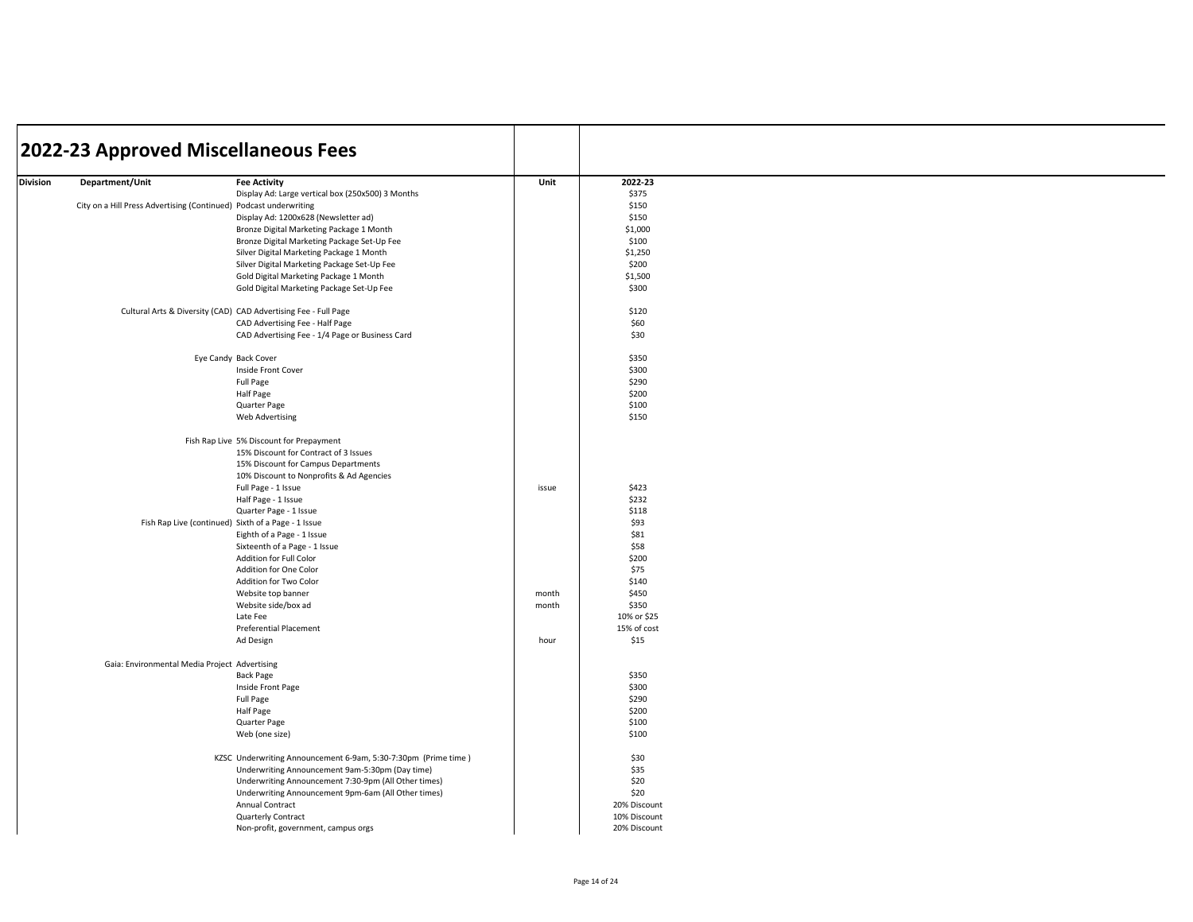|          | 2022-23 Approved Miscellaneous Fees                               |                                                                 |       |              |  |
|----------|-------------------------------------------------------------------|-----------------------------------------------------------------|-------|--------------|--|
| Division | Department/Unit                                                   | <b>Fee Activity</b>                                             | Unit  | 2022-23      |  |
|          |                                                                   | Display Ad: Large vertical box (250x500) 3 Months               |       | \$375        |  |
|          | City on a Hill Press Advertising (Continued) Podcast underwriting |                                                                 |       | \$150        |  |
|          |                                                                   | Display Ad: 1200x628 (Newsletter ad)                            |       | \$150        |  |
|          |                                                                   | Bronze Digital Marketing Package 1 Month                        |       | \$1,000      |  |
|          |                                                                   | Bronze Digital Marketing Package Set-Up Fee                     |       | \$100        |  |
|          |                                                                   | Silver Digital Marketing Package 1 Month                        |       | \$1,250      |  |
|          |                                                                   | Silver Digital Marketing Package Set-Up Fee                     |       | \$200        |  |
|          |                                                                   | Gold Digital Marketing Package 1 Month                          |       | \$1,500      |  |
|          |                                                                   | Gold Digital Marketing Package Set-Up Fee                       |       | \$300        |  |
|          |                                                                   | Cultural Arts & Diversity (CAD) CAD Advertising Fee - Full Page |       | \$120        |  |
|          |                                                                   | CAD Advertising Fee - Half Page                                 |       | \$60         |  |
|          |                                                                   | CAD Advertising Fee - 1/4 Page or Business Card                 |       | \$30         |  |
|          |                                                                   |                                                                 |       |              |  |
|          |                                                                   | Eye Candy Back Cover                                            |       | \$350        |  |
|          |                                                                   | Inside Front Cover                                              |       | \$300        |  |
|          |                                                                   | Full Page                                                       |       | \$290        |  |
|          |                                                                   | Half Page                                                       |       | \$200        |  |
|          |                                                                   | Quarter Page                                                    |       | \$100        |  |
|          |                                                                   | Web Advertising                                                 |       | \$150        |  |
|          |                                                                   | Fish Rap Live 5% Discount for Prepayment                        |       |              |  |
|          |                                                                   | 15% Discount for Contract of 3 Issues                           |       |              |  |
|          |                                                                   | 15% Discount for Campus Departments                             |       |              |  |
|          |                                                                   | 10% Discount to Nonprofits & Ad Agencies                        |       |              |  |
|          |                                                                   | Full Page - 1 Issue                                             | issue | \$423        |  |
|          |                                                                   | Half Page - 1 Issue                                             |       | \$232        |  |
|          |                                                                   | Quarter Page - 1 Issue                                          |       | \$118        |  |
|          | Fish Rap Live (continued) Sixth of a Page - 1 Issue               |                                                                 |       | \$93         |  |
|          |                                                                   | Eighth of a Page - 1 Issue                                      |       | \$81         |  |
|          |                                                                   | Sixteenth of a Page - 1 Issue                                   |       | \$58         |  |
|          |                                                                   | Addition for Full Color                                         |       | \$200        |  |
|          |                                                                   | Addition for One Color                                          |       | \$75         |  |
|          |                                                                   | Addition for Two Color                                          |       | \$140        |  |
|          |                                                                   | Website top banner                                              | month | \$450        |  |
|          |                                                                   | Website side/box ad                                             | month | \$350        |  |
|          |                                                                   | Late Fee                                                        |       | 10% or \$25  |  |
|          |                                                                   | <b>Preferential Placement</b>                                   |       | 15% of cost  |  |
|          |                                                                   | Ad Design                                                       | hour  | \$15         |  |
|          | Gaia: Environmental Media Project Advertising                     |                                                                 |       |              |  |
|          |                                                                   | <b>Back Page</b>                                                |       | \$350        |  |
|          |                                                                   | Inside Front Page                                               |       | \$300        |  |
|          |                                                                   | Full Page                                                       |       | \$290        |  |
|          |                                                                   | Half Page                                                       |       | \$200        |  |
|          |                                                                   | Quarter Page                                                    |       | \$100        |  |
|          |                                                                   | Web (one size)                                                  |       | \$100        |  |
|          |                                                                   | KZSC Underwriting Announcement 6-9am, 5:30-7:30pm (Prime time)  |       | \$30         |  |
|          |                                                                   | Underwriting Announcement 9am-5:30pm (Day time)                 |       | \$35         |  |
|          |                                                                   | Underwriting Announcement 7:30-9pm (All Other times)            |       | \$20         |  |
|          |                                                                   | Underwriting Announcement 9pm-6am (All Other times)             |       | \$20         |  |
|          |                                                                   | Annual Contract                                                 |       | 20% Discount |  |
|          |                                                                   | Quarterly Contract                                              |       | 10% Discount |  |
|          |                                                                   | Non-profit, government, campus orgs                             |       | 20% Discount |  |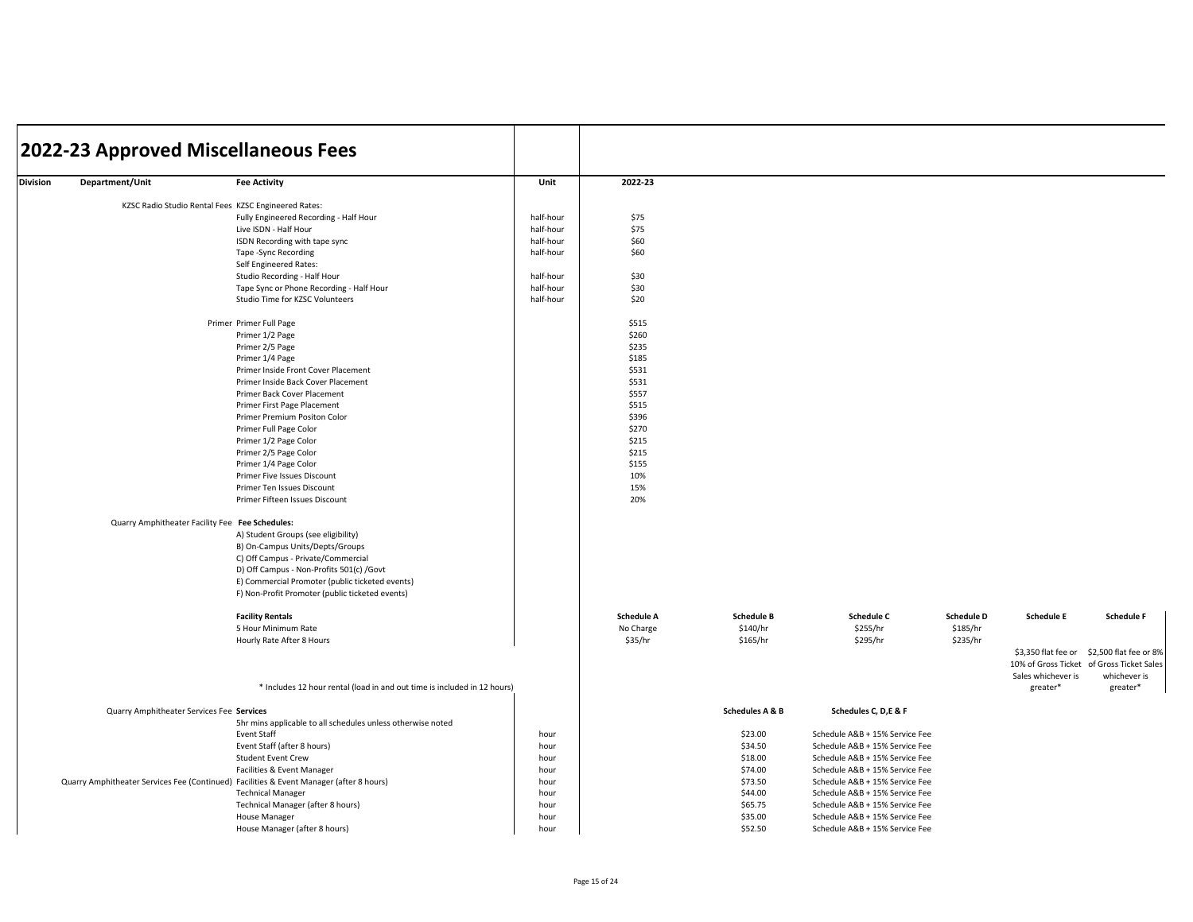|          | 2022-23 Approved Miscellaneous Fees                                                     |                                                                          |                        |                   |                            |                                |                   |                     |                                           |
|----------|-----------------------------------------------------------------------------------------|--------------------------------------------------------------------------|------------------------|-------------------|----------------------------|--------------------------------|-------------------|---------------------|-------------------------------------------|
| Division | Department/Unit                                                                         | <b>Fee Activity</b>                                                      | Unit                   | 2022-23           |                            |                                |                   |                     |                                           |
|          | KZSC Radio Studio Rental Fees KZSC Engineered Rates:                                    |                                                                          |                        |                   |                            |                                |                   |                     |                                           |
|          |                                                                                         | Fully Engineered Recording - Half Hour                                   | half-hour              | \$75              |                            |                                |                   |                     |                                           |
|          |                                                                                         |                                                                          |                        | \$75              |                            |                                |                   |                     |                                           |
|          |                                                                                         | Live ISDN - Half Hour<br>ISDN Recording with tape sync                   | half-hour<br>half-hour | \$60              |                            |                                |                   |                     |                                           |
|          |                                                                                         |                                                                          | half-hour              | \$60              |                            |                                |                   |                     |                                           |
|          |                                                                                         | Tape -Sync Recording                                                     |                        |                   |                            |                                |                   |                     |                                           |
|          |                                                                                         | Self Engineered Rates:                                                   |                        |                   |                            |                                |                   |                     |                                           |
|          |                                                                                         | Studio Recording - Half Hour                                             | half-hour              | \$30              |                            |                                |                   |                     |                                           |
|          |                                                                                         | Tape Sync or Phone Recording - Half Hour                                 | half-hour              | \$30              |                            |                                |                   |                     |                                           |
|          |                                                                                         | Studio Time for KZSC Volunteers                                          | half-hour              | \$20              |                            |                                |                   |                     |                                           |
|          |                                                                                         | Primer Primer Full Page                                                  |                        | \$515             |                            |                                |                   |                     |                                           |
|          |                                                                                         | Primer 1/2 Page                                                          |                        | \$260             |                            |                                |                   |                     |                                           |
|          |                                                                                         | Primer 2/5 Page                                                          |                        | \$235             |                            |                                |                   |                     |                                           |
|          |                                                                                         | Primer 1/4 Page                                                          |                        | \$185             |                            |                                |                   |                     |                                           |
|          |                                                                                         | Primer Inside Front Cover Placement                                      |                        | \$531             |                            |                                |                   |                     |                                           |
|          |                                                                                         | Primer Inside Back Cover Placement                                       |                        | \$531             |                            |                                |                   |                     |                                           |
|          |                                                                                         | Primer Back Cover Placement                                              |                        | \$557             |                            |                                |                   |                     |                                           |
|          |                                                                                         | Primer First Page Placement                                              |                        | \$515             |                            |                                |                   |                     |                                           |
|          |                                                                                         | Primer Premium Positon Color                                             |                        | \$396             |                            |                                |                   |                     |                                           |
|          |                                                                                         | Primer Full Page Color                                                   |                        | \$270             |                            |                                |                   |                     |                                           |
|          |                                                                                         | Primer 1/2 Page Color                                                    |                        | \$215             |                            |                                |                   |                     |                                           |
|          |                                                                                         | Primer 2/5 Page Color                                                    |                        | \$215             |                            |                                |                   |                     |                                           |
|          |                                                                                         | Primer 1/4 Page Color                                                    |                        | \$155             |                            |                                |                   |                     |                                           |
|          |                                                                                         | Primer Five Issues Discount                                              |                        | 10%               |                            |                                |                   |                     |                                           |
|          |                                                                                         | Primer Ten Issues Discount                                               |                        | 15%               |                            |                                |                   |                     |                                           |
|          |                                                                                         | Primer Fifteen Issues Discount                                           |                        | 20%               |                            |                                |                   |                     |                                           |
|          | Quarry Amphitheater Facility Fee Fee Schedules:                                         |                                                                          |                        |                   |                            |                                |                   |                     |                                           |
|          |                                                                                         | A) Student Groups (see eligibility)                                      |                        |                   |                            |                                |                   |                     |                                           |
|          |                                                                                         | B) On-Campus Units/Depts/Groups                                          |                        |                   |                            |                                |                   |                     |                                           |
|          |                                                                                         | C) Off Campus - Private/Commercial                                       |                        |                   |                            |                                |                   |                     |                                           |
|          |                                                                                         | D) Off Campus - Non-Profits 501(c) /Govt                                 |                        |                   |                            |                                |                   |                     |                                           |
|          |                                                                                         | E) Commercial Promoter (public ticketed events)                          |                        |                   |                            |                                |                   |                     |                                           |
|          |                                                                                         | F) Non-Profit Promoter (public ticketed events)                          |                        |                   |                            |                                |                   |                     |                                           |
|          |                                                                                         |                                                                          |                        |                   |                            |                                |                   |                     |                                           |
|          |                                                                                         | <b>Facility Rentals</b>                                                  |                        | <b>Schedule A</b> | <b>Schedule B</b>          | <b>Schedule C</b>              | <b>Schedule D</b> | <b>Schedule E</b>   | <b>Schedule F</b>                         |
|          |                                                                                         | 5 Hour Minimum Rate                                                      |                        | No Charge         | \$140/hr                   | \$255/hr                       | \$185/hr          |                     |                                           |
|          |                                                                                         | Hourly Rate After 8 Hours                                                |                        | \$35/hr           | \$165/hr                   | \$295/hr                       | \$235/hr          |                     |                                           |
|          |                                                                                         |                                                                          |                        |                   |                            |                                |                   | \$3,350 flat fee or | \$2,500 flat fee or 8%                    |
|          |                                                                                         |                                                                          |                        |                   |                            |                                |                   |                     | 10% of Gross Ticket of Gross Ticket Sales |
|          |                                                                                         |                                                                          |                        |                   |                            |                                |                   | Sales whichever is  | whichever is                              |
|          |                                                                                         | * Includes 12 hour rental (load in and out time is included in 12 hours) |                        |                   |                            |                                |                   | greater*            | greater*                                  |
|          | Quarry Amphitheater Services Fee Services                                               |                                                                          |                        |                   | <b>Schedules A &amp; B</b> | Schedules C, D,E & F           |                   |                     |                                           |
|          |                                                                                         | 5hr mins applicable to all schedules unless otherwise noted              |                        |                   |                            |                                |                   |                     |                                           |
|          |                                                                                         | <b>Event Staff</b>                                                       | hour                   |                   | \$23.00                    | Schedule A&B + 15% Service Fee |                   |                     |                                           |
|          |                                                                                         | Event Staff (after 8 hours)                                              | hour                   |                   | \$34.50                    | Schedule A&B + 15% Service Fee |                   |                     |                                           |
|          |                                                                                         | <b>Student Event Crew</b>                                                | hour                   |                   | \$18.00                    | Schedule A&B + 15% Service Fee |                   |                     |                                           |
|          |                                                                                         | Facilities & Event Manager                                               | hour                   |                   | \$74.00                    | Schedule A&B + 15% Service Fee |                   |                     |                                           |
|          | Quarry Amphitheater Services Fee (Continued) Facilities & Event Manager (after 8 hours) |                                                                          | hour                   |                   | \$73.50                    | Schedule A&B + 15% Service Fee |                   |                     |                                           |
|          |                                                                                         | <b>Technical Manager</b>                                                 | hour                   |                   | \$44.00                    | Schedule A&B + 15% Service Fee |                   |                     |                                           |
|          |                                                                                         | Technical Manager (after 8 hours)                                        | hour                   |                   | \$65.75                    | Schedule A&B + 15% Service Fee |                   |                     |                                           |
|          |                                                                                         | House Manager                                                            |                        |                   | \$35.00                    | Schedule A&B + 15% Service Fee |                   |                     |                                           |
|          |                                                                                         |                                                                          | hour                   |                   | \$52.50                    |                                |                   |                     |                                           |
|          |                                                                                         | House Manager (after 8 hours)                                            | hour                   |                   |                            | Schedule A&B + 15% Service Fee |                   |                     |                                           |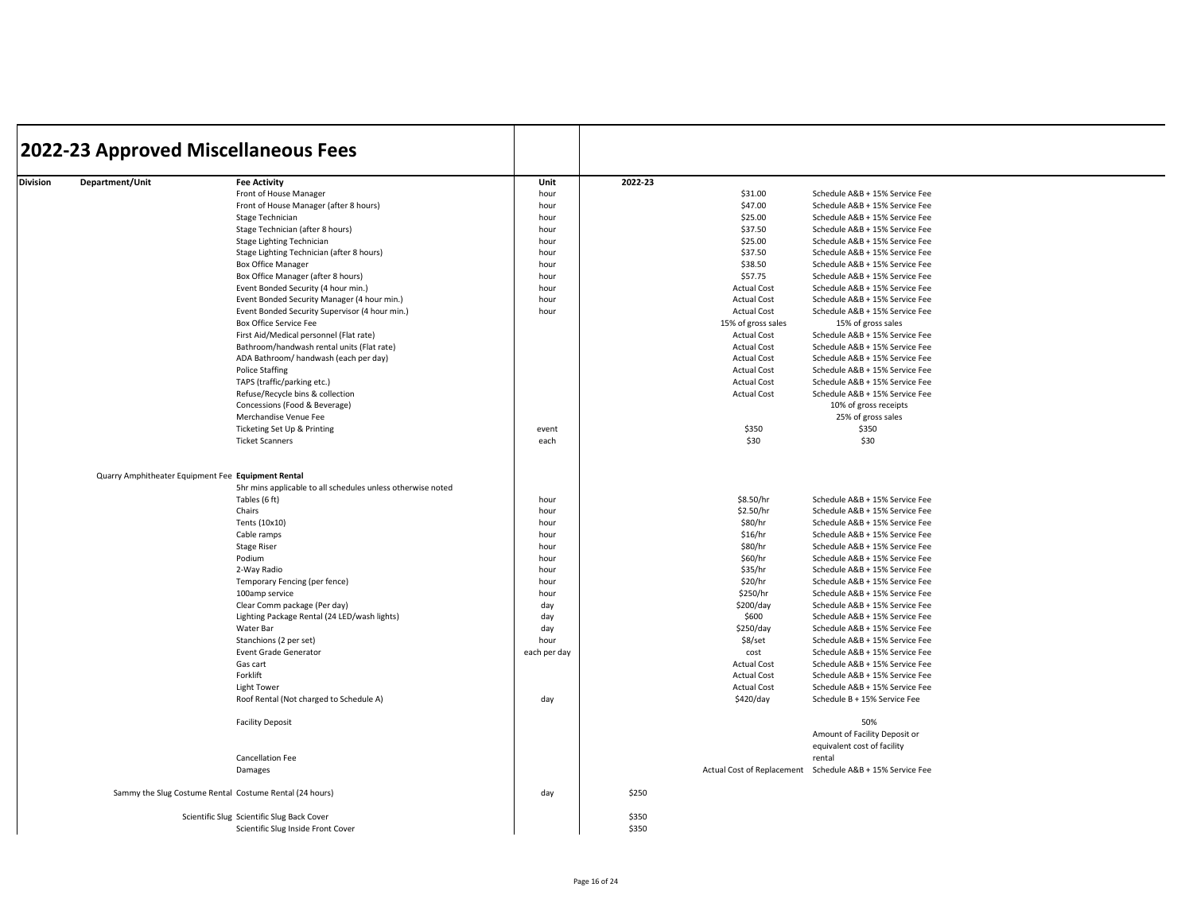|                 | 2022-23 Approved Miscellaneous Fees                         |              |         |                    |                                                           |
|-----------------|-------------------------------------------------------------|--------------|---------|--------------------|-----------------------------------------------------------|
| Department/Unit | <b>Fee Activity</b>                                         | Unit         | 2022-23 |                    |                                                           |
|                 | Front of House Manager                                      | hour         |         | \$31.00            | Schedule A&B + 15% Service Fee                            |
|                 | Front of House Manager (after 8 hours)                      | hour         |         | \$47.00            | Schedule A&B + 15% Service Fee                            |
|                 | Stage Technician                                            | hour         |         | \$25.00            | Schedule A&B + 15% Service Fee                            |
|                 | Stage Technician (after 8 hours)                            | hour         |         | \$37.50            | Schedule A&B + 15% Service Fee                            |
|                 | Stage Lighting Technician                                   | hour         |         | \$25.00            | Schedule A&B + 15% Service Fee                            |
|                 | Stage Lighting Technician (after 8 hours)                   | hour         |         | \$37.50            | Schedule A&B + 15% Service Fee                            |
|                 | <b>Box Office Manager</b>                                   | hour         |         | \$38.50            | Schedule A&B + 15% Service Fee                            |
|                 | Box Office Manager (after 8 hours)                          | hour         |         | \$57.75            | Schedule A&B + 15% Service Fee                            |
|                 | Event Bonded Security (4 hour min.)                         | hour         |         | <b>Actual Cost</b> | Schedule A&B + 15% Service Fee                            |
|                 | Event Bonded Security Manager (4 hour min.)                 | hour         |         | <b>Actual Cost</b> | Schedule A&B + 15% Service Fee                            |
|                 | Event Bonded Security Supervisor (4 hour min.)              | hour         |         | <b>Actual Cost</b> | Schedule A&B + 15% Service Fee                            |
|                 | Box Office Service Fee                                      |              |         | 15% of gross sales | 15% of gross sales                                        |
|                 | First Aid/Medical personnel (Flat rate)                     |              |         | <b>Actual Cost</b> | Schedule A&B + 15% Service Fee                            |
|                 | Bathroom/handwash rental units (Flat rate)                  |              |         | <b>Actual Cost</b> | Schedule A&B + 15% Service Fee                            |
|                 | ADA Bathroom/ handwash (each per day)                       |              |         | <b>Actual Cost</b> | Schedule A&B + 15% Service Fee                            |
|                 | <b>Police Staffing</b>                                      |              |         | <b>Actual Cost</b> | Schedule A&B + 15% Service Fee                            |
|                 | TAPS (traffic/parking etc.)                                 |              |         | <b>Actual Cost</b> | Schedule A&B + 15% Service Fee                            |
|                 | Refuse/Recycle bins & collection                            |              |         | <b>Actual Cost</b> | Schedule A&B + 15% Service Fee                            |
|                 | Concessions (Food & Beverage)                               |              |         |                    | 10% of gross receipts                                     |
|                 | Merchandise Venue Fee                                       |              |         |                    | 25% of gross sales                                        |
|                 | Ticketing Set Up & Printing                                 | event        |         | \$350              | \$350                                                     |
|                 | <b>Ticket Scanners</b>                                      | each         |         | \$30               | \$30                                                      |
|                 | Quarry Amphitheater Equipment Fee Equipment Rental          |              |         |                    |                                                           |
|                 | 5hr mins applicable to all schedules unless otherwise noted |              |         |                    |                                                           |
|                 | Tables (6 ft)                                               | hour         |         | \$8.50/hr          | Schedule A&B + 15% Service Fee                            |
|                 | Chairs                                                      | hour         |         | \$2.50/hr          | Schedule A&B + 15% Service Fee                            |
|                 | Tents (10x10)                                               | hour         |         | \$80/hr            | Schedule A&B + 15% Service Fee                            |
|                 | Cable ramps                                                 | hour         |         | \$16/hr            | Schedule A&B + 15% Service Fee                            |
|                 | <b>Stage Riser</b>                                          | hour         |         | \$80/hr            | Schedule A&B + 15% Service Fee                            |
|                 | Podium                                                      | hour         |         | \$60/hr            | Schedule A&B + 15% Service Fee                            |
|                 | 2-Way Radio                                                 | hour         |         | \$35/hr            | Schedule A&B + 15% Service Fee                            |
|                 | Temporary Fencing (per fence)                               | hour         |         | \$20/hr            | Schedule A&B + 15% Service Fee                            |
|                 | 100amp service                                              | hour         |         | \$250/hr           | Schedule A&B + 15% Service Fee                            |
|                 | Clear Comm package (Per day)                                | day          |         | \$200/day          | Schedule A&B + 15% Service Fee                            |
|                 | Lighting Package Rental (24 LED/wash lights)                | day          |         | \$600              | Schedule A&B + 15% Service Fee                            |
|                 | Water Bar                                                   | day          |         | \$250/day          | Schedule A&B + 15% Service Fee                            |
|                 | Stanchions (2 per set)                                      | hour         |         | \$8/set            | Schedule A&B + 15% Service Fee                            |
|                 | Event Grade Generator                                       | each per day |         | cost               | Schedule A&B + 15% Service Fee                            |
|                 | Gas cart                                                    |              |         | <b>Actual Cost</b> | Schedule A&B + 15% Service Fee                            |
|                 | Forklift                                                    |              |         | <b>Actual Cost</b> | Schedule A&B + 15% Service Fee                            |
|                 | Light Tower                                                 |              |         | Actual Cost        | Schedule A&B + 15% Service Fee                            |
|                 | Roof Rental (Not charged to Schedule A)                     | day          |         | \$420/day          | Schedule B + 15% Service Fee                              |
|                 | <b>Facility Deposit</b>                                     |              |         |                    | 50%<br>Amount of Facility Deposit or                      |
|                 |                                                             |              |         |                    | equivalent cost of facility                               |
|                 | <b>Cancellation Fee</b>                                     |              |         |                    | rental                                                    |
|                 | Damages                                                     |              |         |                    | Actual Cost of Replacement Schedule A&B + 15% Service Fee |
|                 | Sammy the Slug Costume Rental Costume Rental (24 hours)     | day          | \$250   |                    |                                                           |
|                 | Scientific Slug Scientific Slug Back Cover                  |              | \$350   |                    |                                                           |
|                 | Scientific Slug Inside Front Cover                          |              | \$350   |                    |                                                           |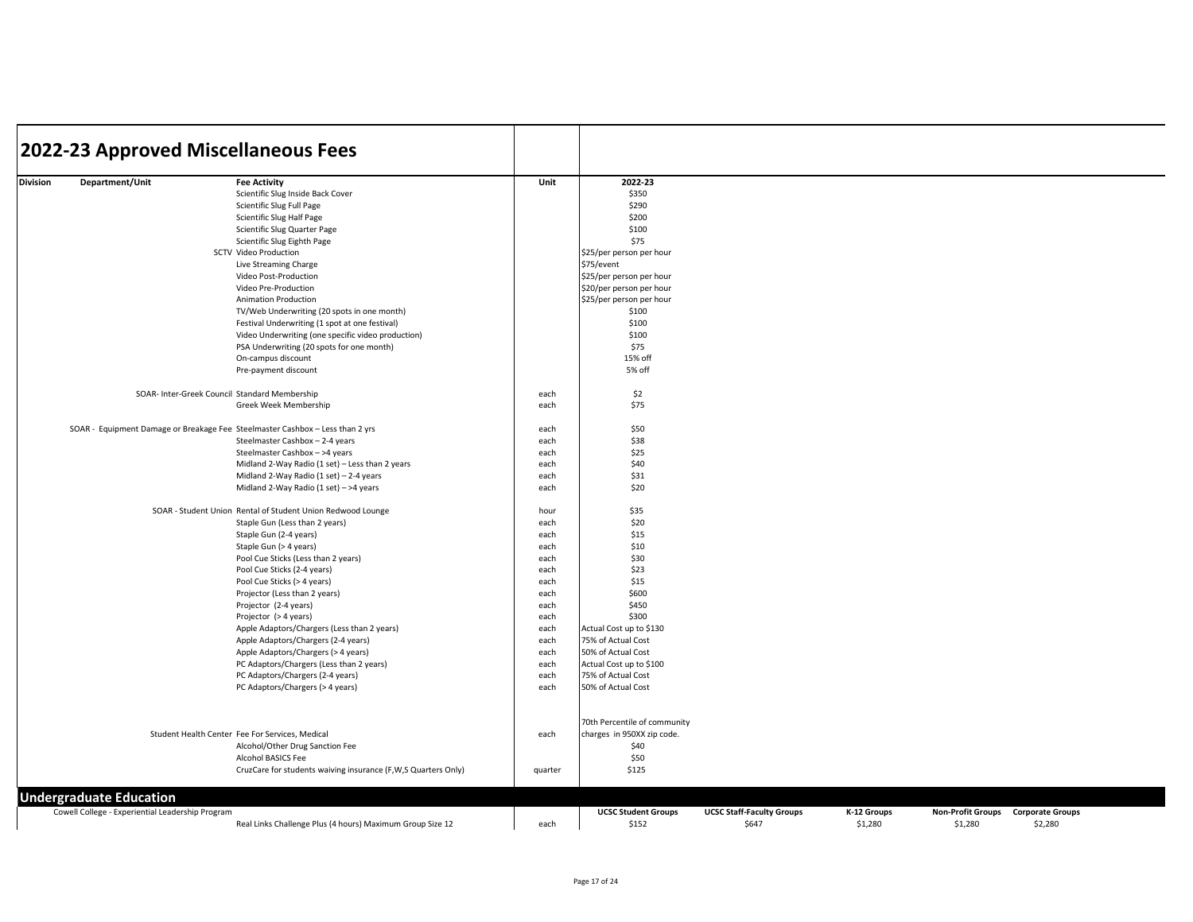|                 |                                                  | 2022-23 Approved Miscellaneous Fees                                             |              |                                                      |                                           |                        |                                     |                                    |  |
|-----------------|--------------------------------------------------|---------------------------------------------------------------------------------|--------------|------------------------------------------------------|-------------------------------------------|------------------------|-------------------------------------|------------------------------------|--|
|                 |                                                  |                                                                                 |              |                                                      |                                           |                        |                                     |                                    |  |
| <b>Division</b> | Department/Unit                                  | <b>Fee Activity</b>                                                             | Unit         | 2022-23                                              |                                           |                        |                                     |                                    |  |
|                 |                                                  | Scientific Slug Inside Back Cover                                               |              | \$350                                                |                                           |                        |                                     |                                    |  |
|                 |                                                  | Scientific Slug Full Page                                                       |              | \$290                                                |                                           |                        |                                     |                                    |  |
|                 |                                                  | Scientific Slug Half Page                                                       |              | \$200                                                |                                           |                        |                                     |                                    |  |
|                 |                                                  | Scientific Slug Quarter Page                                                    |              | \$100                                                |                                           |                        |                                     |                                    |  |
|                 |                                                  | Scientific Slug Eighth Page                                                     |              | \$75                                                 |                                           |                        |                                     |                                    |  |
|                 |                                                  | <b>SCTV Video Production</b>                                                    |              | \$25/per person per hour                             |                                           |                        |                                     |                                    |  |
|                 |                                                  | Live Streaming Charge                                                           |              | \$75/event                                           |                                           |                        |                                     |                                    |  |
|                 |                                                  | Video Post-Production                                                           |              | \$25/per person per hour                             |                                           |                        |                                     |                                    |  |
|                 |                                                  | Video Pre-Production<br>Animation Production                                    |              | \$20/per person per hour<br>\$25/per person per hour |                                           |                        |                                     |                                    |  |
|                 |                                                  | TV/Web Underwriting (20 spots in one month)                                     |              | \$100                                                |                                           |                        |                                     |                                    |  |
|                 |                                                  | Festival Underwriting (1 spot at one festival)                                  |              | \$100                                                |                                           |                        |                                     |                                    |  |
|                 |                                                  | Video Underwriting (one specific video production)                              |              | \$100                                                |                                           |                        |                                     |                                    |  |
|                 |                                                  | PSA Underwriting (20 spots for one month)                                       |              | \$75                                                 |                                           |                        |                                     |                                    |  |
|                 |                                                  | On-campus discount                                                              |              | 15% off                                              |                                           |                        |                                     |                                    |  |
|                 |                                                  | Pre-payment discount                                                            |              | 5% off                                               |                                           |                        |                                     |                                    |  |
|                 |                                                  | SOAR- Inter-Greek Council Standard Membership                                   | each         | \$2                                                  |                                           |                        |                                     |                                    |  |
|                 |                                                  | Greek Week Membership                                                           | each         | \$75                                                 |                                           |                        |                                     |                                    |  |
|                 |                                                  | SOAR - Equipment Damage or Breakage Fee Steelmaster Cashbox - Less than 2 yrs   | each         | \$50                                                 |                                           |                        |                                     |                                    |  |
|                 |                                                  | Steelmaster Cashbox - 2-4 years                                                 | each         | \$38                                                 |                                           |                        |                                     |                                    |  |
|                 |                                                  | Steelmaster Cashbox - >4 years                                                  | each         | \$25                                                 |                                           |                        |                                     |                                    |  |
|                 |                                                  | Midland 2-Way Radio (1 set) - Less than 2 years                                 | each         | \$40                                                 |                                           |                        |                                     |                                    |  |
|                 |                                                  | Midland 2-Way Radio (1 set) - 2-4 years                                         | each         | \$31                                                 |                                           |                        |                                     |                                    |  |
|                 |                                                  | Midland 2-Way Radio (1 set) - >4 years                                          | each         | \$20                                                 |                                           |                        |                                     |                                    |  |
|                 |                                                  | SOAR - Student Union Rental of Student Union Redwood Lounge                     | hour         | \$35                                                 |                                           |                        |                                     |                                    |  |
|                 |                                                  | Staple Gun (Less than 2 years)                                                  | each         | \$20                                                 |                                           |                        |                                     |                                    |  |
|                 |                                                  | Staple Gun (2-4 years)                                                          | each         | \$15                                                 |                                           |                        |                                     |                                    |  |
|                 |                                                  | Staple Gun (> 4 years)                                                          | each         | \$10                                                 |                                           |                        |                                     |                                    |  |
|                 |                                                  | Pool Cue Sticks (Less than 2 years)                                             | each         | \$30                                                 |                                           |                        |                                     |                                    |  |
|                 |                                                  | Pool Cue Sticks (2-4 years)                                                     | each         | \$23                                                 |                                           |                        |                                     |                                    |  |
|                 |                                                  | Pool Cue Sticks (> 4 years)                                                     | each         | \$15                                                 |                                           |                        |                                     |                                    |  |
|                 |                                                  | Projector (Less than 2 years)                                                   | each         | \$600                                                |                                           |                        |                                     |                                    |  |
|                 |                                                  | Projector (2-4 years)                                                           | each         | \$450<br>\$300                                       |                                           |                        |                                     |                                    |  |
|                 |                                                  | Projector (> 4 years)                                                           | each         |                                                      |                                           |                        |                                     |                                    |  |
|                 |                                                  | Apple Adaptors/Chargers (Less than 2 years)                                     | each         | Actual Cost up to \$130<br>75% of Actual Cost        |                                           |                        |                                     |                                    |  |
|                 |                                                  | Apple Adaptors/Chargers (2-4 years)                                             | each<br>each | 50% of Actual Cost                                   |                                           |                        |                                     |                                    |  |
|                 |                                                  | Apple Adaptors/Chargers (> 4 years)<br>PC Adaptors/Chargers (Less than 2 years) | each         | Actual Cost up to \$100                              |                                           |                        |                                     |                                    |  |
|                 |                                                  | PC Adaptors/Chargers (2-4 years)                                                | each         | 75% of Actual Cost                                   |                                           |                        |                                     |                                    |  |
|                 |                                                  | PC Adaptors/Chargers (> 4 years)                                                | each         | 50% of Actual Cost                                   |                                           |                        |                                     |                                    |  |
|                 |                                                  |                                                                                 |              |                                                      |                                           |                        |                                     |                                    |  |
|                 |                                                  |                                                                                 |              | 70th Percentile of community                         |                                           |                        |                                     |                                    |  |
|                 |                                                  | Student Health Center Fee For Services, Medical                                 | each         | charges in 950XX zip code.                           |                                           |                        |                                     |                                    |  |
|                 |                                                  | Alcohol/Other Drug Sanction Fee                                                 |              | \$40                                                 |                                           |                        |                                     |                                    |  |
|                 |                                                  | Alcohol BASICS Fee                                                              |              | \$50                                                 |                                           |                        |                                     |                                    |  |
|                 |                                                  | CruzCare for students waiving insurance (F, W, S Quarters Only)                 | quarter      | \$125                                                |                                           |                        |                                     |                                    |  |
|                 | <b>Undergraduate Education</b>                   |                                                                                 |              |                                                      |                                           |                        |                                     |                                    |  |
|                 | Cowell College - Experiential Leadership Program | Real Links Challenge Plus (4 hours) Maximum Group Size 12                       | each         | <b>UCSC Student Groups</b><br>\$152                  | <b>UCSC Staff-Faculty Groups</b><br>\$647 | K-12 Groups<br>\$1,280 | <b>Non-Profit Groups</b><br>\$1,280 | <b>Corporate Groups</b><br>\$2,280 |  |
|                 |                                                  |                                                                                 |              |                                                      |                                           |                        |                                     |                                    |  |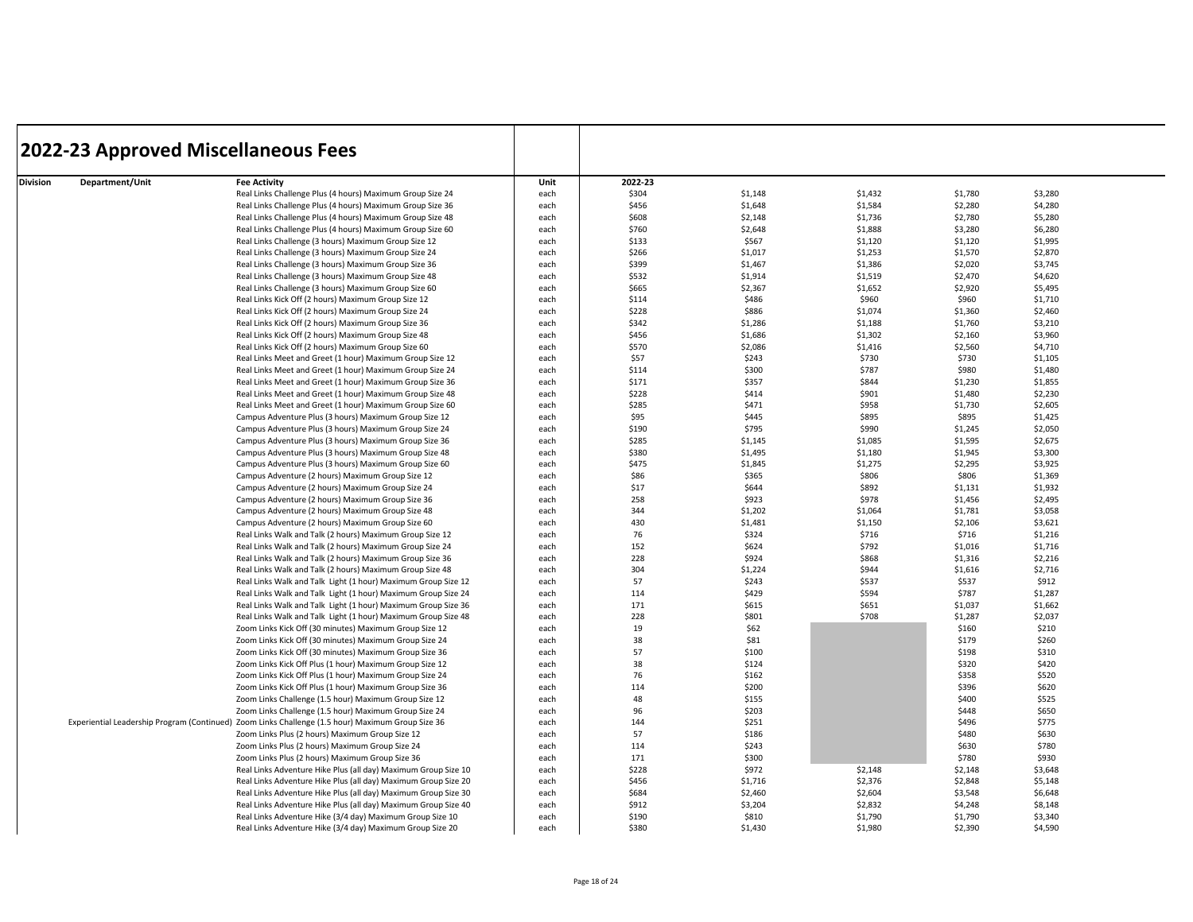|                             | <b>2022-23 Approved Miscellaneous Fees</b>                                                        |      |         |         |         |         |         |  |
|-----------------------------|---------------------------------------------------------------------------------------------------|------|---------|---------|---------|---------|---------|--|
|                             |                                                                                                   |      |         |         |         |         |         |  |
| Department/Unit<br>Division | <b>Fee Activity</b>                                                                               | Unit | 2022-23 |         |         |         |         |  |
|                             | Real Links Challenge Plus (4 hours) Maximum Group Size 24                                         | each | \$304   | \$1,148 | \$1,432 | \$1,780 | \$3,280 |  |
|                             | Real Links Challenge Plus (4 hours) Maximum Group Size 36                                         | each | \$456   | \$1,648 | \$1,584 | \$2,280 | \$4,280 |  |
|                             | Real Links Challenge Plus (4 hours) Maximum Group Size 48                                         | each | \$608   | \$2,148 | \$1,736 | \$2,780 | \$5,280 |  |
|                             | Real Links Challenge Plus (4 hours) Maximum Group Size 60                                         | each | \$760   | \$2,648 | \$1,888 | \$3,280 | \$6,280 |  |
|                             | Real Links Challenge (3 hours) Maximum Group Size 12                                              | each | \$133   | \$567   | \$1,120 | \$1,120 | \$1,995 |  |
|                             | Real Links Challenge (3 hours) Maximum Group Size 24                                              | each | \$266   | \$1,017 | \$1,253 | \$1,570 | \$2,870 |  |
|                             | Real Links Challenge (3 hours) Maximum Group Size 36                                              | each | \$399   | \$1,467 | \$1,386 | \$2,020 | \$3,745 |  |
|                             | Real Links Challenge (3 hours) Maximum Group Size 48                                              | each | \$532   | \$1,914 | \$1,519 | \$2,470 | \$4,620 |  |
|                             | Real Links Challenge (3 hours) Maximum Group Size 60                                              | each | \$665   | \$2,367 | \$1,652 | \$2,920 | \$5,495 |  |
|                             | Real Links Kick Off (2 hours) Maximum Group Size 12                                               | each | \$114   | \$486   | \$960   | \$960   | \$1,710 |  |
|                             | Real Links Kick Off (2 hours) Maximum Group Size 24                                               | each | \$228   | \$886   | \$1,074 | \$1,360 | \$2,460 |  |
|                             | Real Links Kick Off (2 hours) Maximum Group Size 36                                               | each | \$342   | \$1,286 | \$1,188 | \$1,760 | \$3,210 |  |
|                             | Real Links Kick Off (2 hours) Maximum Group Size 48                                               | each | \$456   | \$1,686 | \$1,302 | \$2,160 | \$3,960 |  |
|                             | Real Links Kick Off (2 hours) Maximum Group Size 60                                               | each | \$570   | \$2,086 | \$1,416 | \$2,560 | \$4,710 |  |
|                             | Real Links Meet and Greet (1 hour) Maximum Group Size 12                                          | each | \$57    | \$243   | \$730   | \$730   | \$1,105 |  |
|                             | Real Links Meet and Greet (1 hour) Maximum Group Size 24                                          | each | \$114   | \$300   | \$787   | \$980   | \$1,480 |  |
|                             | Real Links Meet and Greet (1 hour) Maximum Group Size 36                                          | each | \$171   | \$357   | \$844   | \$1,230 | \$1,855 |  |
|                             | Real Links Meet and Greet (1 hour) Maximum Group Size 48                                          | each | \$228   | \$414   | \$901   | \$1,480 | \$2,230 |  |
|                             | Real Links Meet and Greet (1 hour) Maximum Group Size 60                                          | each | \$285   | \$471   | \$958   | \$1,730 | \$2,605 |  |
|                             | Campus Adventure Plus (3 hours) Maximum Group Size 12                                             | each | \$95    | \$445   | \$895   | \$895   | \$1,425 |  |
|                             | Campus Adventure Plus (3 hours) Maximum Group Size 24                                             | each | \$190   | \$795   | \$990   | \$1,245 | \$2,050 |  |
|                             | Campus Adventure Plus (3 hours) Maximum Group Size 36                                             | each | \$285   | \$1,145 | \$1,085 | \$1,595 | \$2,675 |  |
|                             | Campus Adventure Plus (3 hours) Maximum Group Size 48                                             | each | \$380   | \$1,495 | \$1,180 | \$1,945 | \$3,300 |  |
|                             | Campus Adventure Plus (3 hours) Maximum Group Size 60                                             | each | \$475   | \$1,845 | \$1,275 | \$2,295 | \$3,925 |  |
|                             | Campus Adventure (2 hours) Maximum Group Size 12                                                  | each | \$86    | \$365   | \$806   | \$806   | \$1,369 |  |
|                             | Campus Adventure (2 hours) Maximum Group Size 24                                                  | each | \$17    | \$644   | \$892   | \$1,131 | \$1,932 |  |
|                             | Campus Adventure (2 hours) Maximum Group Size 36                                                  | each | 258     | \$923   | \$978   | \$1,456 | \$2,495 |  |
|                             | Campus Adventure (2 hours) Maximum Group Size 48                                                  | each | 344     | \$1,202 | \$1,064 | \$1,781 | \$3,058 |  |
|                             | Campus Adventure (2 hours) Maximum Group Size 60                                                  | each | 430     | \$1,481 | \$1,150 | \$2,106 | \$3,621 |  |
|                             | Real Links Walk and Talk (2 hours) Maximum Group Size 12                                          | each | 76      | \$324   | \$716   | \$716   | \$1,216 |  |
|                             | Real Links Walk and Talk (2 hours) Maximum Group Size 24                                          | each | 152     | \$624   | \$792   | \$1,016 | \$1,716 |  |
|                             | Real Links Walk and Talk (2 hours) Maximum Group Size 36                                          | each | 228     | \$924   | \$868   | \$1,316 | \$2,216 |  |
|                             | Real Links Walk and Talk (2 hours) Maximum Group Size 48                                          | each | 304     | \$1,224 | \$944   | \$1,616 | \$2,716 |  |
|                             | Real Links Walk and Talk Light (1 hour) Maximum Group Size 12                                     | each | 57      | \$243   | \$537   | \$537   | \$912   |  |
|                             | Real Links Walk and Talk Light (1 hour) Maximum Group Size 24                                     | each | 114     | \$429   | \$594   | \$787   | \$1,287 |  |
|                             | Real Links Walk and Talk Light (1 hour) Maximum Group Size 36                                     | each | 171     | \$615   | \$651   | \$1,037 | \$1,662 |  |
|                             | Real Links Walk and Talk Light (1 hour) Maximum Group Size 48                                     | each | 228     | \$801   | \$708   | \$1,287 | \$2,037 |  |
|                             | Zoom Links Kick Off (30 minutes) Maximum Group Size 12                                            | each | 19      | \$62    |         | \$160   | \$210   |  |
|                             | Zoom Links Kick Off (30 minutes) Maximum Group Size 24                                            | each | 38      | \$81    |         | \$179   | \$260   |  |
|                             | Zoom Links Kick Off (30 minutes) Maximum Group Size 36                                            | each | 57      | \$100   |         | \$198   | \$310   |  |
|                             | Zoom Links Kick Off Plus (1 hour) Maximum Group Size 12                                           | each | 38      | \$124   |         | \$320   | \$420   |  |
|                             | Zoom Links Kick Off Plus (1 hour) Maximum Group Size 24                                           | each | 76      | \$162   |         | \$358   | \$520   |  |
|                             | Zoom Links Kick Off Plus (1 hour) Maximum Group Size 36                                           | each | 114     | \$200   |         | \$396   | \$620   |  |
|                             | Zoom Links Challenge (1.5 hour) Maximum Group Size 12                                             | each | 48      | \$155   |         | \$400   | \$525   |  |
|                             | Zoom Links Challenge (1.5 hour) Maximum Group Size 24                                             | each | 96      | \$203   |         | \$448   | \$650   |  |
|                             | Experiential Leadership Program (Continued) Zoom Links Challenge (1.5 hour) Maximum Group Size 36 | each | 144     | \$251   |         | \$496   | \$775   |  |
|                             | Zoom Links Plus (2 hours) Maximum Group Size 12                                                   | each | 57      | \$186   |         | \$480   | \$630   |  |
|                             | Zoom Links Plus (2 hours) Maximum Group Size 24                                                   | each | 114     | \$243   |         | \$630   | \$780   |  |
|                             | Zoom Links Plus (2 hours) Maximum Group Size 36                                                   | each | 171     | \$300   |         | \$780   | \$930   |  |
|                             | Real Links Adventure Hike Plus (all day) Maximum Group Size 10                                    | each | \$228   | \$972   | \$2,148 | \$2,148 | \$3,648 |  |
|                             | Real Links Adventure Hike Plus (all day) Maximum Group Size 20                                    | each | \$456   | \$1,716 | \$2,376 | \$2,848 | \$5,148 |  |
|                             | Real Links Adventure Hike Plus (all day) Maximum Group Size 30                                    | each | \$684   | \$2,460 | \$2,604 | \$3,548 | \$6,648 |  |
|                             | Real Links Adventure Hike Plus (all day) Maximum Group Size 40                                    | each | \$912   | \$3,204 | \$2,832 | \$4,248 | \$8,148 |  |
|                             | Real Links Adventure Hike (3/4 day) Maximum Group Size 10                                         | each | \$190   | \$810   | \$1,790 | \$1,790 | \$3,340 |  |
|                             | Real Links Adventure Hike (3/4 day) Maximum Group Size 20                                         | each | \$380   | \$1,430 | \$1,980 | \$2,390 | \$4,590 |  |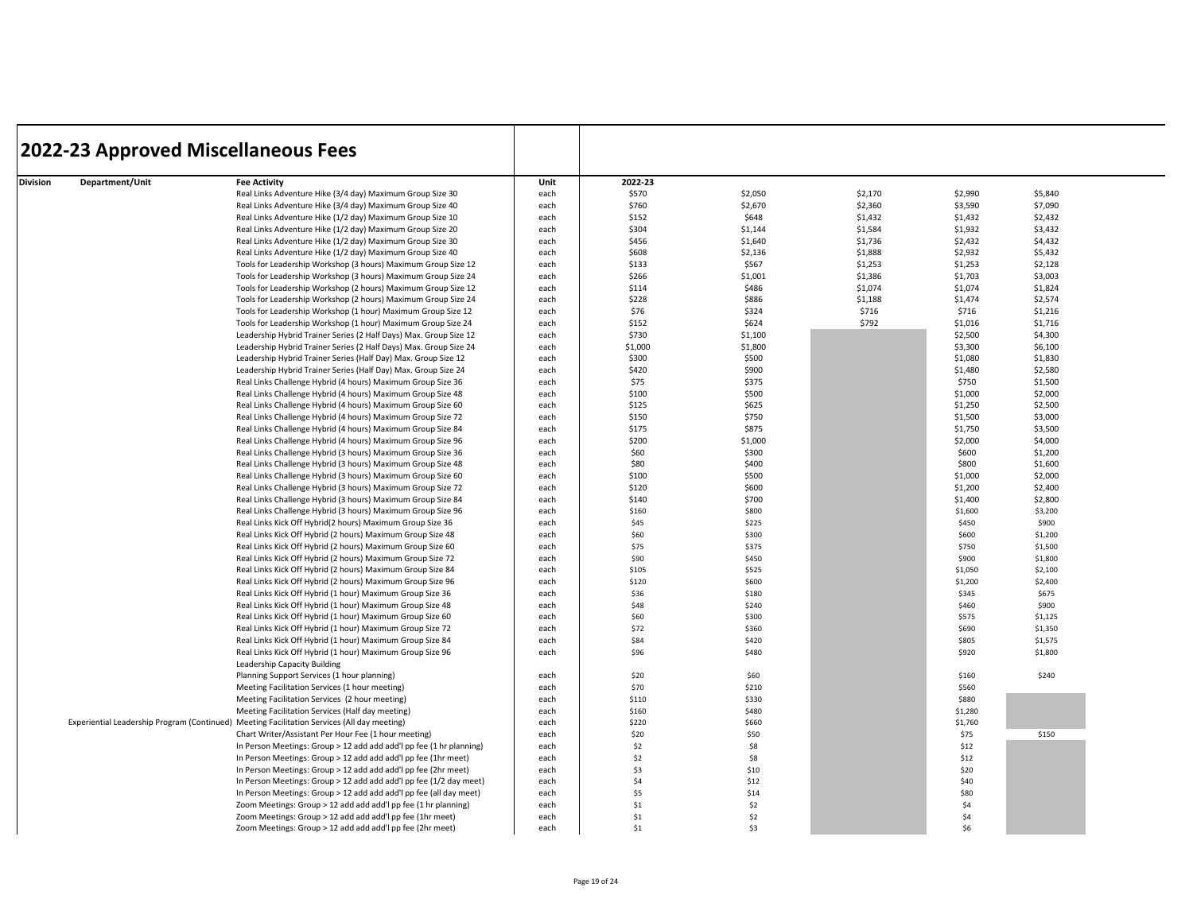|                             | <b>2022-23 Approved Miscellaneous Fees</b>                                                  |      |         |            |         |         |         |
|-----------------------------|---------------------------------------------------------------------------------------------|------|---------|------------|---------|---------|---------|
| Division<br>Department/Unit | <b>Fee Activity</b>                                                                         | Unit | 2022-23 |            |         |         |         |
|                             | Real Links Adventure Hike (3/4 day) Maximum Group Size 30                                   | each | \$570   | \$2,050    | \$2,170 | \$2,990 | \$5,840 |
|                             | Real Links Adventure Hike (3/4 day) Maximum Group Size 40                                   | each | \$760   | \$2,670    | \$2,360 | \$3,590 | \$7,090 |
|                             | Real Links Adventure Hike (1/2 day) Maximum Group Size 10                                   | each | \$152   | \$648      | \$1,432 | \$1,432 | \$2,432 |
|                             | Real Links Adventure Hike (1/2 day) Maximum Group Size 20                                   | each | \$304   | \$1,144    | \$1,584 | \$1,932 | \$3,432 |
|                             | Real Links Adventure Hike (1/2 day) Maximum Group Size 30                                   | each | \$456   | \$1,640    | \$1,736 | \$2,432 | \$4,432 |
|                             | Real Links Adventure Hike (1/2 day) Maximum Group Size 40                                   | each | \$608   | \$2,136    | \$1,888 | \$2,932 | \$5,432 |
|                             | Tools for Leadership Workshop (3 hours) Maximum Group Size 12                               | each | \$133   | \$567      | \$1,253 | \$1,253 | \$2,128 |
|                             | Tools for Leadership Workshop (3 hours) Maximum Group Size 24                               | each | \$266   | \$1,001    | \$1,386 | \$1,703 | \$3,003 |
|                             | Tools for Leadership Workshop (2 hours) Maximum Group Size 12                               | each | \$114   | \$486      | \$1,074 | \$1,074 | \$1,824 |
|                             | Tools for Leadership Workshop (2 hours) Maximum Group Size 24                               | each | \$228   | \$886      | \$1,188 | \$1,474 | \$2,574 |
|                             | Tools for Leadership Workshop (1 hour) Maximum Group Size 12                                | each | \$76    | \$324      | \$716   | \$716   | \$1,216 |
|                             | Tools for Leadership Workshop (1 hour) Maximum Group Size 24                                | each | \$152   | \$624      | \$792   | \$1,016 | \$1,716 |
|                             | Leadership Hybrid Trainer Series (2 Half Days) Max. Group Size 12                           | each | \$730   | \$1,100    |         | \$2,500 | \$4,300 |
|                             | Leadership Hybrid Trainer Series (2 Half Days) Max. Group Size 24                           | each | \$1,000 | \$1,800    |         | \$3,300 | \$6,100 |
|                             | Leadership Hybrid Trainer Series (Half Day) Max. Group Size 12                              | each | \$300   | \$500      |         | \$1,080 | \$1,830 |
|                             | Leadership Hybrid Trainer Series (Half Day) Max. Group Size 24                              | each | \$420   | \$900      |         | \$1,480 | \$2,580 |
|                             | Real Links Challenge Hybrid (4 hours) Maximum Group Size 36                                 | each | \$75    | \$375      |         | \$750   | \$1,500 |
|                             | Real Links Challenge Hybrid (4 hours) Maximum Group Size 48                                 | each | \$100   | \$500      |         | \$1,000 | \$2,000 |
|                             | Real Links Challenge Hybrid (4 hours) Maximum Group Size 60                                 | each | \$125   | \$625      |         | \$1,250 | \$2,500 |
|                             | Real Links Challenge Hybrid (4 hours) Maximum Group Size 72                                 | each | \$150   | \$750      |         | \$1,500 | \$3,000 |
|                             | Real Links Challenge Hybrid (4 hours) Maximum Group Size 84                                 | each | \$175   | \$875      |         | \$1,750 | \$3,500 |
|                             | Real Links Challenge Hybrid (4 hours) Maximum Group Size 96                                 | each | \$200   | \$1,000    |         | \$2,000 | \$4,000 |
|                             | Real Links Challenge Hybrid (3 hours) Maximum Group Size 36                                 | each | \$60    | \$300      |         | \$600   | \$1,200 |
|                             | Real Links Challenge Hybrid (3 hours) Maximum Group Size 48                                 | each | \$80    | \$400      |         | \$800   | \$1,600 |
|                             | Real Links Challenge Hybrid (3 hours) Maximum Group Size 60                                 | each | \$100   | \$500      |         | \$1,000 | \$2,000 |
|                             | Real Links Challenge Hybrid (3 hours) Maximum Group Size 72                                 | each | \$120   | \$600      |         | \$1,200 | \$2,400 |
|                             | Real Links Challenge Hybrid (3 hours) Maximum Group Size 84                                 | each | \$140   | \$700      |         | \$1,400 | \$2,800 |
|                             | Real Links Challenge Hybrid (3 hours) Maximum Group Size 96                                 | each | \$160   | \$800      |         | \$1,600 | \$3,200 |
|                             | Real Links Kick Off Hybrid(2 hours) Maximum Group Size 36                                   | each | \$45    | \$225      |         | \$450   | \$900   |
|                             | Real Links Kick Off Hybrid (2 hours) Maximum Group Size 48                                  | each | \$60    | \$300      |         | \$600   | \$1,200 |
|                             | Real Links Kick Off Hybrid (2 hours) Maximum Group Size 60                                  | each | \$75    | \$375      |         | \$750   | \$1,500 |
|                             | Real Links Kick Off Hybrid (2 hours) Maximum Group Size 72                                  | each | \$90    | \$450      |         | \$900   | \$1,800 |
|                             | Real Links Kick Off Hybrid (2 hours) Maximum Group Size 84                                  | each | \$105   | \$525      |         | \$1,050 | \$2,100 |
|                             | Real Links Kick Off Hybrid (2 hours) Maximum Group Size 96                                  | each | \$120   | \$600      |         | \$1,200 | \$2,400 |
|                             | Real Links Kick Off Hybrid (1 hour) Maximum Group Size 36                                   | each | \$36    | \$180      |         | \$345   | \$675   |
|                             | Real Links Kick Off Hybrid (1 hour) Maximum Group Size 48                                   | each | \$48    | \$240      |         | \$460   | \$900   |
|                             | Real Links Kick Off Hybrid (1 hour) Maximum Group Size 60                                   | each | \$60    | \$300      |         | \$575   | \$1,125 |
|                             | Real Links Kick Off Hybrid (1 hour) Maximum Group Size 72                                   | each | \$72    | \$360      |         | \$690   | \$1,350 |
|                             | Real Links Kick Off Hybrid (1 hour) Maximum Group Size 84                                   | each | \$84    | \$420      |         | \$805   | \$1,575 |
|                             | Real Links Kick Off Hybrid (1 hour) Maximum Group Size 96                                   | each | \$96    | \$480      |         | \$920   | \$1,800 |
|                             | Leadership Capacity Building                                                                |      |         |            |         |         |         |
|                             | Planning Support Services (1 hour planning)                                                 | each | \$20    | \$60       |         | \$160   | \$240   |
|                             | Meeting Facilitation Services (1 hour meeting)                                              | each | \$70    | \$210      |         | \$560   |         |
|                             | Meeting Facilitation Services (2 hour meeting)                                              | each | \$110   | \$330      |         | \$880   |         |
|                             | Meeting Facilitation Services (Half day meeting)                                            | each | \$160   | \$480      |         | \$1,280 |         |
|                             | Experiential Leadership Program (Continued) Meeting Facilitation Services (All day meeting) | each | \$220   | \$660      |         | \$1,760 |         |
|                             | Chart Writer/Assistant Per Hour Fee (1 hour meeting)                                        | each | \$20    | \$50       |         | \$75    | \$150   |
|                             | In Person Meetings: Group > 12 add add add'l pp fee (1 hr planning)                         | each | \$2     | \$8        |         | \$12    |         |
|                             | In Person Meetings: Group > 12 add add add'l pp fee (1hr meet)                              | each | \$2     | \$8        |         | \$12    |         |
|                             | In Person Meetings: Group > 12 add add add'l pp fee (2hr meet)                              | each | \$3     | \$10       |         | \$20    |         |
|                             | In Person Meetings: Group > 12 add add add'l pp fee (1/2 day meet)                          | each | \$4     | \$12       |         | \$40    |         |
|                             |                                                                                             |      | \$5     | \$14       |         | \$80    |         |
|                             | In Person Meetings: Group > 12 add add add'l pp fee (all day meet)                          | each |         |            |         |         |         |
|                             | Zoom Meetings: Group > 12 add add add'l pp fee (1 hr planning)                              | each | \$1     | \$2<br>\$2 |         | \$4     |         |
|                             | Zoom Meetings: Group > 12 add add add'l pp fee (1hr meet)                                   | each | \$1     |            |         | \$4     |         |
|                             | Zoom Meetings: Group > 12 add add add'l pp fee (2hr meet)                                   | each | \$1     | \$3        |         | \$6     |         |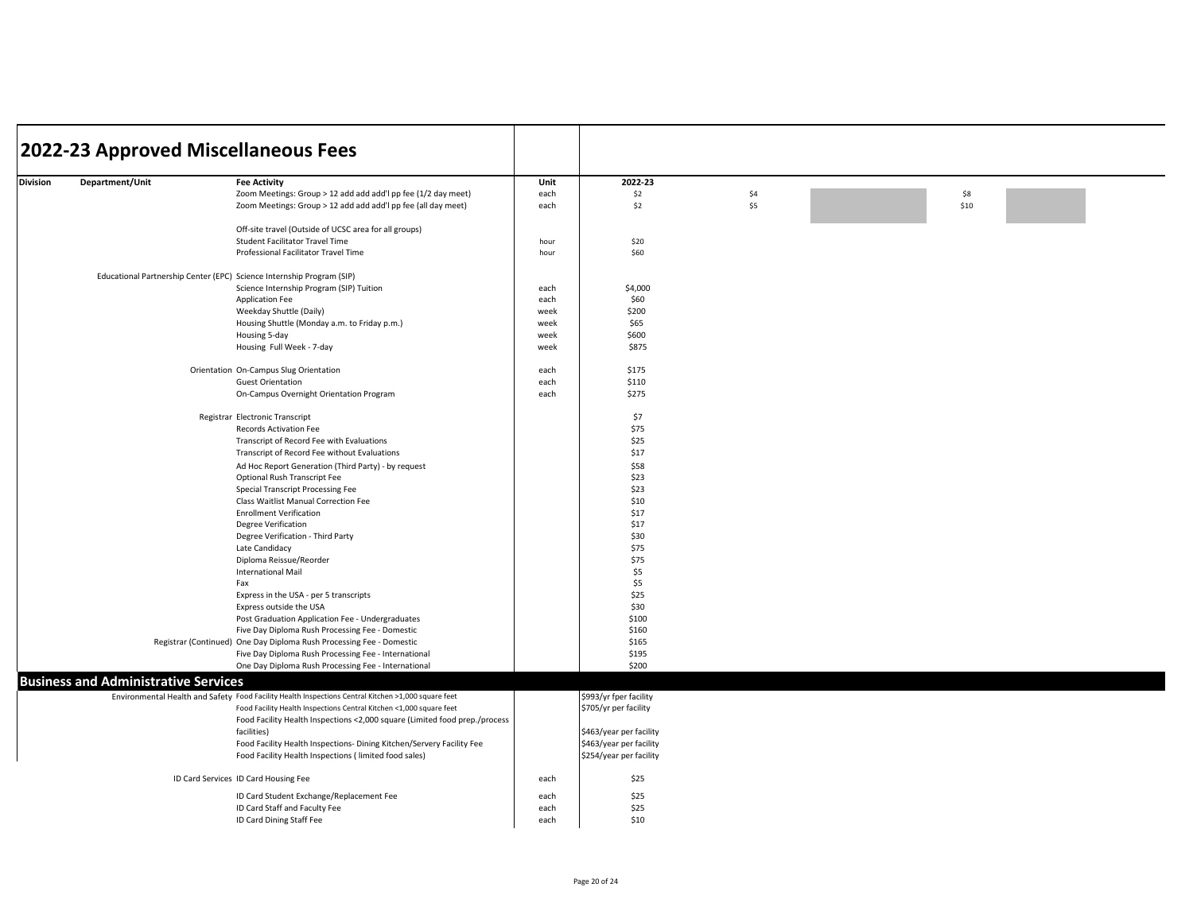|                 |                                             | 2022-23 Approved Miscellaneous Fees                                                                 |      |                         |     |      |  |
|-----------------|---------------------------------------------|-----------------------------------------------------------------------------------------------------|------|-------------------------|-----|------|--|
| <b>Division</b> | Department/Unit                             | <b>Fee Activity</b>                                                                                 | Unit | 2022-23                 |     |      |  |
|                 |                                             | Zoom Meetings: Group > 12 add add add'l pp fee (1/2 day meet)                                       | each | \$2                     | \$4 | \$8  |  |
|                 |                                             | Zoom Meetings: Group > 12 add add add'l pp fee (all day meet)                                       | each | \$2                     | \$5 | \$10 |  |
|                 |                                             | Off-site travel (Outside of UCSC area for all groups)                                               |      |                         |     |      |  |
|                 |                                             | Student Facilitator Travel Time                                                                     | hour | \$20                    |     |      |  |
|                 |                                             | Professional Facilitator Travel Time                                                                | hour | \$60                    |     |      |  |
|                 |                                             | Educational Partnership Center (EPC) Science Internship Program (SIP)                               |      |                         |     |      |  |
|                 |                                             | Science Internship Program (SIP) Tuition                                                            | each | \$4,000                 |     |      |  |
|                 |                                             | Application Fee                                                                                     | each | \$60                    |     |      |  |
|                 |                                             | Weekday Shuttle (Daily)                                                                             | week | \$200                   |     |      |  |
|                 |                                             | Housing Shuttle (Monday a.m. to Friday p.m.)                                                        | week | \$65                    |     |      |  |
|                 |                                             | Housing 5-day                                                                                       | week | \$600                   |     |      |  |
|                 |                                             | Housing Full Week - 7-day                                                                           | week | \$875                   |     |      |  |
|                 |                                             |                                                                                                     |      |                         |     |      |  |
|                 |                                             | Orientation On-Campus Slug Orientation                                                              | each | \$175                   |     |      |  |
|                 |                                             | <b>Guest Orientation</b>                                                                            | each | \$110                   |     |      |  |
|                 |                                             | On-Campus Overnight Orientation Program                                                             | each | \$275                   |     |      |  |
|                 |                                             | Registrar Electronic Transcript                                                                     |      | \$7                     |     |      |  |
|                 |                                             | <b>Records Activation Fee</b>                                                                       |      | \$75                    |     |      |  |
|                 |                                             | Transcript of Record Fee with Evaluations                                                           |      | \$25                    |     |      |  |
|                 |                                             | Transcript of Record Fee without Evaluations                                                        |      | \$17                    |     |      |  |
|                 |                                             | Ad Hoc Report Generation (Third Party) - by request                                                 |      | \$58                    |     |      |  |
|                 |                                             | Optional Rush Transcript Fee                                                                        |      | \$23                    |     |      |  |
|                 |                                             | Special Transcript Processing Fee                                                                   |      | \$23                    |     |      |  |
|                 |                                             | Class Waitlist Manual Correction Fee                                                                |      | \$10                    |     |      |  |
|                 |                                             | <b>Enrollment Verification</b>                                                                      |      | \$17                    |     |      |  |
|                 |                                             |                                                                                                     |      | \$17                    |     |      |  |
|                 |                                             | <b>Degree Verification</b>                                                                          |      |                         |     |      |  |
|                 |                                             | Degree Verification - Third Party                                                                   |      | \$30                    |     |      |  |
|                 |                                             | Late Candidacy                                                                                      |      | \$75                    |     |      |  |
|                 |                                             | Diploma Reissue/Reorder                                                                             |      | \$75                    |     |      |  |
|                 |                                             | <b>International Mail</b>                                                                           |      | \$5                     |     |      |  |
|                 |                                             | Fax                                                                                                 |      | \$5                     |     |      |  |
|                 |                                             | Express in the USA - per 5 transcripts                                                              |      | \$25                    |     |      |  |
|                 |                                             | Express outside the USA                                                                             |      | \$30                    |     |      |  |
|                 |                                             | Post Graduation Application Fee - Undergraduates                                                    |      | \$100                   |     |      |  |
|                 |                                             | Five Day Diploma Rush Processing Fee - Domestic                                                     |      | \$160                   |     |      |  |
|                 |                                             | Registrar (Continued) One Day Diploma Rush Processing Fee - Domestic                                |      | \$165                   |     |      |  |
|                 |                                             | Five Day Diploma Rush Processing Fee - International                                                |      | \$195                   |     |      |  |
|                 |                                             | One Day Diploma Rush Processing Fee - International                                                 |      | \$200                   |     |      |  |
|                 | <b>Business and Administrative Services</b> |                                                                                                     |      |                         |     |      |  |
|                 |                                             | Environmental Health and Safety Food Facility Health Inspections Central Kitchen >1,000 square feet |      | \$993/yr fper facility  |     |      |  |
|                 |                                             | Food Facility Health Inspections Central Kitchen <1,000 square feet                                 |      | \$705/yr per facility   |     |      |  |
|                 |                                             | Food Facility Health Inspections <2,000 square (Limited food prep./process                          |      |                         |     |      |  |
|                 |                                             | facilities)                                                                                         |      | \$463/year per facility |     |      |  |
|                 |                                             | Food Facility Health Inspections- Dining Kitchen/Servery Facility Fee                               |      | \$463/year per facility |     |      |  |
|                 |                                             | Food Facility Health Inspections (limited food sales)                                               |      | \$254/year per facility |     |      |  |
|                 |                                             | ID Card Services ID Card Housing Fee                                                                | each | \$25                    |     |      |  |
|                 |                                             | ID Card Student Exchange/Replacement Fee                                                            | each | \$25                    |     |      |  |
|                 |                                             | ID Card Staff and Faculty Fee                                                                       | each | \$25                    |     |      |  |
|                 |                                             | ID Card Dining Staff Fee                                                                            | each | \$10                    |     |      |  |
|                 |                                             |                                                                                                     |      |                         |     |      |  |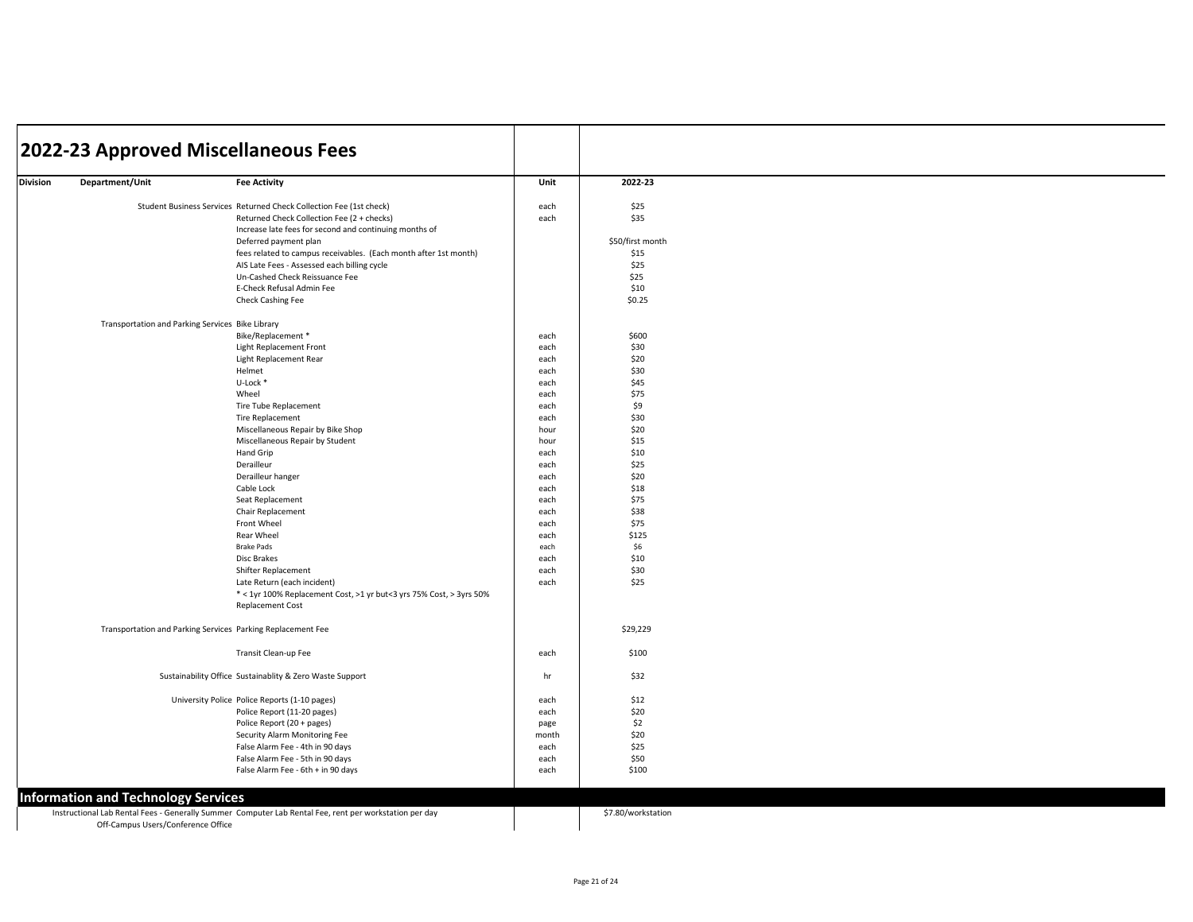|                 | 2022-23 Approved Miscellaneous Fees                         |                                                                                                                 |              |                    |  |
|-----------------|-------------------------------------------------------------|-----------------------------------------------------------------------------------------------------------------|--------------|--------------------|--|
| <b>Division</b> | Department/Unit                                             | <b>Fee Activity</b>                                                                                             | Unit         | 2022-23            |  |
|                 |                                                             | Student Business Services Returned Check Collection Fee (1st check)                                             | each         | \$25               |  |
|                 |                                                             | Returned Check Collection Fee (2 + checks)                                                                      | each         | \$35               |  |
|                 |                                                             | Increase late fees for second and continuing months of                                                          |              |                    |  |
|                 |                                                             | Deferred payment plan                                                                                           |              | \$50/first month   |  |
|                 |                                                             | fees related to campus receivables. (Each month after 1st month)<br>AIS Late Fees - Assessed each billing cycle |              | \$15<br>\$25       |  |
|                 |                                                             | Un-Cashed Check Reissuance Fee                                                                                  |              | \$25               |  |
|                 |                                                             | E-Check Refusal Admin Fee                                                                                       |              | \$10               |  |
|                 |                                                             | Check Cashing Fee                                                                                               |              | \$0.25             |  |
|                 | Transportation and Parking Services Bike Library            |                                                                                                                 |              |                    |  |
|                 |                                                             | Bike/Replacement *                                                                                              | each         | \$600              |  |
|                 |                                                             | Light Replacement Front                                                                                         | each         | \$30               |  |
|                 |                                                             | Light Replacement Rear                                                                                          | each         | \$20               |  |
|                 |                                                             | Helmet                                                                                                          | each         | \$30               |  |
|                 |                                                             | U-Lock *                                                                                                        | each         | \$45               |  |
|                 |                                                             | Wheel                                                                                                           | each         | \$75               |  |
|                 |                                                             | Tire Tube Replacement<br><b>Tire Replacement</b>                                                                | each<br>each | \$9<br>\$30        |  |
|                 |                                                             | Miscellaneous Repair by Bike Shop                                                                               | hour         | \$20               |  |
|                 |                                                             | Miscellaneous Repair by Student                                                                                 | hour         | \$15               |  |
|                 |                                                             | Hand Grip                                                                                                       | each         | \$10               |  |
|                 |                                                             | Derailleur                                                                                                      | each         | \$25               |  |
|                 |                                                             | Derailleur hanger                                                                                               | each         | \$20               |  |
|                 |                                                             | Cable Lock                                                                                                      | each         | \$18               |  |
|                 |                                                             | Seat Replacement                                                                                                | each         | \$75               |  |
|                 |                                                             | Chair Replacement                                                                                               | each         | \$38               |  |
|                 |                                                             | Front Wheel                                                                                                     | each         | \$75               |  |
|                 |                                                             | Rear Wheel                                                                                                      | each         | \$125              |  |
|                 |                                                             | <b>Brake Pads</b>                                                                                               | each         | \$6                |  |
|                 |                                                             | Disc Brakes                                                                                                     | each         | \$10               |  |
|                 |                                                             | Shifter Replacement                                                                                             | each         | \$30               |  |
|                 |                                                             | Late Return (each incident)<br>* < 1yr 100% Replacement Cost, >1 yr but<3 yrs 75% Cost, > 3yrs 50%              | each         | \$25               |  |
|                 |                                                             | <b>Replacement Cost</b>                                                                                         |              |                    |  |
|                 | Transportation and Parking Services Parking Replacement Fee |                                                                                                                 |              | \$29,229           |  |
|                 |                                                             | Transit Clean-up Fee                                                                                            | each         | \$100              |  |
|                 |                                                             | Sustainability Office Sustainablity & Zero Waste Support                                                        | hr           | \$32               |  |
|                 |                                                             | University Police Police Reports (1-10 pages)                                                                   | each         | \$12               |  |
|                 |                                                             | Police Report (11-20 pages)                                                                                     | each         | \$20               |  |
|                 |                                                             | Police Report (20 + pages)                                                                                      | page         | \$2                |  |
|                 |                                                             | Security Alarm Monitoring Fee                                                                                   | month        | \$20               |  |
|                 |                                                             | False Alarm Fee - 4th in 90 days                                                                                | each         | \$25               |  |
|                 |                                                             | False Alarm Fee - 5th in 90 days                                                                                | each         | \$50               |  |
|                 |                                                             | False Alarm Fee - 6th + in 90 days                                                                              | each         | \$100              |  |
|                 | <b>Information and Technology Services</b>                  |                                                                                                                 |              |                    |  |
|                 | Off-Campus Users/Conference Office                          | Instructional Lab Rental Fees - Generally Summer Computer Lab Rental Fee, rent per workstation per day          |              | \$7.80/workstation |  |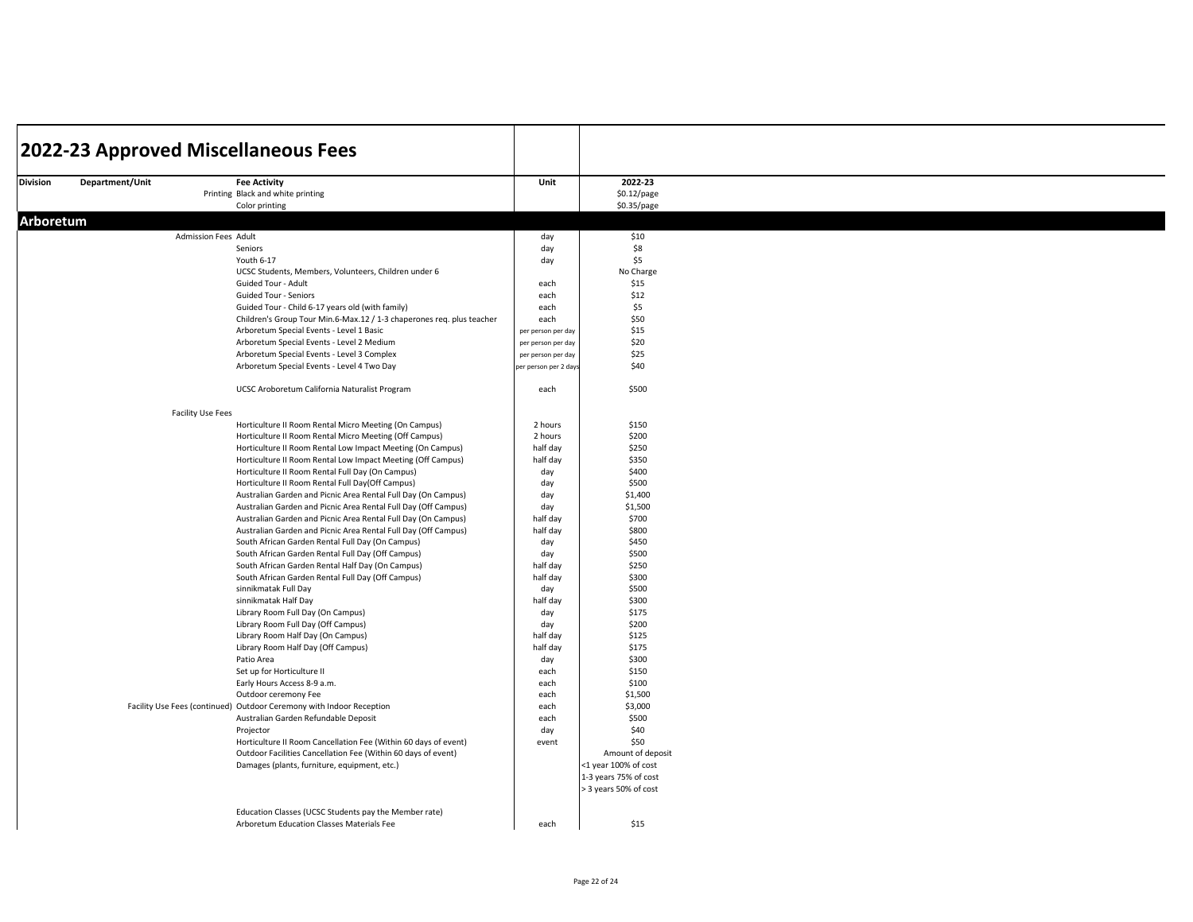|           |                 |                      | 2022-23 Approved Miscellaneous Fees                                                                                              |                       |                       |  |
|-----------|-----------------|----------------------|----------------------------------------------------------------------------------------------------------------------------------|-----------------------|-----------------------|--|
| Division  | Department/Unit |                      | <b>Fee Activity</b>                                                                                                              | Unit                  | 2022-23               |  |
|           |                 |                      | Printing Black and white printing                                                                                                |                       | \$0.12/page           |  |
|           |                 |                      | Color printing                                                                                                                   |                       | \$0.35/page           |  |
|           |                 |                      |                                                                                                                                  |                       |                       |  |
| Arboretum |                 |                      |                                                                                                                                  |                       |                       |  |
|           |                 | Admission Fees Adult |                                                                                                                                  | day                   | \$10                  |  |
|           |                 |                      | Seniors                                                                                                                          | day                   | \$8                   |  |
|           |                 |                      | Youth 6-17                                                                                                                       | day                   | \$5                   |  |
|           |                 |                      | UCSC Students, Members, Volunteers, Children under 6                                                                             |                       | No Charge             |  |
|           |                 |                      | Guided Tour - Adult<br><b>Guided Tour - Seniors</b>                                                                              | each                  | \$15                  |  |
|           |                 |                      | Guided Tour - Child 6-17 years old (with family)                                                                                 | each<br>each          | \$12<br>\$5           |  |
|           |                 |                      | Children's Group Tour Min.6-Max.12 / 1-3 chaperones req. plus teacher                                                            | each                  | \$50                  |  |
|           |                 |                      | Arboretum Special Events - Level 1 Basic                                                                                         | per person per day    | \$15                  |  |
|           |                 |                      | Arboretum Special Events - Level 2 Medium                                                                                        | per person per day    | \$20                  |  |
|           |                 |                      | Arboretum Special Events - Level 3 Complex                                                                                       | per person per day    | \$25                  |  |
|           |                 |                      | Arboretum Special Events - Level 4 Two Day                                                                                       | per person per 2 days | \$40                  |  |
|           |                 |                      |                                                                                                                                  |                       |                       |  |
|           |                 |                      | UCSC Aroboretum California Naturalist Program                                                                                    | each                  | \$500                 |  |
|           |                 |                      |                                                                                                                                  |                       |                       |  |
|           |                 | Facility Use Fees    |                                                                                                                                  |                       |                       |  |
|           |                 |                      | Horticulture II Room Rental Micro Meeting (On Campus)<br>Horticulture II Room Rental Micro Meeting (Off Campus)                  | 2 hours<br>2 hours    | \$150<br>\$200        |  |
|           |                 |                      | Horticulture II Room Rental Low Impact Meeting (On Campus)                                                                       | half day              | \$250                 |  |
|           |                 |                      | Horticulture II Room Rental Low Impact Meeting (Off Campus)                                                                      | half day              | \$350                 |  |
|           |                 |                      | Horticulture II Room Rental Full Day (On Campus)                                                                                 | day                   | \$400                 |  |
|           |                 |                      | Horticulture II Room Rental Full Day(Off Campus)                                                                                 | day                   | \$500                 |  |
|           |                 |                      | Australian Garden and Picnic Area Rental Full Day (On Campus)                                                                    | day                   | \$1,400               |  |
|           |                 |                      | Australian Garden and Picnic Area Rental Full Day (Off Campus)                                                                   | day                   | \$1,500               |  |
|           |                 |                      | Australian Garden and Picnic Area Rental Full Day (On Campus)                                                                    | half day              | \$700                 |  |
|           |                 |                      | Australian Garden and Picnic Area Rental Full Day (Off Campus)                                                                   | half day              | \$800                 |  |
|           |                 |                      | South African Garden Rental Full Day (On Campus)                                                                                 | day                   | \$450                 |  |
|           |                 |                      | South African Garden Rental Full Day (Off Campus)                                                                                | day                   | \$500                 |  |
|           |                 |                      | South African Garden Rental Half Day (On Campus)                                                                                 | half day              | \$250                 |  |
|           |                 |                      | South African Garden Rental Full Day (Off Campus)                                                                                | half day              | \$300                 |  |
|           |                 |                      | sinnikmatak Full Day                                                                                                             | day                   | \$500                 |  |
|           |                 |                      | sinnikmatak Half Day                                                                                                             | half day              | \$300                 |  |
|           |                 |                      | Library Room Full Day (On Campus)                                                                                                | day                   | \$175                 |  |
|           |                 |                      | Library Room Full Day (Off Campus)                                                                                               | day                   | \$200                 |  |
|           |                 |                      | Library Room Half Day (On Campus)                                                                                                | half day              | \$125                 |  |
|           |                 |                      | Library Room Half Day (Off Campus)                                                                                               | half day              | \$175                 |  |
|           |                 |                      | Patio Area                                                                                                                       | day                   | \$300                 |  |
|           |                 |                      | Set up for Horticulture II                                                                                                       | each                  | \$150                 |  |
|           |                 |                      | Early Hours Access 8-9 a.m.                                                                                                      | each                  | \$100                 |  |
|           |                 |                      | Outdoor ceremony Fee                                                                                                             | each                  | \$1,500               |  |
|           |                 |                      | Facility Use Fees (continued) Outdoor Ceremony with Indoor Reception                                                             | each                  | \$3,000               |  |
|           |                 |                      | Australian Garden Refundable Deposit                                                                                             | each                  | \$500                 |  |
|           |                 |                      | Projector                                                                                                                        | day<br>event          | \$40<br>\$50          |  |
|           |                 |                      | Horticulture II Room Cancellation Fee (Within 60 days of event)<br>Outdoor Facilities Cancellation Fee (Within 60 days of event) |                       | Amount of deposit     |  |
|           |                 |                      | Damages (plants, furniture, equipment, etc.)                                                                                     |                       | <1 year 100% of cost  |  |
|           |                 |                      |                                                                                                                                  |                       | 1-3 years 75% of cost |  |
|           |                 |                      |                                                                                                                                  |                       | > 3 years 50% of cost |  |
|           |                 |                      |                                                                                                                                  |                       |                       |  |
|           |                 |                      | Education Classes (UCSC Students pay the Member rate)                                                                            |                       |                       |  |
|           |                 |                      | Arboretum Education Classes Materials Fee                                                                                        | each                  | \$15                  |  |
|           |                 |                      |                                                                                                                                  |                       |                       |  |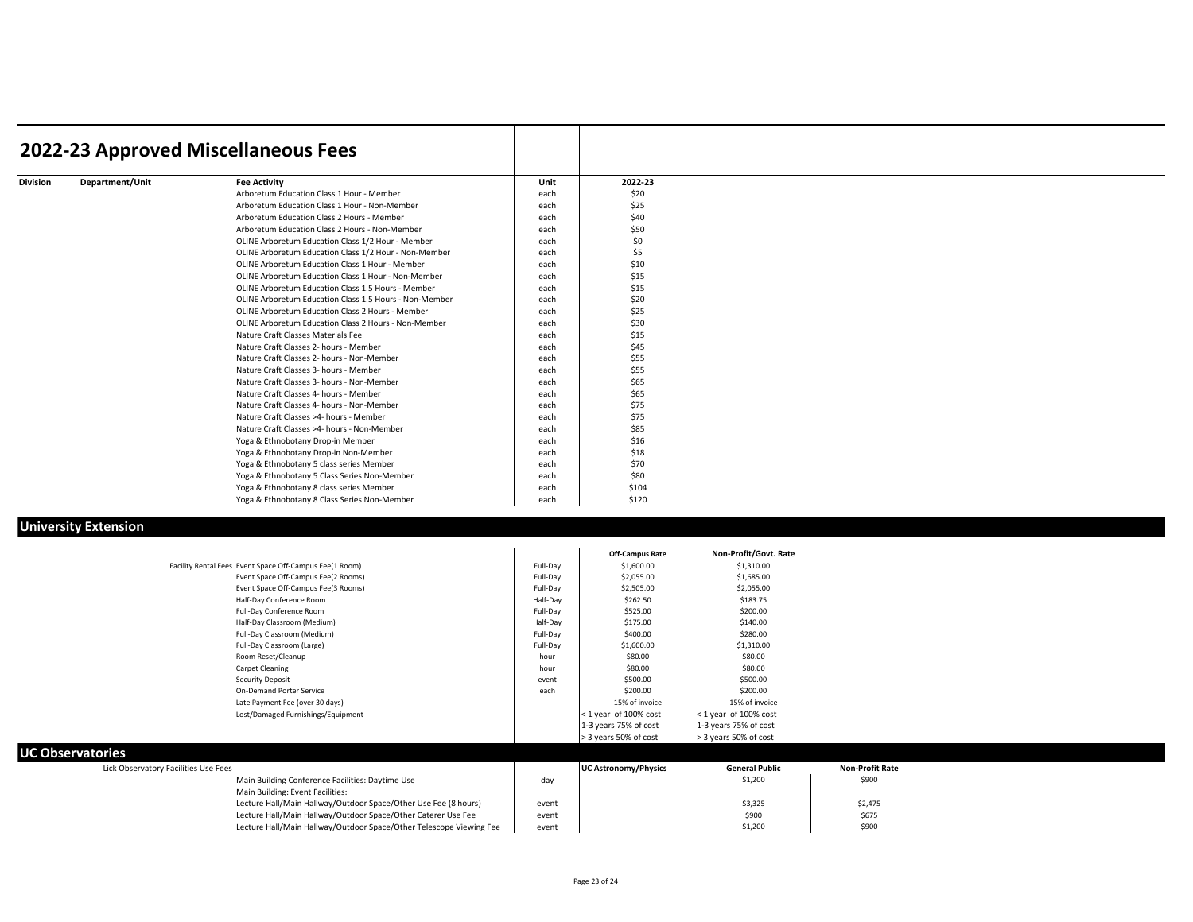|                 |                 | 2022-23 Approved Miscellaneous Fees                    |      |         |  |
|-----------------|-----------------|--------------------------------------------------------|------|---------|--|
| <b>Division</b> | Department/Unit | <b>Fee Activity</b>                                    | Unit | 2022-23 |  |
|                 |                 | Arboretum Education Class 1 Hour - Member              | each | \$20    |  |
|                 |                 | Arboretum Education Class 1 Hour - Non-Member          | each | \$25    |  |
|                 |                 | Arboretum Education Class 2 Hours - Member             | each | \$40    |  |
|                 |                 | Arboretum Education Class 2 Hours - Non-Member         | each | \$50    |  |
|                 |                 | OLINE Arboretum Education Class 1/2 Hour - Member      | each | \$0     |  |
|                 |                 | OLINE Arboretum Education Class 1/2 Hour - Non-Member  | each | \$5     |  |
|                 |                 | OLINE Arboretum Education Class 1 Hour - Member        | each | \$10    |  |
|                 |                 | OLINE Arboretum Education Class 1 Hour - Non-Member    | each | \$15    |  |
|                 |                 | OLINE Arboretum Education Class 1.5 Hours - Member     | each | \$15    |  |
|                 |                 | OLINE Arboretum Education Class 1.5 Hours - Non-Member | each | \$20    |  |
|                 |                 | OLINE Arboretum Education Class 2 Hours - Member       | each | \$25    |  |
|                 |                 | OLINE Arboretum Education Class 2 Hours - Non-Member   | each | \$30    |  |
|                 |                 | Nature Craft Classes Materials Fee                     | each | \$15    |  |
|                 |                 | Nature Craft Classes 2- hours - Member                 | each | \$45    |  |
|                 |                 | Nature Craft Classes 2- hours - Non-Member             | each | \$55    |  |
|                 |                 | Nature Craft Classes 3- hours - Member                 | each | \$55    |  |
|                 |                 | Nature Craft Classes 3- hours - Non-Member             | each | \$65    |  |
|                 |                 | Nature Craft Classes 4- hours - Member                 | each | \$65    |  |
|                 |                 | Nature Craft Classes 4- hours - Non-Member             | each | \$75    |  |
|                 |                 | Nature Craft Classes >4- hours - Member                | each | \$75    |  |
|                 |                 | Nature Craft Classes >4- hours - Non-Member            | each | \$85    |  |
|                 |                 | Yoga & Ethnobotany Drop-in Member                      | each | \$16    |  |
|                 |                 | Yoga & Ethnobotany Drop-in Non-Member                  | each | \$18    |  |
|                 |                 | Yoga & Ethnobotany 5 class series Member               | each | \$70    |  |
|                 |                 | Yoga & Ethnobotany 5 Class Series Non-Member           | each | \$80    |  |
|                 |                 | Yoga & Ethnobotany 8 class series Member               | each | \$104   |  |
|                 |                 | Yoga & Ethnobotany 8 Class Series Non-Member           | each | \$120   |  |

## **University Extension**

|                                      |                                                                     |          | Off-Campus Rate             | Non-Profit/Govt. Rate |                        |
|--------------------------------------|---------------------------------------------------------------------|----------|-----------------------------|-----------------------|------------------------|
|                                      | Facility Rental Fees Event Space Off-Campus Fee(1 Room)             | Full-Day | \$1,600.00                  | \$1,310.00            |                        |
|                                      | Event Space Off-Campus Fee(2 Rooms)                                 | Full-Day | \$2,055.00                  | \$1,685.00            |                        |
|                                      | Event Space Off-Campus Fee(3 Rooms)                                 | Full-Day | \$2,505.00                  | \$2,055.00            |                        |
|                                      | Half-Day Conference Room                                            | Half-Dav | \$262.50                    | \$183.75              |                        |
|                                      | Full-Day Conference Room                                            | Full-Day | \$525.00                    | \$200.00              |                        |
|                                      | Half-Day Classroom (Medium)                                         | Half-Dav | \$175.00                    | \$140.00              |                        |
|                                      | Full-Day Classroom (Medium)                                         | Full-Dav | \$400.00                    | \$280.00              |                        |
|                                      | Full-Day Classroom (Large)                                          | Full-Day | \$1,600.00                  | \$1,310.00            |                        |
|                                      | Room Reset/Cleanup                                                  | hour     | \$80.00                     | \$80.00               |                        |
|                                      | Carpet Cleaning                                                     | hour     | \$80.00                     | \$80.00               |                        |
|                                      | Security Deposit                                                    | event    | \$500.00                    | \$500.00              |                        |
|                                      | On-Demand Porter Service                                            | each     | \$200.00                    | \$200.00              |                        |
|                                      | Late Payment Fee (over 30 days)                                     |          | 15% of invoice              | 15% of invoice        |                        |
|                                      | Lost/Damaged Furnishings/Equipment                                  |          | < 1 year of 100% cost       | <1 year of 100% cost  |                        |
|                                      |                                                                     |          | 1-3 years 75% of cost       | 1-3 years 75% of cost |                        |
|                                      |                                                                     |          | > 3 years 50% of cost       | > 3 years 50% of cost |                        |
| <b>UC Observatories</b>              |                                                                     |          |                             |                       |                        |
| Lick Observatory Facilities Use Fees |                                                                     |          | <b>UC Astronomy/Physics</b> | <b>General Public</b> | <b>Non-Profit Rate</b> |
|                                      | Main Building Conference Facilities: Daytime Use                    | day      |                             | \$1,200               | \$900                  |
|                                      | Main Building: Event Facilities:                                    |          |                             |                       |                        |
|                                      | Lecture Hall/Main Hallway/Outdoor Space/Other Use Fee (8 hours)     | event    |                             | \$3,325               | \$2,475                |
|                                      | Lecture Hall/Main Hallway/Outdoor Space/Other Caterer Use Fee       | event    |                             | \$900                 | \$675                  |
|                                      | Lecture Hall/Main Hallway/Outdoor Space/Other Telescope Viewing Fee | event    |                             | \$1,200               | \$900                  |